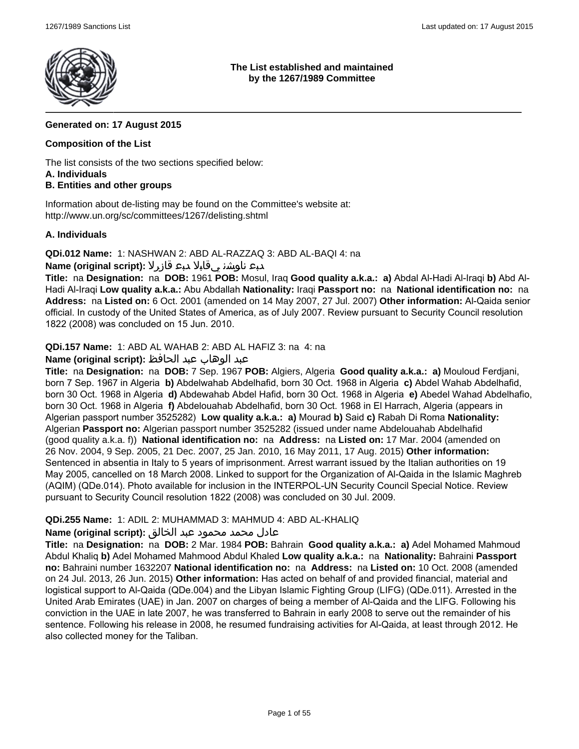

**The List established and maintained by the 1267/1989 Committee**

## **Generated on: 17 August 2015**

## **Composition of the List**

The list consists of the two sections specified below: **A. Individuals**

## **B. Entities and other groups**

Information about de-listing may be found on the Committee's website at: http://www.un.org/sc/committees/1267/delisting.shtml

#### **A. Individuals**

**QDi.012 Name:** 1: NASHWAN 2: ABD AL-RAZZAQ 3: ABD AL-BAQI 4: na

## دبع ناوشن يقابلا دبع قازرلا **:(script original (Name**

**Title:** na **Designation:** na **DOB:** 1961 **POB:** Mosul, Iraq **Good quality a.k.a.: a)** Abdal Al-Hadi Al-Iraqi **b)** Abd Al-Hadi Al-Iraqi **Low quality a.k.a.:** Abu Abdallah **Nationality:** Iraqi **Passport no:** na **National identification no:** na **Address:** na **Listed on:** 6 Oct. 2001 (amended on 14 May 2007, 27 Jul. 2007) **Other information:** Al-Qaida senior official. In custody of the United States of America, as of July 2007. Review pursuant to Security Council resolution 1822 (2008) was concluded on 15 Jun. 2010.

**QDi.157 Name:** 1: ABD AL WAHAB 2: ABD AL HAFIZ 3: na 4: na

## عبد الوهاب عبد الحافظ **:(script original (Name**

**Title:** na **Designation:** na **DOB:** 7 Sep. 1967 **POB:** Algiers, Algeria **Good quality a.k.a.: a)** Mouloud Ferdjani, born 7 Sep. 1967 in Algeria **b)** Abdelwahab Abdelhafid, born 30 Oct. 1968 in Algeria **c)** Abdel Wahab Abdelhafid, born 30 Oct. 1968 in Algeria **d)** Abdewahab Abdel Hafid, born 30 Oct. 1968 in Algeria **e)** Abedel Wahad Abdelhafio, born 30 Oct. 1968 in Algeria **f)** Abdelouahab Abdelhafid, born 30 Oct. 1968 in El Harrach, Algeria (appears in Algerian passport number 3525282) **Low quality a.k.a.: a)** Mourad **b)** Said **c)** Rabah Di Roma **Nationality:** Algerian **Passport no:** Algerian passport number 3525282 (issued under name Abdelouahab Abdelhafid (good quality a.k.a. f)) **National identification no:** na **Address:** na **Listed on:** 17 Mar. 2004 (amended on 26 Nov. 2004, 9 Sep. 2005, 21 Dec. 2007, 25 Jan. 2010, 16 May 2011, 17 Aug. 2015) **Other information:** Sentenced in absentia in Italy to 5 years of imprisonment. Arrest warrant issued by the Italian authorities on 19 May 2005, cancelled on 18 March 2008. Linked to support for the Organization of Al-Qaida in the Islamic Maghreb (AQIM) (QDe.014). Photo available for inclusion in the INTERPOL-UN Security Council Special Notice. Review pursuant to Security Council resolution 1822 (2008) was concluded on 30 Jul. 2009.

## **QDi.255 Name:** 1: ADIL 2: MUHAMMAD 3: MAHMUD 4: ABD AL-KHALIQ

## عادل محمد محمود عبد الخالق **:(script original (Name**

**Title:** na **Designation:** na **DOB:** 2 Mar. 1984 **POB:** Bahrain **Good quality a.k.a.: a)** Adel Mohamed Mahmoud Abdul Khaliq **b)** Adel Mohamed Mahmood Abdul Khaled **Low quality a.k.a.:** na **Nationality:** Bahraini **Passport no:** Bahraini number 1632207 **National identification no:** na **Address:** na **Listed on:** 10 Oct. 2008 (amended on 24 Jul. 2013, 26 Jun. 2015) **Other information:** Has acted on behalf of and provided financial, material and logistical support to Al-Qaida (QDe.004) and the Libyan Islamic Fighting Group (LIFG) (QDe.011). Arrested in the United Arab Emirates (UAE) in Jan. 2007 on charges of being a member of Al-Qaida and the LIFG. Following his conviction in the UAE in late 2007, he was transferred to Bahrain in early 2008 to serve out the remainder of his sentence. Following his release in 2008, he resumed fundraising activities for Al-Qaida, at least through 2012. He also collected money for the Taliban.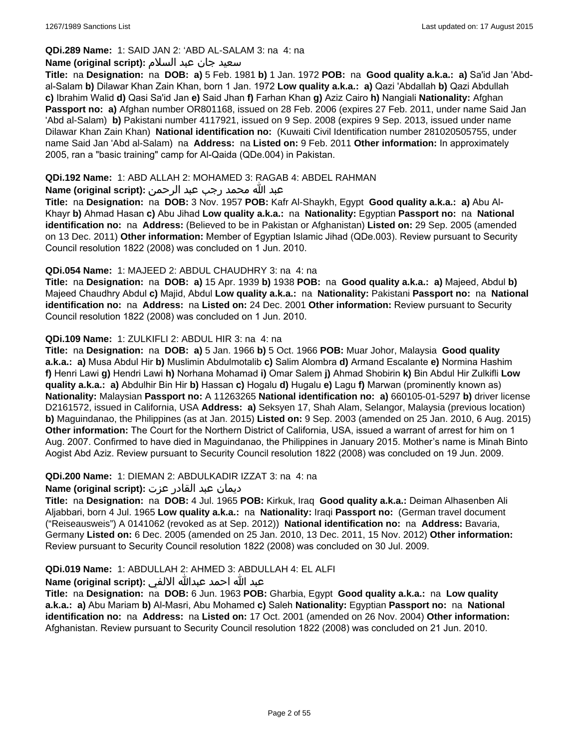## **QDi.289 Name:** 1: SAID JAN 2: 'ABD AL-SALAM 3: na 4: na

#### سعید جان عبد السلام **:(script original (Name**

**Title:** na **Designation:** na **DOB: a)** 5 Feb. 1981 **b)** 1 Jan. 1972 **POB:** na **Good quality a.k.a.: a)** Sa'id Jan 'Abdal-Salam **b)** Dilawar Khan Zain Khan, born 1 Jan. 1972 **Low quality a.k.a.: a)** Qazi 'Abdallah **b)** Qazi Abdullah **c)** Ibrahim Walid **d)** Qasi Sa'id Jan **e)** Said Jhan **f)** Farhan Khan **g)** Aziz Cairo **h)** Nangiali **Nationality:** Afghan **Passport no: a)** Afghan number OR801168, issued on 28 Feb. 2006 (expires 27 Feb. 2011, under name Said Jan 'Abd al-Salam) **b)** Pakistani number 4117921, issued on 9 Sep. 2008 (expires 9 Sep. 2013, issued under name Dilawar Khan Zain Khan) **National identification no:** (Kuwaiti Civil Identification number 281020505755, under name Said Jan 'Abd al-Salam) na **Address:** na **Listed on:** 9 Feb. 2011 **Other information:** In approximately 2005, ran a "basic training" camp for Al-Qaida (QDe.004) in Pakistan.

## **QDi.192 Name:** 1: ABD ALLAH 2: MOHAMED 3: RAGAB 4: ABDEL RAHMAN

## عبد الله محمد رجب عبد الرحمن **:(script original (Name**

**Title:** na **Designation:** na **DOB:** 3 Nov. 1957 **POB:** Kafr Al-Shaykh, Egypt **Good quality a.k.a.: a)** Abu Al-Khayr **b)** Ahmad Hasan **c)** Abu Jihad **Low quality a.k.a.:** na **Nationality:** Egyptian **Passport no:** na **National identification no:** na **Address:** (Believed to be in Pakistan or Afghanistan) **Listed on:** 29 Sep. 2005 (amended on 13 Dec. 2011) **Other information:** Member of Egyptian Islamic Jihad (QDe.003). Review pursuant to Security Council resolution 1822 (2008) was concluded on 1 Jun. 2010.

#### **QDi.054 Name:** 1: MAJEED 2: ABDUL CHAUDHRY 3: na 4: na

**Title:** na **Designation:** na **DOB: a)** 15 Apr. 1939 **b)** 1938 **POB:** na **Good quality a.k.a.: a)** Majeed, Abdul **b)** Majeed Chaudhry Abdul **c)** Majid, Abdul **Low quality a.k.a.:** na **Nationality:** Pakistani **Passport no:** na **National identification no:** na **Address:** na **Listed on:** 24 Dec. 2001 **Other information:** Review pursuant to Security Council resolution 1822 (2008) was concluded on 1 Jun. 2010.

#### **QDi.109 Name:** 1: ZULKIFLI 2: ABDUL HIR 3: na 4: na

**Title:** na **Designation:** na **DOB: a)** 5 Jan. 1966 **b)** 5 Oct. 1966 **POB:** Muar Johor, Malaysia **Good quality a.k.a.: a)** Musa Abdul Hir **b)** Muslimin Abdulmotalib **c)** Salim Alombra **d)** Armand Escalante **e)** Normina Hashim **f)** Henri Lawi **g)** Hendri Lawi **h)** Norhana Mohamad **i)** Omar Salem **j)** Ahmad Shobirin **k)** Bin Abdul Hir Zulkifli **Low quality a.k.a.: a)** Abdulhir Bin Hir **b)** Hassan **c)** Hogalu **d)** Hugalu **e)** Lagu **f)** Marwan (prominently known as) **Nationality:** Malaysian **Passport no:** A 11263265 **National identification no: a)** 660105-01-5297 **b)** driver license D2161572, issued in California, USA **Address: a)** Seksyen 17, Shah Alam, Selangor, Malaysia (previous location) **b)** Maguindanao, the Philippines (as at Jan. 2015) **Listed on:** 9 Sep. 2003 (amended on 25 Jan. 2010, 6 Aug. 2015) **Other information:** The Court for the Northern District of California, USA, issued a warrant of arrest for him on 1 Aug. 2007. Confirmed to have died in Maguindanao, the Philippines in January 2015. Mother's name is Minah Binto Aogist Abd Aziz. Review pursuant to Security Council resolution 1822 (2008) was concluded on 19 Jun. 2009.

## **QDi.200 Name:** 1: DIEMAN 2: ABDULKADIR IZZAT 3: na 4: na

## ديمان عبد القادر عزت **:(script original (Name**

**Title:** na **Designation:** na **DOB:** 4 Jul. 1965 **POB:** Kirkuk, Iraq **Good quality a.k.a.:** Deiman Alhasenben Ali Aljabbari, born 4 Jul. 1965 **Low quality a.k.a.:** na **Nationality:** Iraqi **Passport no:** (German travel document ("Reiseausweis") A 0141062 (revoked as at Sep. 2012)) **National identification no:** na **Address:** Bavaria, Germany **Listed on:** 6 Dec. 2005 (amended on 25 Jan. 2010, 13 Dec. 2011, 15 Nov. 2012) **Other information:** Review pursuant to Security Council resolution 1822 (2008) was concluded on 30 Jul. 2009.

## **QDi.019 Name:** 1: ABDULLAH 2: AHMED 3: ABDULLAH 4: EL ALFI

## عبد الله احمد عبدالله الالفي **:(script original (Name**

**Title:** na **Designation:** na **DOB:** 6 Jun. 1963 **POB:** Gharbia, Egypt **Good quality a.k.a.:** na **Low quality a.k.a.: a)** Abu Mariam **b)** Al-Masri, Abu Mohamed **c)** Saleh **Nationality:** Egyptian **Passport no:** na **National identification no:** na **Address:** na **Listed on:** 17 Oct. 2001 (amended on 26 Nov. 2004) **Other information:** Afghanistan. Review pursuant to Security Council resolution 1822 (2008) was concluded on 21 Jun. 2010.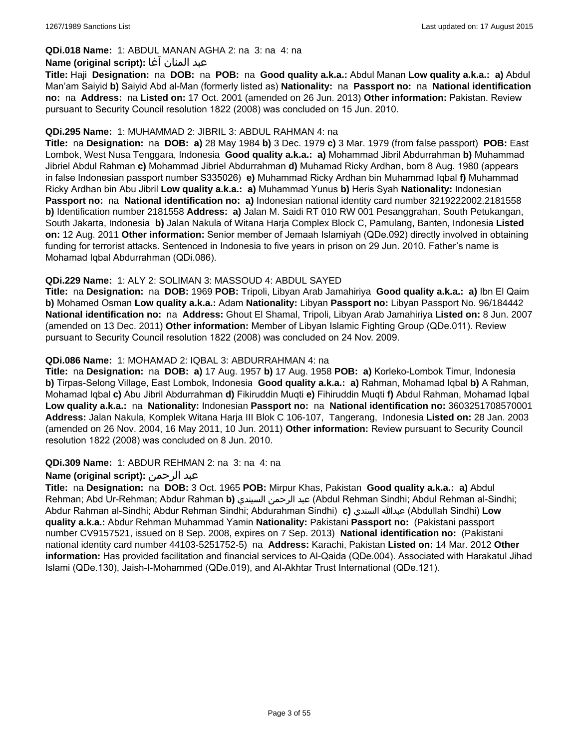## **QDi.018 Name:** 1: ABDUL MANAN AGHA 2: na 3: na 4: na

### عبد المنان آغا **:(script original (Name**

**Title:** Haji **Designation:** na **DOB:** na **POB:** na **Good quality a.k.a.:** Abdul Manan **Low quality a.k.a.: a)** Abdul Man'am Saiyid **b)** Saiyid Abd al-Man (formerly listed as) **Nationality:** na **Passport no:** na **National identification no:** na **Address:** na **Listed on:** 17 Oct. 2001 (amended on 26 Jun. 2013) **Other information:** Pakistan. Review pursuant to Security Council resolution 1822 (2008) was concluded on 15 Jun. 2010.

#### **QDi.295 Name:** 1: MUHAMMAD 2: JIBRIL 3: ABDUL RAHMAN 4: na

**Title:** na **Designation:** na **DOB: a)** 28 May 1984 **b)** 3 Dec. 1979 **c)** 3 Mar. 1979 (from false passport) **POB:** East Lombok, West Nusa Tenggara, Indonesia **Good quality a.k.a.: a)** Mohammad Jibril Abdurrahman **b)** Muhammad Jibriel Abdul Rahman **c)** Mohammad Jibriel Abdurrahman **d)** Muhamad Ricky Ardhan, born 8 Aug. 1980 (appears in false Indonesian passport number S335026) **e)** Muhammad Ricky Ardhan bin Muhammad Iqbal **f)** Muhammad Ricky Ardhan bin Abu Jibril **Low quality a.k.a.: a)** Muhammad Yunus **b)** Heris Syah **Nationality:** Indonesian **Passport no:** na **National identification no: a)** Indonesian national identity card number 3219222002.2181558 **b)** Identification number 2181558 **Address: a)** Jalan M. Saidi RT 010 RW 001 Pesanggrahan, South Petukangan, South Jakarta, Indonesia **b)** Jalan Nakula of Witana Harja Complex Block C, Pamulang, Banten, Indonesia **Listed on:** 12 Aug. 2011 **Other information:** Senior member of Jemaah Islamiyah (QDe.092) directly involved in obtaining funding for terrorist attacks. Sentenced in Indonesia to five years in prison on 29 Jun. 2010. Father's name is Mohamad Iqbal Abdurrahman (QDi.086).

## **QDi.229 Name:** 1: ALY 2: SOLIMAN 3: MASSOUD 4: ABDUL SAYED

**Title:** na **Designation:** na **DOB:** 1969 **POB:** Tripoli, Libyan Arab Jamahiriya **Good quality a.k.a.: a)** Ibn El Qaim **b)** Mohamed Osman **Low quality a.k.a.:** Adam **Nationality:** Libyan **Passport no:** Libyan Passport No. 96/184442 **National identification no:** na **Address:** Ghout El Shamal, Tripoli, Libyan Arab Jamahiriya **Listed on:** 8 Jun. 2007 (amended on 13 Dec. 2011) **Other information:** Member of Libyan Islamic Fighting Group (QDe.011). Review pursuant to Security Council resolution 1822 (2008) was concluded on 24 Nov. 2009.

#### **QDi.086 Name:** 1: MOHAMAD 2: IQBAL 3: ABDURRAHMAN 4: na

**Title:** na **Designation:** na **DOB: a)** 17 Aug. 1957 **b)** 17 Aug. 1958 **POB: a)** Korleko-Lombok Timur, Indonesia **b)** Tirpas-Selong Village, East Lombok, Indonesia **Good quality a.k.a.: a)** Rahman, Mohamad Iqbal **b)** A Rahman, Mohamad Iqbal **c)** Abu Jibril Abdurrahman **d)** Fikiruddin Muqti **e)** Fihiruddin Muqti **f)** Abdul Rahman, Mohamad Iqbal **Low quality a.k.a.:** na **Nationality:** Indonesian **Passport no:** na **National identification no:** 3603251708570001 **Address:** Jalan Nakula, Komplek Witana Harja III Blok C 106-107, Tangerang, Indonesia **Listed on:** 28 Jan. 2003 (amended on 26 Nov. 2004, 16 May 2011, 10 Jun. 2011) **Other information:** Review pursuant to Security Council resolution 1822 (2008) was concluded on 8 Jun. 2010.

#### **QDi.309 Name:** 1: ABDUR REHMAN 2: na 3: na 4: na

## **Name (original script):** الرحمن عبد

**Title:** na **Designation:** na **DOB:** 3 Oct. 1965 **POB:** Mirpur Khas, Pakistan **Good quality a.k.a.: a)** Abdul Rehman; Abd Ur-Rehman; Abdur Rahman **b)** السيندي الرحمن عبد) Abdul Rehman Sindhi; Abdul Rehman al-Sindhi; Abdur Rahman al-Sindhi; Abdur Rehman Sindhi; Abdurahman Sindhi) **c)** السندي عبدالله) Abdullah Sindhi) **Low quality a.k.a.:** Abdur Rehman Muhammad Yamin **Nationality:** Pakistani **Passport no:** (Pakistani passport number CV9157521, issued on 8 Sep. 2008, expires on 7 Sep. 2013) **National identification no:** (Pakistani national identity card number 44103-5251752-5) na **Address:** Karachi, Pakistan **Listed on:** 14 Mar. 2012 **Other information:** Has provided facilitation and financial services to Al-Qaida (QDe.004). Associated with Harakatul Jihad Islami (QDe.130), Jaish-I-Mohammed (QDe.019), and Al-Akhtar Trust International (QDe.121).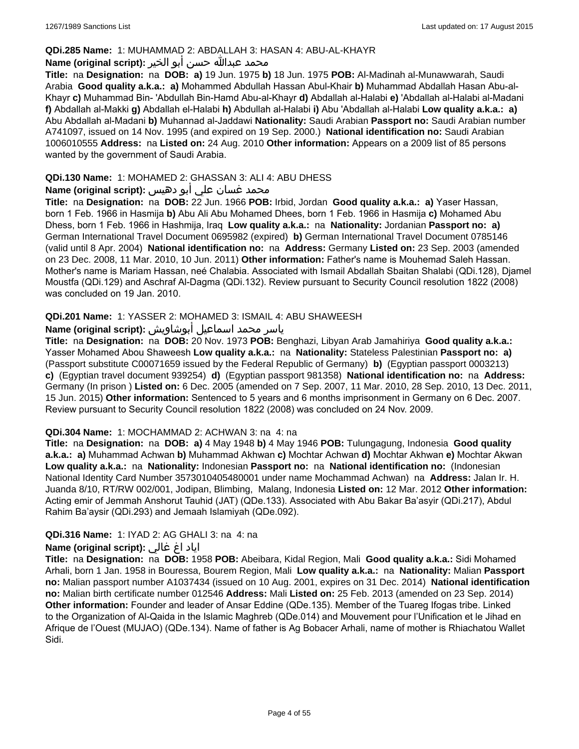#### **QDi.285 Name:** 1: MUHAMMAD 2: ABDALLAH 3: HASAN 4: ABU-AL-KHAYR

#### محمد عبدالله حسن أبو الخير **:Name (original script**)

**Title:** na **Designation:** na **DOB: a)** 19 Jun. 1975 **b)** 18 Jun. 1975 **POB:** Al-Madinah al-Munawwarah, Saudi Arabia **Good quality a.k.a.: a)** Mohammed Abdullah Hassan Abul-Khair **b)** Muhammad Abdallah Hasan Abu-al-Khayr **c)** Muhammad Bin- 'Abdullah Bin-Hamd Abu-al-Khayr **d)** Abdallah al-Halabi **e)** 'Abdallah al-Halabi al-Madani **f)** Abdallah al-Makki **g)** Abdallah el-Halabi **h)** Abdullah al-Halabi **i)** Abu 'Abdallah al-Halabi **Low quality a.k.a.: a)** Abu Abdallah al-Madani **b)** Muhannad al-Jaddawi **Nationality:** Saudi Arabian **Passport no:** Saudi Arabian number A741097, issued on 14 Nov. 1995 (and expired on 19 Sep. 2000.) **National identification no:** Saudi Arabian 1006010555 **Address:** na **Listed on:** 24 Aug. 2010 **Other information:** Appears on a 2009 list of 85 persons wanted by the government of Saudi Arabia.

## **QDi.130 Name:** 1: MOHAMED 2: GHASSAN 3: ALI 4: ABU DHESS

## محمد غسان علي أبو دهيس **:Name (original script**)

**Title:** na **Designation:** na **DOB:** 22 Jun. 1966 **POB:** Irbid, Jordan **Good quality a.k.a.: a)** Yaser Hassan, born 1 Feb. 1966 in Hasmija **b)** Abu Ali Abu Mohamed Dhees, born 1 Feb. 1966 in Hasmija **c)** Mohamed Abu Dhess, born 1 Feb. 1966 in Hashmija, Iraq **Low quality a.k.a.:** na **Nationality:** Jordanian **Passport no: a)** German International Travel Document 0695982 (expired) **b)** German International Travel Document 0785146 (valid until 8 Apr. 2004) **National identification no:** na **Address:** Germany **Listed on:** 23 Sep. 2003 (amended on 23 Dec. 2008, 11 Mar. 2010, 10 Jun. 2011) **Other information:** Father's name is Mouhemad Saleh Hassan. Mother's name is Mariam Hassan, neé Chalabia. Associated with Ismail Abdallah Sbaitan Shalabi (QDi.128), Djamel Moustfa (QDi.129) and Aschraf Al-Dagma (QDi.132). Review pursuant to Security Council resolution 1822 (2008) was concluded on 19 Jan. 2010.

## **QDi.201 Name:** 1: YASSER 2: MOHAMED 3: ISMAIL 4: ABU SHAWEESH

# ياسر محمد اسماعيل أبوشاويش :Name (original script)

**Title:** na **Designation:** na **DOB:** 20 Nov. 1973 **POB:** Benghazi, Libyan Arab Jamahiriya **Good quality a.k.a.:** Yasser Mohamed Abou Shaweesh **Low quality a.k.a.:** na **Nationality:** Stateless Palestinian **Passport no: a)**  (Passport substitute C00071659 issued by the Federal Republic of Germany) **b)** (Egyptian passport 0003213) **c)** (Egyptian travel document 939254) **d)** (Egyptian passport 981358) **National identification no:** na **Address:** Germany (In prison ) **Listed on:** 6 Dec. 2005 (amended on 7 Sep. 2007, 11 Mar. 2010, 28 Sep. 2010, 13 Dec. 2011, 15 Jun. 2015) **Other information:** Sentenced to 5 years and 6 months imprisonment in Germany on 6 Dec. 2007. Review pursuant to Security Council resolution 1822 (2008) was concluded on 24 Nov. 2009.

#### **QDi.304 Name:** 1: MOCHAMMAD 2: ACHWAN 3: na 4: na

**Title:** na **Designation:** na **DOB: a)** 4 May 1948 **b)** 4 May 1946 **POB:** Tulungagung, Indonesia **Good quality a.k.a.: a)** Muhammad Achwan **b)** Muhammad Akhwan **c)** Mochtar Achwan **d)** Mochtar Akhwan **e)** Mochtar Akwan **Low quality a.k.a.:** na **Nationality:** Indonesian **Passport no:** na **National identification no:** (Indonesian National Identity Card Number 3573010405480001 under name Mochammad Achwan) na **Address:** Jalan Ir. H. Juanda 8/10, RT/RW 002/001, Jodipan, Blimbing, Malang, Indonesia **Listed on:** 12 Mar. 2012 **Other information:** Acting emir of Jemmah Anshorut Tauhid (JAT) (QDe.133). Associated with Abu Bakar Ba'asyir (QDi.217), Abdul Rahim Ba'aysir (QDi.293) and Jemaah Islamiyah (QDe.092).

#### **QDi.316 Name:** 1: IYAD 2: AG GHALI 3: na 4: na

#### اياد اغ غالي **:(script original (Name**

**Title:** na **Designation:** na **DOB:** 1958 **POB:** Abeibara, Kidal Region, Mali **Good quality a.k.a.:** Sidi Mohamed Arhali, born 1 Jan. 1958 in Bouressa, Bourem Region, Mali **Low quality a.k.a.:** na **Nationality:** Malian **Passport no:** Malian passport number A1037434 (issued on 10 Aug. 2001, expires on 31 Dec. 2014) **National identification no:** Malian birth certificate number 012546 **Address:** Mali **Listed on:** 25 Feb. 2013 (amended on 23 Sep. 2014) **Other information:** Founder and leader of Ansar Eddine (QDe.135). Member of the Tuareg Ifogas tribe. Linked to the Organization of Al-Qaida in the Islamic Maghreb (QDe.014) and Mouvement pour l'Unification et le Jihad en Afrique de l'Ouest (MUJAO) (QDe.134). Name of father is Ag Bobacer Arhali, name of mother is Rhiachatou Wallet Sidi.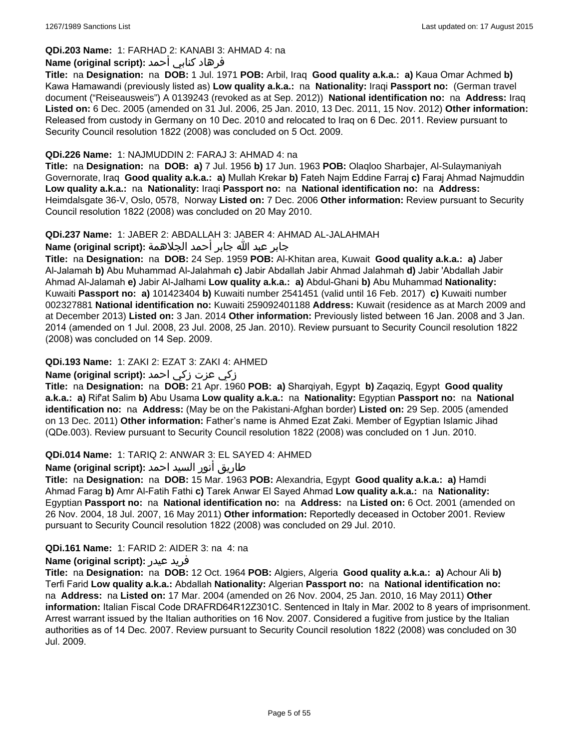## **QDi.203 Name:** 1: FARHAD 2: KANABI 3: AHMAD 4: na

## فرهاد كنابي أحمد **:Name (original script)**

**Title:** na **Designation:** na **DOB:** 1 Jul. 1971 **POB:** Arbil, Iraq **Good quality a.k.a.: a)** Kaua Omar Achmed **b)** Kawa Hamawandi (previously listed as) **Low quality a.k.a.:** na **Nationality:** Iraqi **Passport no:** (German travel document ("Reiseausweis") A 0139243 (revoked as at Sep. 2012)) **National identification no:** na **Address:** Iraq **Listed on:** 6 Dec. 2005 (amended on 31 Jul. 2006, 25 Jan. 2010, 13 Dec. 2011, 15 Nov. 2012) **Other information:** Released from custody in Germany on 10 Dec. 2010 and relocated to Iraq on 6 Dec. 2011. Review pursuant to Security Council resolution 1822 (2008) was concluded on 5 Oct. 2009.

#### **QDi.226 Name:** 1: NAJMUDDIN 2: FARAJ 3: AHMAD 4: na

**Title:** na **Designation:** na **DOB: a)** 7 Jul. 1956 **b)** 17 Jun. 1963 **POB:** Olaqloo Sharbajer, Al-Sulaymaniyah Governorate, Iraq **Good quality a.k.a.: a)** Mullah Krekar **b)** Fateh Najm Eddine Farraj **c)** Faraj Ahmad Najmuddin **Low quality a.k.a.:** na **Nationality:** Iraqi **Passport no:** na **National identification no:** na **Address:** Heimdalsgate 36-V, Oslo, 0578, Norway **Listed on:** 7 Dec. 2006 **Other information:** Review pursuant to Security Council resolution 1822 (2008) was concluded on 20 May 2010.

#### **QDi.237 Name:** 1: JABER 2: ABDALLAH 3: JABER 4: AHMAD AL-JALAHMAH

جابر عبد الله جابر أحمد الجلاهمة **:(script original (Name**

**Title:** na **Designation:** na **DOB:** 24 Sep. 1959 **POB:** Al-Khitan area, Kuwait **Good quality a.k.a.: a)** Jaber Al-Jalamah **b)** Abu Muhammad Al-Jalahmah **c)** Jabir Abdallah Jabir Ahmad Jalahmah **d)** Jabir 'Abdallah Jabir Ahmad Al-Jalamah **e)** Jabir Al-Jalhami **Low quality a.k.a.: a)** Abdul-Ghani **b)** Abu Muhammad **Nationality:** Kuwaiti **Passport no: a)** 101423404 **b)** Kuwaiti number 2541451 (valid until 16 Feb. 2017) **c)** Kuwaiti number 002327881 **National identification no:** Kuwaiti 259092401188 **Address:** Kuwait (residence as at March 2009 and at December 2013) **Listed on:** 3 Jan. 2014 **Other information:** Previously listed between 16 Jan. 2008 and 3 Jan. 2014 (amended on 1 Jul. 2008, 23 Jul. 2008, 25 Jan. 2010). Review pursuant to Security Council resolution 1822 (2008) was concluded on 14 Sep. 2009.

## **QDi.193 Name:** 1: ZAKI 2: EZAT 3: ZAKI 4: AHMED

## زكي عزت زكي احمد **:(script original (Name**

**Title:** na **Designation:** na **DOB:** 21 Apr. 1960 **POB: a)** Sharqiyah, Egypt **b)** Zaqaziq, Egypt **Good quality a.k.a.: a)** Rif'at Salim **b)** Abu Usama **Low quality a.k.a.:** na **Nationality:** Egyptian **Passport no:** na **National identification no:** na **Address:** (May be on the Pakistani-Afghan border) **Listed on:** 29 Sep. 2005 (amended on 13 Dec. 2011) **Other information:** Father's name is Ahmed Ezat Zaki. Member of Egyptian Islamic Jihad (QDe.003). Review pursuant to Security Council resolution 1822 (2008) was concluded on 1 Jun. 2010.

## **QDi.014 Name:** 1: TARIQ 2: ANWAR 3: EL SAYED 4: AHMED

## طاريق أنور السيد احمد **:Name (original script)**

**Title:** na **Designation:** na **DOB:** 15 Mar. 1963 **POB:** Alexandria, Egypt **Good quality a.k.a.: a)** Hamdi Ahmad Farag **b)** Amr Al-Fatih Fathi **c)** Tarek Anwar El Sayed Ahmad **Low quality a.k.a.:** na **Nationality:** Egyptian **Passport no:** na **National identification no:** na **Address:** na **Listed on:** 6 Oct. 2001 (amended on 26 Nov. 2004, 18 Jul. 2007, 16 May 2011) **Other information:** Reportedly deceased in October 2001. Review pursuant to Security Council resolution 1822 (2008) was concluded on 29 Jul. 2010.

## **QDi.161 Name:** 1: FARID 2: AIDER 3: na 4: na

#### **Name (original script):** عيدر فريد

**Title:** na **Designation:** na **DOB:** 12 Oct. 1964 **POB:** Algiers, Algeria **Good quality a.k.a.: a)** Achour Ali **b)** Terfi Farid **Low quality a.k.a.:** Abdallah **Nationality:** Algerian **Passport no:** na **National identification no:**  na **Address:** na **Listed on:** 17 Mar. 2004 (amended on 26 Nov. 2004, 25 Jan. 2010, 16 May 2011) **Other information:** Italian Fiscal Code DRAFRD64R12Z301C. Sentenced in Italy in Mar. 2002 to 8 years of imprisonment. Arrest warrant issued by the Italian authorities on 16 Nov. 2007. Considered a fugitive from justice by the Italian authorities as of 14 Dec. 2007. Review pursuant to Security Council resolution 1822 (2008) was concluded on 30 Jul. 2009.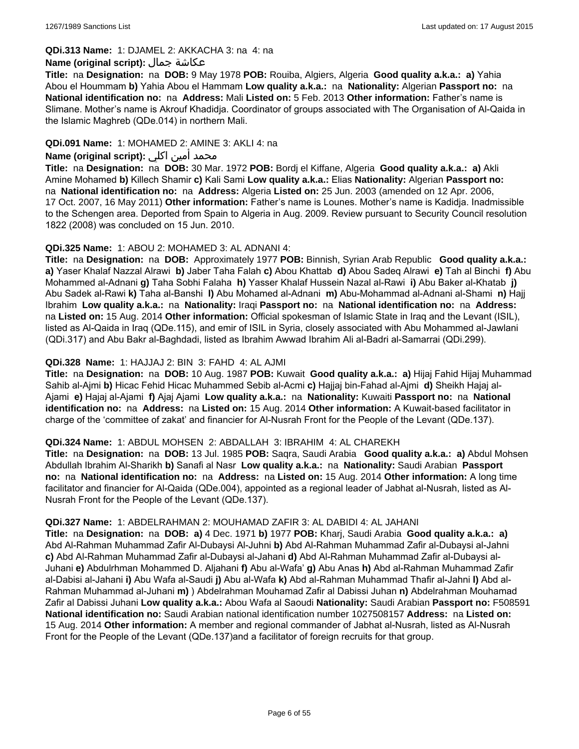#### **QDi.313 Name:** 1: DJAMEL 2: AKKACHA 3: na 4: na

#### **Name (original script):** جمال عكاشة

**Title:** na **Designation:** na **DOB:** 9 May 1978 **POB:** Rouiba, Algiers, Algeria **Good quality a.k.a.: a)** Yahia Abou el Hoummam **b)** Yahia Abou el Hammam **Low quality a.k.a.:** na **Nationality:** Algerian **Passport no:** na **National identification no:** na **Address:** Mali **Listed on:** 5 Feb. 2013 **Other information:** Father's name is Slimane. Mother's name is Akrouf Khadidja. Coordinator of groups associated with The Organisation of Al-Qaida in the Islamic Maghreb (QDe.014) in northern Mali.

## **QDi.091 Name:** 1: MOHAMED 2: AMINE 3: AKLI 4: na

## محمد أمين اكلي **:Name (original script)**

**Title:** na **Designation:** na **DOB:** 30 Mar. 1972 **POB:** Bordj el Kiffane, Algeria **Good quality a.k.a.: a)** Akli Amine Mohamed **b)** Killech Shamir **c)** Kali Sami **Low quality a.k.a.:** Elias **Nationality:** Algerian **Passport no:**  na **National identification no:** na **Address:** Algeria **Listed on:** 25 Jun. 2003 (amended on 12 Apr. 2006, 17 Oct. 2007, 16 May 2011) **Other information:** Father's name is Lounes. Mother's name is Kadidja. Inadmissible to the Schengen area. Deported from Spain to Algeria in Aug. 2009. Review pursuant to Security Council resolution 1822 (2008) was concluded on 15 Jun. 2010.

#### **QDi.325 Name:** 1: ABOU 2: MOHAMED 3: AL ADNANI 4:

**Title:** na **Designation:** na **DOB:** Approximately 1977 **POB:** Binnish, Syrian Arab Republic **Good quality a.k.a.: a)** Yaser Khalaf Nazzal Alrawi **b)** Jaber Taha Falah **c)** Abou Khattab **d)** Abou Sadeq Alrawi **e)** Tah al Binchi **f)** Abu Mohammed al-Adnani **g)** Taha Sobhi Falaha **h)** Yasser Khalaf Hussein Nazal al-Rawi **i)** Abu Baker al-Khatab **j)** Abu Sadek al-Rawi **k)** Taha al-Banshi **l)** Abu Mohamed al-Adnani **m)** Abu-Mohammad al-Adnani al-Shami **n)** Hajj Ibrahim **Low quality a.k.a.:** na **Nationality:** Iraqi **Passport no:** na **National identification no:** na **Address:**  na **Listed on:** 15 Aug. 2014 **Other information:** Official spokesman of Islamic State in Iraq and the Levant (ISIL), listed as Al-Qaida in Iraq (QDe.115), and emir of ISIL in Syria, closely associated with Abu Mohammed al-Jawlani (QDi.317) and Abu Bakr al-Baghdadi, listed as Ibrahim Awwad Ibrahim Ali al-Badri al-Samarrai (QDi.299).

#### **QDi.328 Name:** 1: HAJJAJ 2: BIN 3: FAHD 4: AL AJMI

**Title:** na **Designation:** na **DOB:** 10 Aug. 1987 **POB:** Kuwait **Good quality a.k.a.: a)** Hijaj Fahid Hijaj Muhammad Sahib al-Ajmi **b)** Hicac Fehid Hicac Muhammed Sebib al-Acmi **c)** Hajjaj bin-Fahad al-Ajmi **d)** Sheikh Hajaj al-Ajami **e)** Hajaj al-Ajami **f)** Ajaj Ajami **Low quality a.k.a.:** na **Nationality:** Kuwaiti **Passport no:** na **National identification no:** na **Address:** na **Listed on:** 15 Aug. 2014 **Other information:** A Kuwait-based facilitator in charge of the 'committee of zakat' and financier for Al-Nusrah Front for the People of the Levant (QDe.137).

#### **QDi.324 Name:** 1: ABDUL MOHSEN 2: ABDALLAH 3: IBRAHIM 4: AL CHAREKH

**Title:** na **Designation:** na **DOB:** 13 Jul. 1985 **POB:** Saqra, Saudi Arabia **Good quality a.k.a.: a)** Abdul Mohsen Abdullah Ibrahim Al-Sharikh **b)** Sanafi al Nasr **Low quality a.k.a.:** na **Nationality:** Saudi Arabian **Passport no:** na **National identification no:** na **Address:** na **Listed on:** 15 Aug. 2014 **Other information:** A long time facilitator and financier for Al-Qaida (QDe.004), appointed as a regional leader of Jabhat al-Nusrah, listed as Al-Nusrah Front for the People of the Levant (QDe.137).

#### **QDi.327 Name:** 1: ABDELRAHMAN 2: MOUHAMAD ZAFIR 3: AL DABIDI 4: AL JAHANI

**Title:** na **Designation:** na **DOB: a)** 4 Dec. 1971 **b)** 1977 **POB:** Kharj, Saudi Arabia **Good quality a.k.a.: a)** Abd Al-Rahman Muhammad Zafir Al-Dubaysi Al-Juhni **b)** Abd Al-Rahman Muhammad Zafir al-Dubaysi al-Jahni **c)** Abd Al-Rahman Muhammad Zafir al-Dubaysi al-Jahani **d)** Abd Al-Rahman Muhammad Zafir al-Dubaysi al-Juhani **e)** Abdulrhman Mohammed D. Aljahani **f)** Abu al-Wafa' **g)** Abu Anas **h)** Abd al-Rahman Muhammad Zafir al-Dabisi al-Jahani **i)** Abu Wafa al-Saudi **j)** Abu al-Wafa **k)** Abd al-Rahman Muhammad Thafir al-Jahni **l)** Abd al-Rahman Muhammad al-Juhani **m)** ) Abdelrahman Mouhamad Zafir al Dabissi Juhan **n)** Abdelrahman Mouhamad Zafir al Dabissi Juhani **Low quality a.k.a.:** Abou Wafa al Saoudi **Nationality:** Saudi Arabian **Passport no:** F508591 **National identification no:** Saudi Arabian national identification number 1027508157 **Address:** na **Listed on:** 15 Aug. 2014 **Other information:** A member and regional commander of Jabhat al-Nusrah, listed as Al-Nusrah Front for the People of the Levant (QDe.137)and a facilitator of foreign recruits for that group.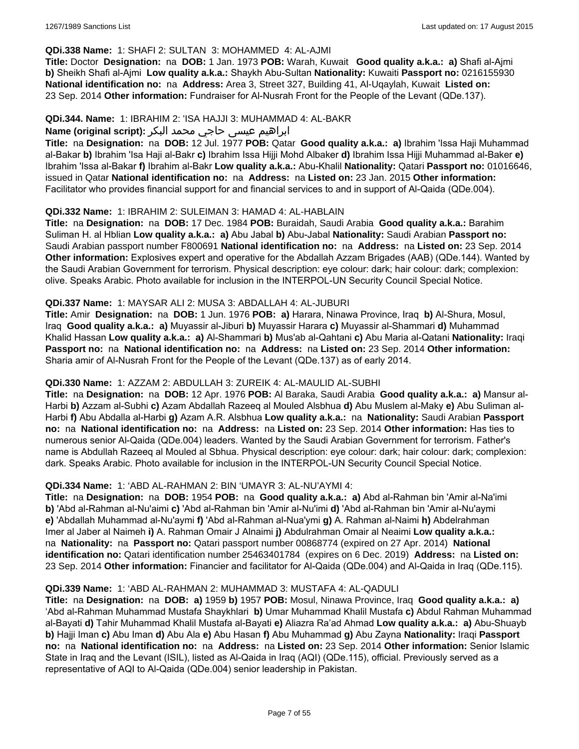#### **QDi.338 Name:** 1: SHAFI 2: SULTAN 3: MOHAMMED 4: AL-AJMI

**Title:** Doctor **Designation:** na **DOB:** 1 Jan. 1973 **POB:** Warah, Kuwait **Good quality a.k.a.: a)** Shafi al-Ajmi **b)** Sheikh Shafi al-Ajmi **Low quality a.k.a.:** Shaykh Abu-Sultan **Nationality:** Kuwaiti **Passport no:** 0216155930 **National identification no:** na **Address:** Area 3, Street 327, Building 41, Al-Uqaylah, Kuwait **Listed on:** 23 Sep. 2014 **Other information:** Fundraiser for Al-Nusrah Front for the People of the Levant (QDe.137).

#### **QDi.344. Name:** 1: IBRAHIM 2: 'ISA HAJJI 3: MUHAMMAD 4: AL-BAKR

## ابراهیم عیسی حاجي محمد البکر **:(script original (Name**

**Title:** na **Designation:** na **DOB:** 12 Jul. 1977 **POB:** Qatar **Good quality a.k.a.: a)** Ibrahim 'Issa Haji Muhammad al-Bakar **b)** Ibrahim 'Isa Haji al-Bakr **c)** Ibrahim Issa Hijji Mohd Albaker **d)** Ibrahim Issa Hijji Muhammad al-Baker **e)** Ibrahim 'Issa al-Bakar **f)** Ibrahim al-Bakr **Low quality a.k.a.:** Abu-Khalil **Nationality:** Qatari **Passport no:** 01016646, issued in Qatar **National identification no:** na **Address:** na **Listed on:** 23 Jan. 2015 **Other information:** Facilitator who provides financial support for and financial services to and in support of Al-Qaida (QDe.004).

#### **QDi.332 Name:** 1: IBRAHIM 2: SULEIMAN 3: HAMAD 4: AL-HABLAIN

**Title:** na **Designation:** na **DOB:** 17 Dec. 1984 **POB:** Buraidah, Saudi Arabia **Good quality a.k.a.:** Barahim Suliman H. al Hblian **Low quality a.k.a.: a)** Abu Jabal **b)** Abu-Jabal **Nationality:** Saudi Arabian **Passport no:** Saudi Arabian passport number F800691 **National identification no:** na **Address:** na **Listed on:** 23 Sep. 2014 **Other information:** Explosives expert and operative for the Abdallah Azzam Brigades (AAB) (QDe.144). Wanted by the Saudi Arabian Government for terrorism. Physical description: eye colour: dark; hair colour: dark; complexion: olive. Speaks Arabic. Photo available for inclusion in the INTERPOL-UN Security Council Special Notice.

#### **QDi.337 Name:** 1: MAYSAR ALI 2: MUSA 3: ABDALLAH 4: AL-JUBURI

**Title:** Amir **Designation:** na **DOB:** 1 Jun. 1976 **POB: a)** Harara, Ninawa Province, Iraq **b)** Al-Shura, Mosul, Iraq **Good quality a.k.a.: a)** Muyassir al-Jiburi **b)** Muyassir Harara **c)** Muyassir al-Shammari **d)** Muhammad Khalid Hassan **Low quality a.k.a.: a)** Al-Shammari **b)** Mus'ab al-Qahtani **c)** Abu Maria al-Qatani **Nationality:** Iraqi **Passport no:** na **National identification no:** na **Address:** na **Listed on:** 23 Sep. 2014 **Other information:** Sharia amir of Al-Nusrah Front for the People of the Levant (QDe.137) as of early 2014.

## **QDi.330 Name:** 1: AZZAM 2: ABDULLAH 3: ZUREIK 4: AL-MAULID AL-SUBHI

**Title:** na **Designation:** na **DOB:** 12 Apr. 1976 **POB:** Al Baraka, Saudi Arabia **Good quality a.k.a.: a)** Mansur al-Harbi **b)** Azzam al-Subhi **c)** Azam Abdallah Razeeq al Mouled Alsbhua **d)** Abu Muslem al-Maky **e)** Abu Suliman al-Harbi **f)** Abu Abdalla al-Harbi **g)** Azam A.R. Alsbhua **Low quality a.k.a.:** na **Nationality:** Saudi Arabian **Passport no:** na **National identification no:** na **Address:** na **Listed on:** 23 Sep. 2014 **Other information:** Has ties to numerous senior Al-Qaida (QDe.004) leaders. Wanted by the Saudi Arabian Government for terrorism. Father's name is Abdullah Razeeq al Mouled al Sbhua. Physical description: eye colour: dark; hair colour: dark; complexion: dark. Speaks Arabic. Photo available for inclusion in the INTERPOL-UN Security Council Special Notice.

## **QDi.334 Name:** 1: 'ABD AL-RAHMAN 2: BIN 'UMAYR 3: AL-NU'AYMI 4:

**Title:** na **Designation:** na **DOB:** 1954 **POB:** na **Good quality a.k.a.: a)** Abd al-Rahman bin 'Amir al-Na'imi **b)** 'Abd al-Rahman al-Nu'aimi **c)** 'Abd al-Rahman bin 'Amir al-Nu'imi **d)** 'Abd al-Rahman bin 'Amir al-Nu'aymi **e)** 'Abdallah Muhammad al-Nu'aymi **f)** 'Abd al-Rahman al-Nua'ymi **g)** A. Rahman al-Naimi **h)** Abdelrahman Imer al Jaber al Naimeh **i)** A. Rahman Omair J Alnaimi **j)** Abdulrahman Omair al Neaimi **Low quality a.k.a.:**  na **Nationality:** na **Passport no:** Qatari passport number 00868774 (expired on 27 Apr. 2014) **National identification no:** Qatari identification number 25463401784 (expires on 6 Dec. 2019) **Address:** na **Listed on:** 23 Sep. 2014 **Other information:** Financier and facilitator for Al-Qaida (QDe.004) and Al-Qaida in Iraq (QDe.115).

#### **QDi.339 Name:** 1: 'ABD AL-RAHMAN 2: MUHAMMAD 3: MUSTAFA 4: AL-QADULI

**Title:** na **Designation:** na **DOB: a)** 1959 **b)** 1957 **POB:** Mosul, Ninawa Province, Iraq **Good quality a.k.a.: a)** 'Abd al-Rahman Muhammad Mustafa Shaykhlari **b)** Umar Muhammad Khalil Mustafa **c)** Abdul Rahman Muhammad al-Bayati **d)** Tahir Muhammad Khalil Mustafa al-Bayati **e)** Aliazra Ra'ad Ahmad **Low quality a.k.a.: a)** Abu-Shuayb **b)** Hajji Iman **c)** Abu Iman **d)** Abu Ala **e)** Abu Hasan **f)** Abu Muhammad **g)** Abu Zayna **Nationality:** Iraqi **Passport no:** na **National identification no:** na **Address:** na **Listed on:** 23 Sep. 2014 **Other information:** Senior Islamic State in Iraq and the Levant (ISIL), listed as Al-Qaida in Iraq (AQI) (QDe.115), official. Previously served as a representative of AQI to Al-Qaida (QDe.004) senior leadership in Pakistan.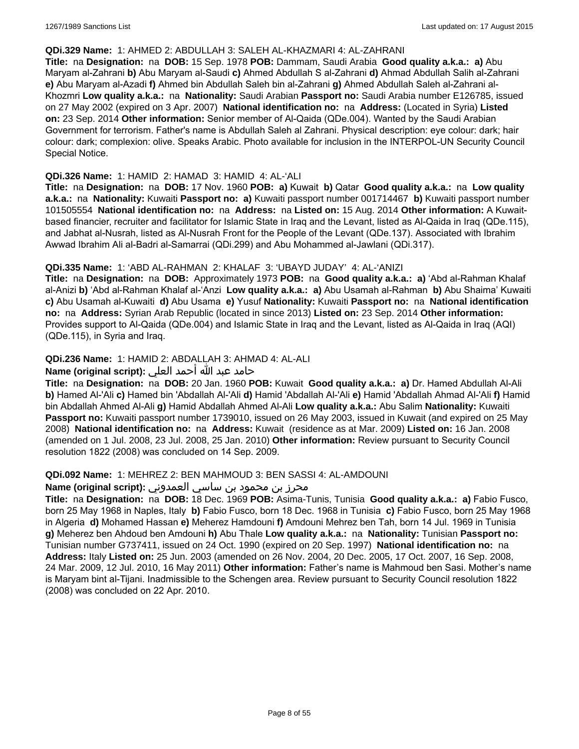#### **QDi.329 Name:** 1: AHMED 2: ABDULLAH 3: SALEH AL-KHAZMARI 4: AL-ZAHRANI

**Title:** na **Designation:** na **DOB:** 15 Sep. 1978 **POB:** Dammam, Saudi Arabia **Good quality a.k.a.: a)** Abu Maryam al-Zahrani **b)** Abu Maryam al-Saudi **c)** Ahmed Abdullah S al-Zahrani **d)** Ahmad Abdullah Salih al-Zahrani **e)** Abu Maryam al-Azadi **f)** Ahmed bin Abdullah Saleh bin al-Zahrani **g)** Ahmed Abdullah Saleh al-Zahrani al-Khozmri **Low quality a.k.a.:** na **Nationality:** Saudi Arabian **Passport no:** Saudi Arabia number E126785, issued on 27 May 2002 (expired on 3 Apr. 2007) **National identification no:** na **Address:** (Located in Syria) **Listed on:** 23 Sep. 2014 **Other information:** Senior member of Al-Qaida (QDe.004). Wanted by the Saudi Arabian Government for terrorism. Father's name is Abdullah Saleh al Zahrani. Physical description: eye colour: dark; hair colour: dark; complexion: olive. Speaks Arabic. Photo available for inclusion in the INTERPOL-UN Security Council Special Notice.

#### **QDi.326 Name:** 1: HAMID 2: HAMAD 3: HAMID 4: AL-'ALI

**Title:** na **Designation:** na **DOB:** 17 Nov. 1960 **POB: a)** Kuwait **b)** Qatar **Good quality a.k.a.:** na **Low quality a.k.a.:** na **Nationality:** Kuwaiti **Passport no: a)** Kuwaiti passport number 001714467 **b)** Kuwaiti passport number 101505554 **National identification no:** na **Address:** na **Listed on:** 15 Aug. 2014 **Other information:** A Kuwaitbased financier, recruiter and facilitator for Islamic State in Iraq and the Levant, listed as Al-Qaida in Iraq (QDe.115), and Jabhat al-Nusrah, listed as Al-Nusrah Front for the People of the Levant (QDe.137). Associated with Ibrahim Awwad Ibrahim Ali al-Badri al-Samarrai (QDi.299) and Abu Mohammed al-Jawlani (QDi.317).

## **QDi.335 Name:** 1: 'ABD AL-RAHMAN 2: KHALAF 3: 'UBAYD JUDAY' 4: AL-'ANIZI

**Title:** na **Designation:** na **DOB:** Approximately 1973 **POB:** na **Good quality a.k.a.: a)** 'Abd al-Rahman Khalaf al-Anizi **b)** 'Abd al-Rahman Khalaf al-'Anzi **Low quality a.k.a.: a)** Abu Usamah al-Rahman **b)** Abu Shaima' Kuwaiti **c)** Abu Usamah al-Kuwaiti **d)** Abu Usama **e)** Yusuf **Nationality:** Kuwaiti **Passport no:** na **National identification no:** na **Address:** Syrian Arab Republic (located in since 2013) **Listed on:** 23 Sep. 2014 **Other information:** Provides support to Al-Qaida (QDe.004) and Islamic State in Iraq and the Levant, listed as Al-Qaida in Iraq (AQI) (QDe.115), in Syria and Iraq.

## **QDi.236 Name:** 1: HAMID 2: ABDALLAH 3: AHMAD 4: AL-ALI

## حامد عبد الله أحمد العلي **:(script original (Name**

**Title:** na **Designation:** na **DOB:** 20 Jan. 1960 **POB:** Kuwait **Good quality a.k.a.: a)** Dr. Hamed Abdullah Al-Ali **b)** Hamed Al-'Ali **c)** Hamed bin 'Abdallah Al-'Ali **d)** Hamid 'Abdallah Al-'Ali **e)** Hamid 'Abdallah Ahmad Al-'Ali **f)** Hamid bin Abdallah Ahmed Al-Ali **g)** Hamid Abdallah Ahmed Al-Ali **Low quality a.k.a.:** Abu Salim **Nationality:** Kuwaiti **Passport no:** Kuwaiti passport number 1739010, issued on 26 May 2003, issued in Kuwait (and expired on 25 May 2008) **National identification no:** na **Address:** Kuwait (residence as at Mar. 2009) **Listed on:** 16 Jan. 2008 (amended on 1 Jul. 2008, 23 Jul. 2008, 25 Jan. 2010) **Other information:** Review pursuant to Security Council resolution 1822 (2008) was concluded on 14 Sep. 2009.

#### **QDi.092 Name:** 1: MEHREZ 2: BEN MAHMOUD 3: BEN SASSI 4: AL-AMDOUNI

### محرز بن محمود بن ساسي العمدوني **:Name (original script**)

**Title:** na **Designation:** na **DOB:** 18 Dec. 1969 **POB:** Asima-Tunis, Tunisia **Good quality a.k.a.: a)** Fabio Fusco, born 25 May 1968 in Naples, Italy **b)** Fabio Fusco, born 18 Dec. 1968 in Tunisia **c)** Fabio Fusco, born 25 May 1968 in Algeria **d)** Mohamed Hassan **e)** Meherez Hamdouni **f)** Amdouni Mehrez ben Tah, born 14 Jul. 1969 in Tunisia **g)** Meherez ben Ahdoud ben Amdouni **h)** Abu Thale **Low quality a.k.a.:** na **Nationality:** Tunisian **Passport no:** Tunisian number G737411, issued on 24 Oct. 1990 (expired on 20 Sep. 1997) **National identification no:** na **Address:** Italy **Listed on:** 25 Jun. 2003 (amended on 26 Nov. 2004, 20 Dec. 2005, 17 Oct. 2007, 16 Sep. 2008, 24 Mar. 2009, 12 Jul. 2010, 16 May 2011) **Other information:** Father's name is Mahmoud ben Sasi. Mother's name is Maryam bint al-Tijani. Inadmissible to the Schengen area. Review pursuant to Security Council resolution 1822 (2008) was concluded on 22 Apr. 2010.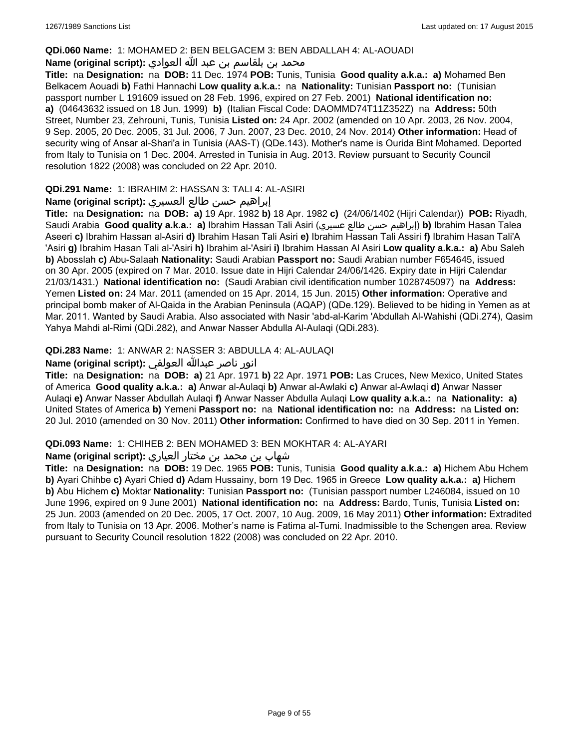#### **QDi.060 Name:** 1: MOHAMED 2: BEN BELGACEM 3: BEN ABDALLAH 4: AL-AOUADI

## محمد بن بلقاسم بن عبد الله العوادي **:**Name (original script)

**Title:** na **Designation:** na **DOB:** 11 Dec. 1974 **POB:** Tunis, Tunisia **Good quality a.k.a.: a)** Mohamed Ben Belkacem Aouadi **b)** Fathi Hannachi **Low quality a.k.a.:** na **Nationality:** Tunisian **Passport no:** (Tunisian passport number L 191609 issued on 28 Feb. 1996, expired on 27 Feb. 2001) **National identification no: a)** (04643632 issued on 18 Jun. 1999) **b)** (Italian Fiscal Code: DAOMMD74T11Z352Z) na **Address:** 50th Street, Number 23, Zehrouni, Tunis, Tunisia **Listed on:** 24 Apr. 2002 (amended on 10 Apr. 2003, 26 Nov. 2004, 9 Sep. 2005, 20 Dec. 2005, 31 Jul. 2006, 7 Jun. 2007, 23 Dec. 2010, 24 Nov. 2014) **Other information:** Head of security wing of Ansar al-Shari'a in Tunisia (AAS-T) (QDe.143). Mother's name is Ourida Bint Mohamed. Deported from Italy to Tunisia on 1 Dec. 2004. Arrested in Tunisia in Aug. 2013. Review pursuant to Security Council resolution 1822 (2008) was concluded on 22 Apr. 2010.

### **QDi.291 Name:** 1: IBRAHIM 2: HASSAN 3: TALI 4: AL-ASIRI

#### إبراهيم حسن طالع العسيري **:(script original (Name**

**Title:** na **Designation:** na **DOB: a)** 19 Apr. 1982 **b)** 18 Apr. 1982 **c)** (24/06/1402 (Hijri Calendar)) **POB:** Riyadh, Saudi Arabia **Good quality a.k.a.: a)** Ibrahim Hassan Tali Asiri (عسيري طالع حسن إبراهيم(**b)** Ibrahim Hasan Talea Aseeri **c)** Ibrahim Hassan al-Asiri **d)** Ibrahim Hasan Tali Asiri **e)** Ibrahim Hassan Tali Assiri **f)** Ibrahim Hasan Tali'A 'Asiri **g)** Ibrahim Hasan Tali al-'Asiri **h)** Ibrahim al-'Asiri **i)** Ibrahim Hassan Al Asiri **Low quality a.k.a.: a)** Abu Saleh **b)** Abosslah **c)** Abu-Salaah **Nationality:** Saudi Arabian **Passport no:** Saudi Arabian number F654645, issued on 30 Apr. 2005 (expired on 7 Mar. 2010. Issue date in Hijri Calendar 24/06/1426. Expiry date in Hijri Calendar 21/03/1431.) **National identification no:** (Saudi Arabian civil identification number 1028745097) na **Address:** Yemen **Listed on:** 24 Mar. 2011 (amended on 15 Apr. 2014, 15 Jun. 2015) **Other information:** Operative and principal bomb maker of Al-Qaida in the Arabian Peninsula (AQAP) (QDe.129). Believed to be hiding in Yemen as at Mar. 2011. Wanted by Saudi Arabia. Also associated with Nasir 'abd-al-Karim 'Abdullah Al-Wahishi (QDi.274), Qasim Yahya Mahdi al-Rimi (QDi.282), and Anwar Nasser Abdulla Al-Aulaqi (QDi.283).

## **QDi.283 Name:** 1: ANWAR 2: NASSER 3: ABDULLA 4: AL-AULAQI

## انور ناصر عبدالله العولقي **:(script original (Name**

**Title:** na **Designation:** na **DOB: a)** 21 Apr. 1971 **b)** 22 Apr. 1971 **POB:** Las Cruces, New Mexico, United States of America **Good quality a.k.a.: a)** Anwar al-Aulaqi **b)** Anwar al-Awlaki **c)** Anwar al-Awlaqi **d)** Anwar Nasser Aulaqi **e)** Anwar Nasser Abdullah Aulaqi **f)** Anwar Nasser Abdulla Aulaqi **Low quality a.k.a.:** na **Nationality: a)** United States of America **b)** Yemeni **Passport no:** na **National identification no:** na **Address:** na **Listed on:** 20 Jul. 2010 (amended on 30 Nov. 2011) **Other information:** Confirmed to have died on 30 Sep. 2011 in Yemen.

#### **QDi.093 Name:** 1: CHIHEB 2: BEN MOHAMED 3: BEN MOKHTAR 4: AL-AYARI

## شهاب بن محمد بن مختار العياري **:(script original (Name**

**Title:** na **Designation:** na **DOB:** 19 Dec. 1965 **POB:** Tunis, Tunisia **Good quality a.k.a.: a)** Hichem Abu Hchem **b)** Ayari Chihbe **c)** Ayari Chied **d)** Adam Hussainy, born 19 Dec. 1965 in Greece **Low quality a.k.a.: a)** Hichem **b)** Abu Hichem **c)** Moktar **Nationality:** Tunisian **Passport no:** (Tunisian passport number L246084, issued on 10 June 1996, expired on 9 June 2001) **National identification no:** na **Address:** Bardo, Tunis, Tunisia **Listed on:** 25 Jun. 2003 (amended on 20 Dec. 2005, 17 Oct. 2007, 10 Aug. 2009, 16 May 2011) **Other information:** Extradited from Italy to Tunisia on 13 Apr. 2006. Mother's name is Fatima al-Tumi. Inadmissible to the Schengen area. Review pursuant to Security Council resolution 1822 (2008) was concluded on 22 Apr. 2010.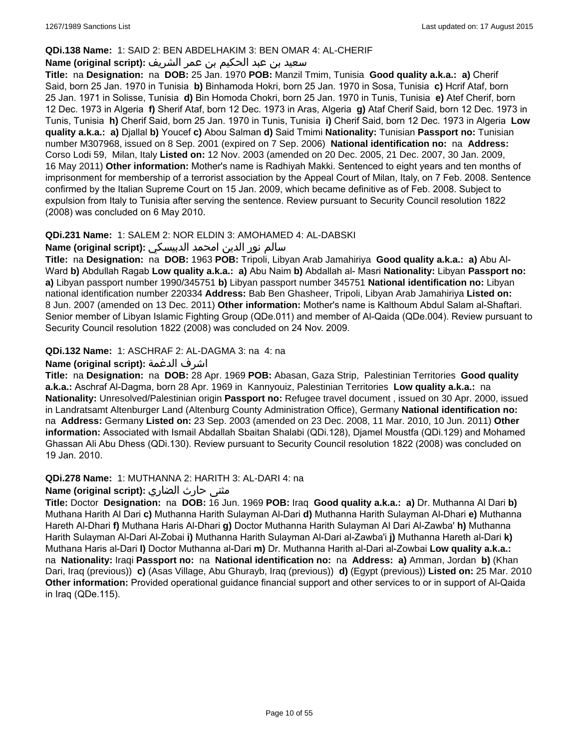### **QDi.138 Name:** 1: SAID 2: BEN ABDELHAKIM 3: BEN OMAR 4: AL-CHERIF

## سعيد بن عبد الحكيم بن عمر الشريف **:(script original (Name**

**Title:** na **Designation:** na **DOB:** 25 Jan. 1970 **POB:** Manzil Tmim, Tunisia **Good quality a.k.a.: a)** Cherif Said, born 25 Jan. 1970 in Tunisia **b)** Binhamoda Hokri, born 25 Jan. 1970 in Sosa, Tunisia **c)** Hcrif Ataf, born 25 Jan. 1971 in Solisse, Tunisia **d)** Bin Homoda Chokri, born 25 Jan. 1970 in Tunis, Tunisia **e)** Atef Cherif, born 12 Dec. 1973 in Algeria **f)** Sherif Ataf, born 12 Dec. 1973 in Aras, Algeria **g)** Ataf Cherif Said, born 12 Dec. 1973 in Tunis, Tunisia **h)** Cherif Said, born 25 Jan. 1970 in Tunis, Tunisia **i)** Cherif Said, born 12 Dec. 1973 in Algeria **Low quality a.k.a.: a)** Djallal **b)** Youcef **c)** Abou Salman **d)** Said Tmimi **Nationality:** Tunisian **Passport no:** Tunisian number M307968, issued on 8 Sep. 2001 (expired on 7 Sep. 2006) **National identification no:** na **Address:** Corso Lodi 59, Milan, Italy **Listed on:** 12 Nov. 2003 (amended on 20 Dec. 2005, 21 Dec. 2007, 30 Jan. 2009, 16 May 2011) **Other information:** Mother's name is Radhiyah Makki. Sentenced to eight years and ten months of imprisonment for membership of a terrorist association by the Appeal Court of Milan, Italy, on 7 Feb. 2008. Sentence confirmed by the Italian Supreme Court on 15 Jan. 2009, which became definitive as of Feb. 2008. Subject to expulsion from Italy to Tunisia after serving the sentence. Review pursuant to Security Council resolution 1822 (2008) was concluded on 6 May 2010.

## **QDi.231 Name:** 1: SALEM 2: NOR ELDIN 3: AMOHAMED 4: AL-DABSKI

### سالم نور الدين امحمد الدبيسكي **:(script original (Name**

**Title:** na **Designation:** na **DOB:** 1963 **POB:** Tripoli, Libyan Arab Jamahiriya **Good quality a.k.a.: a)** Abu Al-Ward **b)** Abdullah Ragab **Low quality a.k.a.: a)** Abu Naim **b)** Abdallah al- Masri **Nationality:** Libyan **Passport no: a)** Libyan passport number 1990/345751 **b)** Libyan passport number 345751 **National identification no:** Libyan national identification number 220334 **Address:** Bab Ben Ghasheer, Tripoli, Libyan Arab Jamahiriya **Listed on:** 8 Jun. 2007 (amended on 13 Dec. 2011) **Other information:** Mother's name is Kalthoum Abdul Salam al-Shaftari. Senior member of Libyan Islamic Fighting Group (QDe.011) and member of Al-Qaida (QDe.004). Review pursuant to Security Council resolution 1822 (2008) was concluded on 24 Nov. 2009.

## **QDi.132 Name:** 1: ASCHRAF 2: AL-DAGMA 3: na 4: na

## **Name (original script):** الدغمة اشرف

**Title:** na **Designation:** na **DOB:** 28 Apr. 1969 **POB:** Abasan, Gaza Strip, Palestinian Territories **Good quality a.k.a.:** Aschraf Al-Dagma, born 28 Apr. 1969 in Kannyouiz, Palestinian Territories **Low quality a.k.a.:** na **Nationality:** Unresolved/Palestinian origin **Passport no:** Refugee travel document , issued on 30 Apr. 2000, issued in Landratsamt Altenburger Land (Altenburg County Administration Office), Germany **National identification no:**  na **Address:** Germany **Listed on:** 23 Sep. 2003 (amended on 23 Dec. 2008, 11 Mar. 2010, 10 Jun. 2011) **Other information:** Associated with Ismail Abdallah Sbaitan Shalabi (QDi.128), Djamel Moustfa (QDi.129) and Mohamed Ghassan Ali Abu Dhess (QDi.130). Review pursuant to Security Council resolution 1822 (2008) was concluded on 19 Jan. 2010.

## **QDi.278 Name:** 1: MUTHANNA 2: HARITH 3: AL-DARI 4: na

## مثنى حارث الضاري :Name (original script)

**Title:** Doctor **Designation:** na **DOB:** 16 Jun. 1969 **POB:** Iraq **Good quality a.k.a.: a)** Dr. Muthanna Al Dari **b)** Muthana Harith Al Dari **c)** Muthanna Harith Sulayman Al-Dari **d)** Muthanna Harith Sulayman Al-Dhari **e)** Muthanna Hareth Al-Dhari **f)** Muthana Haris Al-Dhari **g)** Doctor Muthanna Harith Sulayman Al Dari Al-Zawba' **h)** Muthanna Harith Sulayman Al-Dari Al-Zobai **i)** Muthanna Harith Sulayman Al-Dari al-Zawba'i **j)** Muthanna Hareth al-Dari **k)** Muthana Haris al-Dari **l)** Doctor Muthanna al-Dari **m)** Dr. Muthanna Harith al-Dari al-Zowbai **Low quality a.k.a.:**  na **Nationality:** Iraqi **Passport no:** na **National identification no:** na **Address: a)** Amman, Jordan **b)** (Khan Dari, Iraq (previous)) **c)** (Asas Village, Abu Ghurayb, Iraq (previous)) **d)** (Egypt (previous)) **Listed on:** 25 Mar. 2010 **Other information:** Provided operational guidance financial support and other services to or in support of Al-Qaida in Iraq (QDe.115).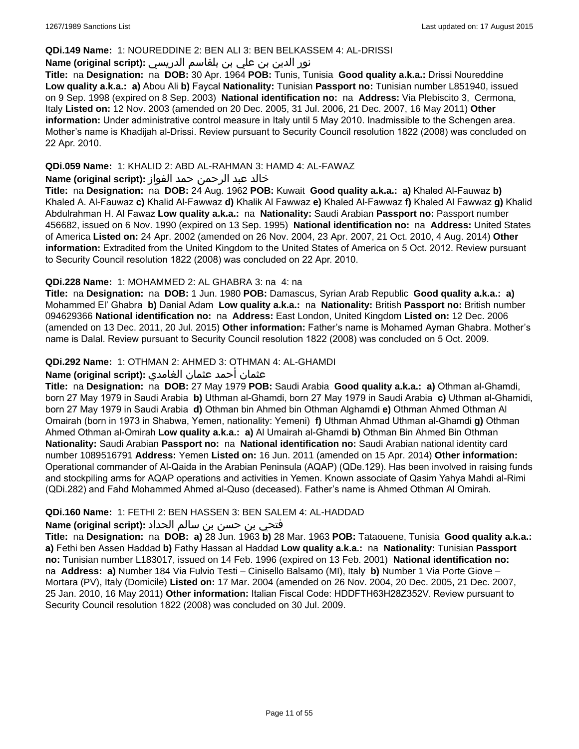#### **QDi.149 Name:** 1: NOUREDDINE 2: BEN ALI 3: BEN BELKASSEM 4: AL-DRISSI

## نور الدين بن علي بن بلقاسم الدريسي **:(script original (Name**

**Title:** na **Designation:** na **DOB:** 30 Apr. 1964 **POB:** Tunis, Tunisia **Good quality a.k.a.:** Drissi Noureddine **Low quality a.k.a.: a)** Abou Ali **b)** Faycal **Nationality:** Tunisian **Passport no:** Tunisian number L851940, issued on 9 Sep. 1998 (expired on 8 Sep. 2003) **National identification no:** na **Address:** Via Plebiscito 3, Cermona, Italy **Listed on:** 12 Nov. 2003 (amended on 20 Dec. 2005, 31 Jul. 2006, 21 Dec. 2007, 16 May 2011) **Other information:** Under administrative control measure in Italy until 5 May 2010. Inadmissible to the Schengen area. Mother's name is Khadijah al-Drissi. Review pursuant to Security Council resolution 1822 (2008) was concluded on 22 Apr. 2010.

## **QDi.059 Name:** 1: KHALID 2: ABD AL-RAHMAN 3: HAMD 4: AL-FAWAZ

## خالد عبد الرحمن حمد الفواز **:(script original (Name**

**Title:** na **Designation:** na **DOB:** 24 Aug. 1962 **POB:** Kuwait **Good quality a.k.a.: a)** Khaled Al-Fauwaz **b)** Khaled A. Al-Fauwaz **c)** Khalid Al-Fawwaz **d)** Khalik Al Fawwaz **e)** Khaled Al-Fawwaz **f)** Khaled Al Fawwaz **g)** Khalid Abdulrahman H. Al Fawaz **Low quality a.k.a.:** na **Nationality:** Saudi Arabian **Passport no:** Passport number 456682, issued on 6 Nov. 1990 (expired on 13 Sep. 1995) **National identification no:** na **Address:** United States of America **Listed on:** 24 Apr. 2002 (amended on 26 Nov. 2004, 23 Apr. 2007, 21 Oct. 2010, 4 Aug. 2014) **Other information:** Extradited from the United Kingdom to the United States of America on 5 Oct. 2012. Review pursuant to Security Council resolution 1822 (2008) was concluded on 22 Apr. 2010.

## **QDi.228 Name:** 1: MOHAMMED 2: AL GHABRA 3: na 4: na

**Title:** na **Designation:** na **DOB:** 1 Jun. 1980 **POB:** Damascus, Syrian Arab Republic **Good quality a.k.a.: a)** Mohammed El' Ghabra **b)** Danial Adam **Low quality a.k.a.:** na **Nationality:** British **Passport no:** British number 094629366 **National identification no:** na **Address:** East London, United Kingdom **Listed on:** 12 Dec. 2006 (amended on 13 Dec. 2011, 20 Jul. 2015) **Other information:** Father's name is Mohamed Ayman Ghabra. Mother's name is Dalal. Review pursuant to Security Council resolution 1822 (2008) was concluded on 5 Oct. 2009.

## **QDi.292 Name:** 1: OTHMAN 2: AHMED 3: OTHMAN 4: AL-GHAMDI

## عثمان أحمد عثمان الغامدي **:(script original (Name**

**Title:** na **Designation:** na **DOB:** 27 May 1979 **POB:** Saudi Arabia **Good quality a.k.a.: a)** Othman al-Ghamdi, born 27 May 1979 in Saudi Arabia **b)** Uthman al-Ghamdi, born 27 May 1979 in Saudi Arabia **c)** Uthman al-Ghamidi, born 27 May 1979 in Saudi Arabia **d)** Othman bin Ahmed bin Othman Alghamdi **e)** Othman Ahmed Othman Al Omairah (born in 1973 in Shabwa, Yemen, nationality: Yemeni) **f)** Uthman Ahmad Uthman al-Ghamdi **g)** Othman Ahmed Othman al-Omirah **Low quality a.k.a.: a)** Al Umairah al-Ghamdi **b)** Othman Bin Ahmed Bin Othman **Nationality:** Saudi Arabian **Passport no:** na **National identification no:** Saudi Arabian national identity card number 1089516791 **Address:** Yemen **Listed on:** 16 Jun. 2011 (amended on 15 Apr. 2014) **Other information:** Operational commander of Al-Qaida in the Arabian Peninsula (AQAP) (QDe.129). Has been involved in raising funds and stockpiling arms for AQAP operations and activities in Yemen. Known associate of Qasim Yahya Mahdi al-Rimi (QDi.282) and Fahd Mohammed Ahmed al-Quso (deceased). Father's name is Ahmed Othman Al Omirah.

## **QDi.160 Name:** 1: FETHI 2: BEN HASSEN 3: BEN SALEM 4: AL-HADDAD

## فتحي بن حسن بن سالم الحداد **:(script original (Name**

**Title:** na **Designation:** na **DOB: a)** 28 Jun. 1963 **b)** 28 Mar. 1963 **POB:** Tataouene, Tunisia **Good quality a.k.a.: a)** Fethi ben Assen Haddad **b)** Fathy Hassan al Haddad **Low quality a.k.a.:** na **Nationality:** Tunisian **Passport no:** Tunisian number L183017, issued on 14 Feb. 1996 (expired on 13 Feb. 2001) **National identification no:**  na **Address: a)** Number 184 Via Fulvio Testi – Cinisello Balsamo (MI), Italy **b)** Number 1 Via Porte Giove – Mortara (PV), Italy (Domicile) **Listed on:** 17 Mar. 2004 (amended on 26 Nov. 2004, 20 Dec. 2005, 21 Dec. 2007, 25 Jan. 2010, 16 May 2011) **Other information:** Italian Fiscal Code: HDDFTH63H28Z352V. Review pursuant to Security Council resolution 1822 (2008) was concluded on 30 Jul. 2009.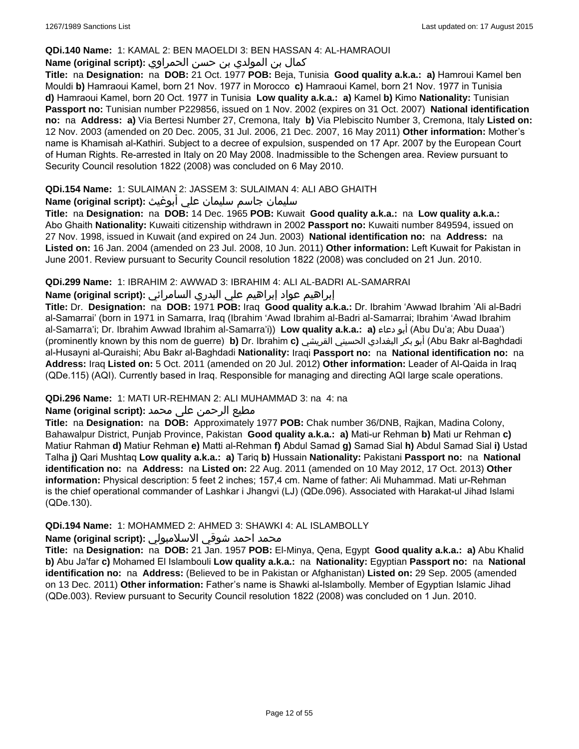### **QDi.140 Name:** 1: KAMAL 2: BEN MAOELDI 3: BEN HASSAN 4: AL-HAMRAOUI

## كمال بن المولدي بن حسن الحمراوي **:(script original (Name**

**Title:** na **Designation:** na **DOB:** 21 Oct. 1977 **POB:** Beja, Tunisia **Good quality a.k.a.: a)** Hamroui Kamel ben Mouldi **b)** Hamraoui Kamel, born 21 Nov. 1977 in Morocco **c)** Hamraoui Kamel, born 21 Nov. 1977 in Tunisia **d)** Hamraoui Kamel, born 20 Oct. 1977 in Tunisia **Low quality a.k.a.: a)** Kamel **b)** Kimo **Nationality:** Tunisian **Passport no:** Tunisian number P229856, issued on 1 Nov. 2002 (expires on 31 Oct. 2007) **National identification no:** na **Address: a)** Via Bertesi Number 27, Cremona, Italy **b)** Via Plebiscito Number 3, Cremona, Italy **Listed on:** 12 Nov. 2003 (amended on 20 Dec. 2005, 31 Jul. 2006, 21 Dec. 2007, 16 May 2011) **Other information:** Mother's name is Khamisah al-Kathiri. Subject to a decree of expulsion, suspended on 17 Apr. 2007 by the European Court of Human Rights. Re-arrested in Italy on 20 May 2008. Inadmissible to the Schengen area. Review pursuant to Security Council resolution 1822 (2008) was concluded on 6 May 2010.

## **QDi.154 Name:** 1: SULAIMAN 2: JASSEM 3: SULAIMAN 4: ALI ABO GHAITH

## سليمان جاسم سليمان علي أبوغيث **:(script original (Name**

**Title:** na **Designation:** na **DOB:** 14 Dec. 1965 **POB:** Kuwait **Good quality a.k.a.:** na **Low quality a.k.a.:** Abo Ghaith **Nationality:** Kuwaiti citizenship withdrawn in 2002 **Passport no:** Kuwaiti number 849594, issued on 27 Nov. 1998, issued in Kuwait (and expired on 24 Jun. 2003) **National identification no:** na **Address:** na **Listed on:** 16 Jan. 2004 (amended on 23 Jul. 2008, 10 Jun. 2011) **Other information:** Left Kuwait for Pakistan in June 2001. Review pursuant to Security Council resolution 1822 (2008) was concluded on 21 Jun. 2010.

## **QDi.299 Name:** 1: IBRAHIM 2: AWWAD 3: IBRAHIM 4: ALI AL-BADRI AL-SAMARRAI

## إبراهيم عواد إبراهيم علي البدري السامرائي **:(script original (Name**

**Title:** Dr. **Designation:** na **DOB:** 1971 **POB:** Iraq **Good quality a.k.a.:** Dr. Ibrahim 'Awwad Ibrahim 'Ali al-Badri al-Samarrai' (born in 1971 in Samarra, Iraq (Ibrahim 'Awad Ibrahim al-Badri al-Samarrai; Ibrahim 'Awad Ibrahim al-Samarra'i; Dr. Ibrahim Awwad Ibrahim al-Samarra'i)) **Low quality a.k.a.: a)** دعاء أبو) Abu Du'a; Abu Duaa') (prominently known by this nom de guerre) **b)** Dr. Ibrahim **c)** القريشي الحسيني البغدادي بكر أبو) Abu Bakr al-Baghdadi al-Husayni al-Quraishi; Abu Bakr al-Baghdadi **Nationality:** Iraqi **Passport no:** na **National identification no:** na **Address:** Iraq **Listed on:** 5 Oct. 2011 (amended on 20 Jul. 2012) **Other information:** Leader of Al-Qaida in Iraq (QDe.115) (AQI). Currently based in Iraq. Responsible for managing and directing AQI large scale operations.

## **QDi.296 Name:** 1: MATI UR-REHMAN 2: ALI MUHAMMAD 3: na 4: na

## مطیع الرحمن علی محمد **:Name (original script)**

**Title:** na **Designation:** na **DOB:** Approximately 1977 **POB:** Chak number 36/DNB, Rajkan, Madina Colony, Bahawalpur District, Punjab Province, Pakistan **Good quality a.k.a.: a)** Mati-ur Rehman **b)** Mati ur Rehman **c)** Matiur Rahman **d)** Matiur Rehman **e)** Matti al-Rehman **f)** Abdul Samad **g)** Samad Sial **h)** Abdul Samad Sial **i)** Ustad Talha **j)** Qari Mushtaq **Low quality a.k.a.: a)** Tariq **b)** Hussain **Nationality:** Pakistani **Passport no:** na **National identification no:** na **Address:** na **Listed on:** 22 Aug. 2011 (amended on 10 May 2012, 17 Oct. 2013) **Other information:** Physical description: 5 feet 2 inches; 157,4 cm. Name of father: Ali Muhammad. Mati ur-Rehman is the chief operational commander of Lashkar i Jhangvi (LJ) (QDe.096). Associated with Harakat-ul Jihad Islami (QDe.130).

## **QDi.194 Name:** 1: MOHAMMED 2: AHMED 3: SHAWKI 4: AL ISLAMBOLLY

## محمد احمد شوقي الاسلامبولي **:Name (original script**)

**Title:** na **Designation:** na **DOB:** 21 Jan. 1957 **POB:** El-Minya, Qena, Egypt **Good quality a.k.a.: a)** Abu Khalid **b)** Abu Ja'far **c)** Mohamed El Islambouli **Low quality a.k.a.:** na **Nationality:** Egyptian **Passport no:** na **National identification no:** na **Address:** (Believed to be in Pakistan or Afghanistan) **Listed on:** 29 Sep. 2005 (amended on 13 Dec. 2011) **Other information:** Father's name is Shawki al-Islambolly. Member of Egyptian Islamic Jihad (QDe.003). Review pursuant to Security Council resolution 1822 (2008) was concluded on 1 Jun. 2010.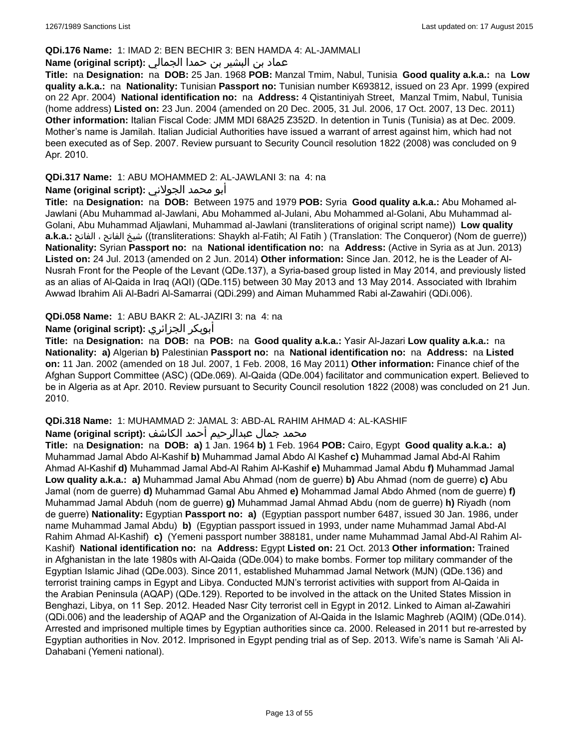#### **QDi.176 Name:** 1: IMAD 2: BEN BECHIR 3: BEN HAMDA 4: AL-JAMMALI

## عماد بن البشير بن حمدا الجمالي **:(script original (Name**

**Title:** na **Designation:** na **DOB:** 25 Jan. 1968 **POB:** Manzal Tmim, Nabul, Tunisia **Good quality a.k.a.:** na **Low quality a.k.a.:** na **Nationality:** Tunisian **Passport no:** Tunisian number K693812, issued on 23 Apr. 1999 (expired on 22 Apr. 2004) **National identification no:** na **Address:** 4 Qistantiniyah Street, Manzal Tmim, Nabul, Tunisia (home address) **Listed on:** 23 Jun. 2004 (amended on 20 Dec. 2005, 31 Jul. 2006, 17 Oct. 2007, 13 Dec. 2011) **Other information:** Italian Fiscal Code: JMM MDI 68A25 Z352D. In detention in Tunis (Tunisia) as at Dec. 2009. Mother's name is Jamilah. Italian Judicial Authorities have issued a warrant of arrest against him, which had not been executed as of Sep. 2007. Review pursuant to Security Council resolution 1822 (2008) was concluded on 9 Apr. 2010.

## **QDi.317 Name:** 1: ABU MOHAMMED 2: AL-JAWLANI 3: na 4: na

## أبو محمد الجولاني **:(script original (Name**

**Title:** na **Designation:** na **DOB:** Between 1975 and 1979 **POB:** Syria **Good quality a.k.a.:** Abu Mohamed al-Jawlani (Abu Muhammad al-Jawlani, Abu Mohammed al-Julani, Abu Mohammed al-Golani, Abu Muhammad al-Golani, Abu Muhammad Aljawlani, Muhammad al-Jawlani (transliterations of original script name)) **Low quality a.k.a.:** الفاتح ، الفاتح شيخ)) transliterations: Shaykh al-Fatih; Al Fatih ) (Translation: The Conqueror) (Nom de guerre)) **Nationality:** Syrian **Passport no:** na **National identification no:** na **Address:** (Active in Syria as at Jun. 2013) **Listed on:** 24 Jul. 2013 (amended on 2 Jun. 2014) **Other information:** Since Jan. 2012, he is the Leader of Al-Nusrah Front for the People of the Levant (QDe.137), a Syria-based group listed in May 2014, and previously listed as an alias of Al-Qaida in Iraq (AQI) (QDe.115) between 30 May 2013 and 13 May 2014. Associated with Ibrahim Awwad Ibrahim Ali Al-Badri Al-Samarrai (QDi.299) and Aiman Muhammed Rabi al-Zawahiri (QDi.006).

#### **QDi.058 Name:** 1: ABU BAKR 2: AL-JAZIRI 3: na 4: na

### **Name (original script):** الجزائري أبوبكر

**Title:** na **Designation:** na **DOB:** na **POB:** na **Good quality a.k.a.:** Yasir Al-Jazari **Low quality a.k.a.:** na **Nationality: a)** Algerian **b)** Palestinian **Passport no:** na **National identification no:** na **Address:** na **Listed on:** 11 Jan. 2002 (amended on 18 Jul. 2007, 1 Feb. 2008, 16 May 2011) **Other information:** Finance chief of the Afghan Support Committee (ASC) (QDe.069). Al-Qaida (QDe.004) facilitator and communication expert. Believed to be in Algeria as at Apr. 2010. Review pursuant to Security Council resolution 1822 (2008) was concluded on 21 Jun. 2010.

## **QDi.318 Name:** 1: MUHAMMAD 2: JAMAL 3: ABD-AL RAHIM AHMAD 4: AL-KASHIF

#### محمد جمال عبدالرحيم أحمد الكاشف **:(script original (Name**

**Title:** na **Designation:** na **DOB: a)** 1 Jan. 1964 **b)** 1 Feb. 1964 **POB:** Cairo, Egypt **Good quality a.k.a.: a)** Muhammad Jamal Abdo Al-Kashif **b)** Muhammad Jamal Abdo Al Kashef **c)** Muhammad Jamal Abd-Al Rahim Ahmad Al-Kashif **d)** Muhammad Jamal Abd-Al Rahim Al-Kashif **e)** Muhammad Jamal Abdu **f)** Muhammad Jamal **Low quality a.k.a.: a)** Muhammad Jamal Abu Ahmad (nom de guerre) **b)** Abu Ahmad (nom de guerre) **c)** Abu Jamal (nom de guerre) **d)** Muhammad Gamal Abu Ahmed **e)** Mohammad Jamal Abdo Ahmed (nom de guerre) **f)** Muhammad Jamal Abduh (nom de guerre) **g)** Muhammad Jamal Ahmad Abdu (nom de guerre) **h)** Riyadh (nom de guerre) **Nationality:** Egyptian **Passport no: a)** (Egyptian passport number 6487, issued 30 Jan. 1986, under name Muhammad Jamal Abdu) **b)** (Egyptian passport issued in 1993, under name Muhammad Jamal Abd-Al Rahim Ahmad Al-Kashif) **c)** (Yemeni passport number 388181, under name Muhammad Jamal Abd-Al Rahim Al-Kashif) **National identification no:** na **Address:** Egypt **Listed on:** 21 Oct. 2013 **Other information:** Trained in Afghanistan in the late 1980s with Al-Qaida (QDe.004) to make bombs. Former top military commander of the Egyptian Islamic Jihad (QDe.003). Since 2011, established Muhammad Jamal Network (MJN) (QDe.136) and terrorist training camps in Egypt and Libya. Conducted MJN's terrorist activities with support from Al-Qaida in the Arabian Peninsula (AQAP) (QDe.129). Reported to be involved in the attack on the United States Mission in Benghazi, Libya, on 11 Sep. 2012. Headed Nasr City terrorist cell in Egypt in 2012. Linked to Aiman al-Zawahiri (QDi.006) and the leadership of AQAP and the Organization of Al-Qaida in the Islamic Maghreb (AQIM) (QDe.014). Arrested and imprisoned multiple times by Egyptian authorities since ca. 2000. Released in 2011 but re-arrested by Egyptian authorities in Nov. 2012. Imprisoned in Egypt pending trial as of Sep. 2013. Wife's name is Samah 'Ali Al-Dahabani (Yemeni national).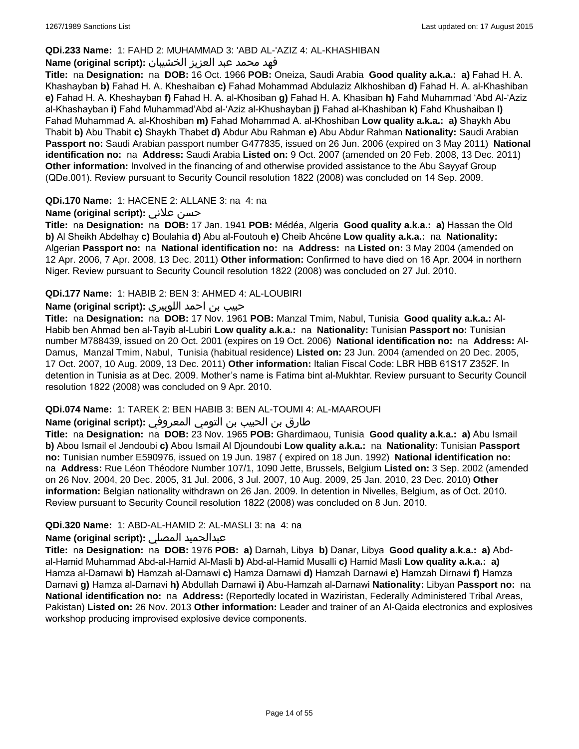## **QDi.233 Name:** 1: FAHD 2: MUHAMMAD 3: 'ABD AL-'AZIZ 4: AL-KHASHIBAN

## فهد محمد عبد العزيز الخشيبان **:(script original (Name**

**Title:** na **Designation:** na **DOB:** 16 Oct. 1966 **POB:** Oneiza, Saudi Arabia **Good quality a.k.a.: a)** Fahad H. A. Khashayban **b)** Fahad H. A. Kheshaiban **c)** Fahad Mohammad Abdulaziz Alkhoshiban **d)** Fahad H. A. al-Khashiban **e)** Fahad H. A. Kheshayban **f)** Fahad H. A. al-Khosiban **g)** Fahad H. A. Khasiban **h)** Fahd Muhammad 'Abd Al-'Aziz al-Khashayban **i)** Fahd Muhammad'Abd al-'Aziz al-Khushayban **j)** Fahad al-Khashiban **k)** Fahd Khushaiban **l)** Fahad Muhammad A. al-Khoshiban **m)** Fahad Mohammad A. al-Khoshiban **Low quality a.k.a.: a)** Shaykh Abu Thabit **b)** Abu Thabit **c)** Shaykh Thabet **d)** Abdur Abu Rahman **e)** Abu Abdur Rahman **Nationality:** Saudi Arabian **Passport no:** Saudi Arabian passport number G477835, issued on 26 Jun. 2006 (expired on 3 May 2011) **National identification no:** na **Address:** Saudi Arabia **Listed on:** 9 Oct. 2007 (amended on 20 Feb. 2008, 13 Dec. 2011) **Other information:** Involved in the financing of and otherwise provided assistance to the Abu Sayyaf Group (QDe.001). Review pursuant to Security Council resolution 1822 (2008) was concluded on 14 Sep. 2009.

#### **QDi.170 Name:** 1: HACENE 2: ALLANE 3: na 4: na

#### **Name (original script):** علاني حسن

**Title:** na **Designation:** na **DOB:** 17 Jan. 1941 **POB:** Médéa, Algeria **Good quality a.k.a.: a)** Hassan the Old **b)** Al Sheikh Abdelhay **c)** Boulahia **d)** Abu al-Foutouh **e)** Cheib Ahcéne **Low quality a.k.a.:** na **Nationality:** Algerian **Passport no:** na **National identification no:** na **Address:** na **Listed on:** 3 May 2004 (amended on 12 Apr. 2006, 7 Apr. 2008, 13 Dec. 2011) **Other information:** Confirmed to have died on 16 Apr. 2004 in northern Niger. Review pursuant to Security Council resolution 1822 (2008) was concluded on 27 Jul. 2010.

#### **QDi.177 Name:** 1: HABIB 2: BEN 3: AHMED 4: AL-LOUBIRI

## حبيب بن احمد اللوبيري **:(script original (Name**

**Title:** na **Designation:** na **DOB:** 17 Nov. 1961 **POB:** Manzal Tmim, Nabul, Tunisia **Good quality a.k.a.:** Al-Habib ben Ahmad ben al-Tayib al-Lubiri **Low quality a.k.a.:** na **Nationality:** Tunisian **Passport no:** Tunisian number M788439, issued on 20 Oct. 2001 (expires on 19 Oct. 2006) **National identification no:** na **Address:** Al-Damus, Manzal Tmim, Nabul, Tunisia (habitual residence) **Listed on:** 23 Jun. 2004 (amended on 20 Dec. 2005, 17 Oct. 2007, 10 Aug. 2009, 13 Dec. 2011) **Other information:** Italian Fiscal Code: LBR HBB 61S17 Z352F. In detention in Tunisia as at Dec. 2009. Mother's name is Fatima bint al-Mukhtar. Review pursuant to Security Council resolution 1822 (2008) was concluded on 9 Apr. 2010.

#### **QDi.074 Name:** 1: TAREK 2: BEN HABIB 3: BEN AL-TOUMI 4: AL-MAAROUFI

#### طارق بن الحبيب بن التومي المعروفي **:Name (original script)**

**Title:** na **Designation:** na **DOB:** 23 Nov. 1965 **POB:** Ghardimaou, Tunisia **Good quality a.k.a.: a)** Abu Ismail **b)** Abou Ismail el Jendoubi **c)** Abou Ismail Al Djoundoubi **Low quality a.k.a.:** na **Nationality:** Tunisian **Passport no:** Tunisian number E590976, issued on 19 Jun. 1987 ( expired on 18 Jun. 1992) **National identification no:**  na **Address:** Rue Léon Théodore Number 107/1, 1090 Jette, Brussels, Belgium **Listed on:** 3 Sep. 2002 (amended on 26 Nov. 2004, 20 Dec. 2005, 31 Jul. 2006, 3 Jul. 2007, 10 Aug. 2009, 25 Jan. 2010, 23 Dec. 2010) **Other information:** Belgian nationality withdrawn on 26 Jan. 2009. In detention in Nivelles, Belgium, as of Oct. 2010. Review pursuant to Security Council resolution 1822 (2008) was concluded on 8 Jun. 2010.

#### **QDi.320 Name:** 1: ABD-AL-HAMID 2: AL-MASLI 3: na 4: na

#### **Name (original script):** المصلي عبدالحميد

**Title:** na **Designation:** na **DOB:** 1976 **POB: a)** Darnah, Libya **b)** Danar, Libya **Good quality a.k.a.: a)** Abdal-Hamid Muhammad Abd-al-Hamid Al-Masli **b)** Abd-al-Hamid Musalli **c)** Hamid Masli **Low quality a.k.a.: a)** Hamza al-Darnawi **b)** Hamzah al-Darnawi **c)** Hamza Darnawi **d)** Hamzah Darnawi **e)** Hamzah Dirnawi **f)** Hamza Darnavi **g)** Hamza al-Darnavi **h)** Abdullah Darnawi **i)** Abu-Hamzah al-Darnawi **Nationality:** Libyan **Passport no:** na **National identification no:** na **Address:** (Reportedly located in Waziristan, Federally Administered Tribal Areas, Pakistan) **Listed on:** 26 Nov. 2013 **Other information:** Leader and trainer of an Al-Qaida electronics and explosives workshop producing improvised explosive device components.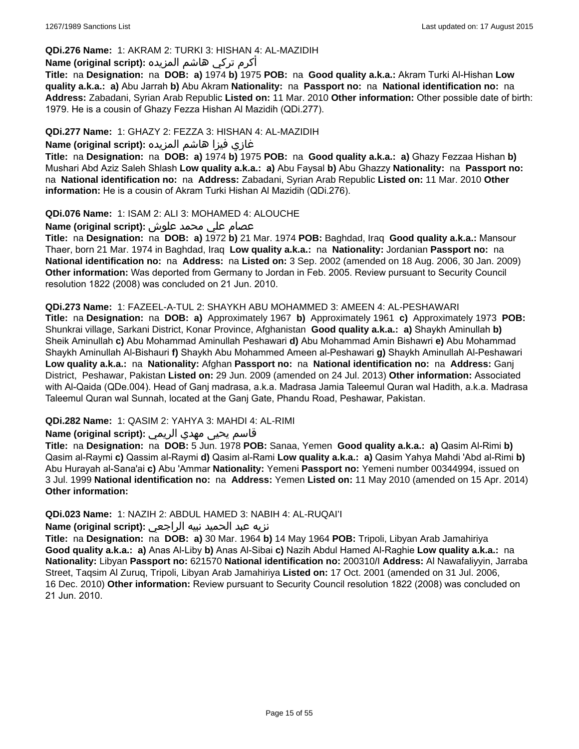## **QDi.276 Name:** 1: AKRAM 2: TURKI 3: HISHAN 4: AL-MAZIDIH

## أكرم تركي هاشم المزيده **:(script original (Name**

**Title:** na **Designation:** na **DOB: a)** 1974 **b)** 1975 **POB:** na **Good quality a.k.a.:** Akram Turki Al-Hishan **Low quality a.k.a.: a)** Abu Jarrah **b)** Abu Akram **Nationality:** na **Passport no:** na **National identification no:** na **Address:** Zabadani, Syrian Arab Republic **Listed on:** 11 Mar. 2010 **Other information:** Other possible date of birth: 1979. He is a cousin of Ghazy Fezza Hishan Al Mazidih (QDi.277).

## **QDi.277 Name:** 1: GHAZY 2: FEZZA 3: HISHAN 4: AL-MAZIDIH

## غازي فيزا هاشم المزيده **:(script original (Name**

**Title:** na **Designation:** na **DOB: a)** 1974 **b)** 1975 **POB:** na **Good quality a.k.a.: a)** Ghazy Fezzaa Hishan **b)** Mushari Abd Aziz Saleh Shlash **Low quality a.k.a.: a)** Abu Faysal **b)** Abu Ghazzy **Nationality:** na **Passport no:**  na **National identification no:** na **Address:** Zabadani, Syrian Arab Republic **Listed on:** 11 Mar. 2010 **Other information:** He is a cousin of Akram Turki Hishan Al Mazidih (QDi.276).

## **QDi.076 Name:** 1: ISAM 2: ALI 3: MOHAMED 4: ALOUCHE

## عصام علي محمد علوش **:(script original (Name**

**Title:** na **Designation:** na **DOB: a)** 1972 **b)** 21 Mar. 1974 **POB:** Baghdad, Iraq **Good quality a.k.a.:** Mansour Thaer, born 21 Mar. 1974 in Baghdad, Iraq **Low quality a.k.a.:** na **Nationality:** Jordanian **Passport no:** na **National identification no:** na **Address:** na **Listed on:** 3 Sep. 2002 (amended on 18 Aug. 2006, 30 Jan. 2009) **Other information:** Was deported from Germany to Jordan in Feb. 2005. Review pursuant to Security Council resolution 1822 (2008) was concluded on 21 Jun. 2010.

#### **QDi.273 Name:** 1: FAZEEL-A-TUL 2: SHAYKH ABU MOHAMMED 3: AMEEN 4: AL-PESHAWARI

**Title:** na **Designation:** na **DOB: a)** Approximately 1967 **b)** Approximately 1961 **c)** Approximately 1973 **POB:** Shunkrai village, Sarkani District, Konar Province, Afghanistan **Good quality a.k.a.: a)** Shaykh Aminullah **b)** Sheik Aminullah **c)** Abu Mohammad Aminullah Peshawari **d)** Abu Mohammad Amin Bishawri **e)** Abu Mohammad Shaykh Aminullah Al-Bishauri **f)** Shaykh Abu Mohammed Ameen al-Peshawari **g)** Shaykh Aminullah Al-Peshawari **Low quality a.k.a.:** na **Nationality:** Afghan **Passport no:** na **National identification no:** na **Address:** Ganj District, Peshawar, Pakistan **Listed on:** 29 Jun. 2009 (amended on 24 Jul. 2013) **Other information:** Associated with Al-Qaida (QDe.004). Head of Ganj madrasa, a.k.a. Madrasa Jamia Taleemul Quran wal Hadith, a.k.a. Madrasa Taleemul Quran wal Sunnah, located at the Ganj Gate, Phandu Road, Peshawar, Pakistan.

## **QDi.282 Name:** 1: QASIM 2: YAHYA 3: MAHDI 4: AL-RIMI

## قاسم يحيى مهدي الريمي **:(script original (Name**

**Title:** na **Designation:** na **DOB:** 5 Jun. 1978 **POB:** Sanaa, Yemen **Good quality a.k.a.: a)** Qasim Al-Rimi **b)** Qasim al-Raymi **c)** Qassim al-Raymi **d)** Qasim al-Rami **Low quality a.k.a.: a)** Qasim Yahya Mahdi 'Abd al-Rimi **b)** Abu Hurayah al-Sana'ai **c)** Abu 'Ammar **Nationality:** Yemeni **Passport no:** Yemeni number 00344994, issued on 3 Jul. 1999 **National identification no:** na **Address:** Yemen **Listed on:** 11 May 2010 (amended on 15 Apr. 2014) **Other information:**

#### **QDi.023 Name:** 1: NAZIH 2: ABDUL HAMED 3: NABIH 4: AL-RUQAI'I

### نزيه عبد الحميد نبيه الراجعي **:(script original (Name**

**Title:** na **Designation:** na **DOB: a)** 30 Mar. 1964 **b)** 14 May 1964 **POB:** Tripoli, Libyan Arab Jamahiriya **Good quality a.k.a.: a)** Anas Al-Liby **b)** Anas Al-Sibai **c)** Nazih Abdul Hamed Al-Raghie **Low quality a.k.a.:** na **Nationality:** Libyan **Passport no:** 621570 **National identification no:** 200310/I **Address:** Al Nawafaliyyin, Jarraba Street, Taqsim Al Zuruq, Tripoli, Libyan Arab Jamahiriya **Listed on:** 17 Oct. 2001 (amended on 31 Jul. 2006, 16 Dec. 2010) **Other information:** Review pursuant to Security Council resolution 1822 (2008) was concluded on 21 Jun. 2010.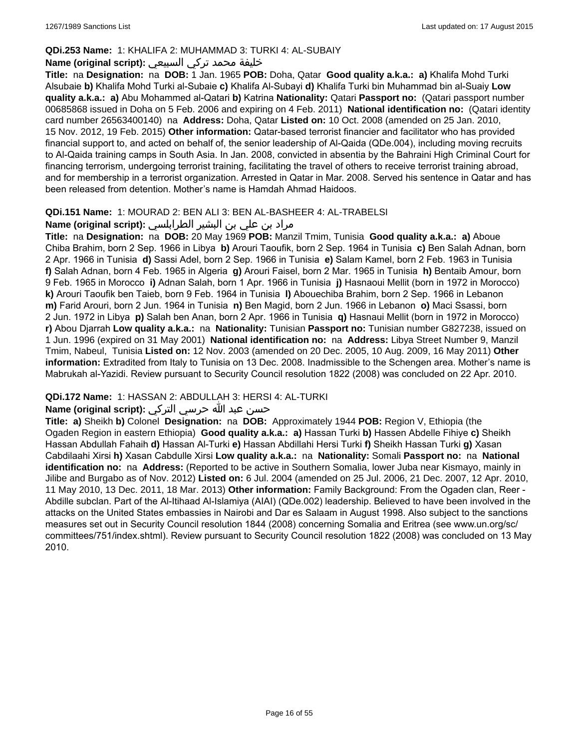## **QDi.253 Name:** 1: KHALIFA 2: MUHAMMAD 3: TURKI 4: AL-SUBAIY

## خليفة محمد تركي السبيعي **:(script original (Name**

**Title:** na **Designation:** na **DOB:** 1 Jan. 1965 **POB:** Doha, Qatar **Good quality a.k.a.: a)** Khalifa Mohd Turki Alsubaie **b)** Khalifa Mohd Turki al-Subaie **c)** Khalifa Al-Subayi **d)** Khalifa Turki bin Muhammad bin al-Suaiy **Low quality a.k.a.: a)** Abu Mohammed al-Qatari **b)** Katrina **Nationality:** Qatari **Passport no:** (Qatari passport number 00685868 issued in Doha on 5 Feb. 2006 and expiring on 4 Feb. 2011) **National identification no:** (Qatari identity card number 26563400140) na **Address:** Doha, Qatar **Listed on:** 10 Oct. 2008 (amended on 25 Jan. 2010, 15 Nov. 2012, 19 Feb. 2015) **Other information:** Qatar-based terrorist financier and facilitator who has provided financial support to, and acted on behalf of, the senior leadership of Al-Qaida (QDe.004), including moving recruits to Al-Qaida training camps in South Asia. In Jan. 2008, convicted in absentia by the Bahraini High Criminal Court for financing terrorism, undergoing terrorist training, facilitating the travel of others to receive terrorist training abroad, and for membership in a terrorist organization. Arrested in Qatar in Mar. 2008. Served his sentence in Qatar and has been released from detention. Mother's name is Hamdah Ahmad Haidoos.

#### **QDi.151 Name:** 1: MOURAD 2: BEN ALI 3: BEN AL-BASHEER 4: AL-TRABELSI

## مراد بن علي بن البشير الطرابلسي **:(script original (Name**

**Title:** na **Designation:** na **DOB:** 20 May 1969 **POB:** Manzil Tmim, Tunisia **Good quality a.k.a.: a)** Aboue Chiba Brahim, born 2 Sep. 1966 in Libya **b)** Arouri Taoufik, born 2 Sep. 1964 in Tunisia **c)** Ben Salah Adnan, born 2 Apr. 1966 in Tunisia **d)** Sassi Adel, born 2 Sep. 1966 in Tunisia **e)** Salam Kamel, born 2 Feb. 1963 in Tunisia **f)** Salah Adnan, born 4 Feb. 1965 in Algeria **g)** Arouri Faisel, born 2 Mar. 1965 in Tunisia **h)** Bentaib Amour, born 9 Feb. 1965 in Morocco **i)** Adnan Salah, born 1 Apr. 1966 in Tunisia **j)** Hasnaoui Mellit (born in 1972 in Morocco) **k)** Arouri Taoufik ben Taieb, born 9 Feb. 1964 in Tunisia **l)** Abouechiba Brahim, born 2 Sep. 1966 in Lebanon **m)** Farid Arouri, born 2 Jun. 1964 in Tunisia **n)** Ben Magid, born 2 Jun. 1966 in Lebanon **o)** Maci Ssassi, born 2 Jun. 1972 in Libya **p)** Salah ben Anan, born 2 Apr. 1966 in Tunisia **q)** Hasnaui Mellit (born in 1972 in Morocco) **r)** Abou Djarrah **Low quality a.k.a.:** na **Nationality:** Tunisian **Passport no:** Tunisian number G827238, issued on 1 Jun. 1996 (expired on 31 May 2001) **National identification no:** na **Address:** Libya Street Number 9, Manzil Tmim, Nabeul, Tunisia **Listed on:** 12 Nov. 2003 (amended on 20 Dec. 2005, 10 Aug. 2009, 16 May 2011) **Other information:** Extradited from Italy to Tunisia on 13 Dec. 2008. Inadmissible to the Schengen area. Mother's name is Mabrukah al-Yazidi. Review pursuant to Security Council resolution 1822 (2008) was concluded on 22 Apr. 2010.

## **QDi.172 Name:** 1: HASSAN 2: ABDULLAH 3: HERSI 4: AL-TURKI

## حسن عبد الله حرسي التركي **:(script original (Name**

**Title: a)** Sheikh **b)** Colonel **Designation:** na **DOB:** Approximately 1944 **POB:** Region V, Ethiopia (the Ogaden Region in eastern Ethiopia) **Good quality a.k.a.: a)** Hassan Turki **b)** Hassen Abdelle Fihiye **c)** Sheikh Hassan Abdullah Fahaih **d)** Hassan Al-Turki **e)** Hassan Abdillahi Hersi Turki **f)** Sheikh Hassan Turki **g)** Xasan Cabdilaahi Xirsi **h)** Xasan Cabdulle Xirsi **Low quality a.k.a.:** na **Nationality:** Somali **Passport no:** na **National identification no:** na **Address:** (Reported to be active in Southern Somalia, lower Juba near Kismayo, mainly in Jilibe and Burgabo as of Nov. 2012) **Listed on:** 6 Jul. 2004 (amended on 25 Jul. 2006, 21 Dec. 2007, 12 Apr. 2010, 11 May 2010, 13 Dec. 2011, 18 Mar. 2013) **Other information:** Family Background: From the Ogaden clan, Reer - Abdille subclan. Part of the Al-Itihaad Al-Islamiya (AIAI) (QDe.002) leadership. Believed to have been involved in the attacks on the United States embassies in Nairobi and Dar es Salaam in August 1998. Also subject to the sanctions measures set out in Security Council resolution 1844 (2008) concerning Somalia and Eritrea (see www.un.org/sc/ committees/751/index.shtml). Review pursuant to Security Council resolution 1822 (2008) was concluded on 13 May 2010.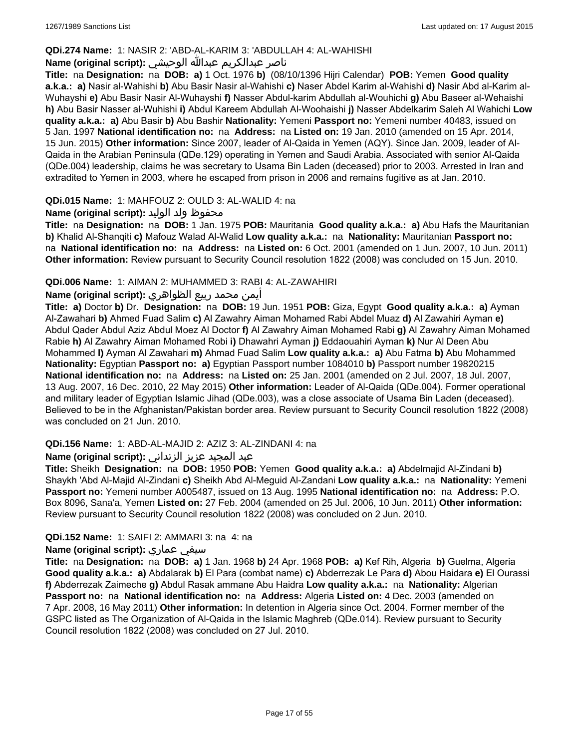## **QDi.274 Name:** 1: NASIR 2: 'ABD-AL-KARIM 3: 'ABDULLAH 4: AL-WAHISHI

## ناصر عبدالكريم عبدالله الوحيشي **:(script original (Name**

**Title:** na **Designation:** na **DOB: a)** 1 Oct. 1976 **b)** (08/10/1396 Hijri Calendar) **POB:** Yemen **Good quality a.k.a.: a)** Nasir al-Wahishi **b)** Abu Basir Nasir al-Wahishi **c)** Naser Abdel Karim al-Wahishi **d)** Nasir Abd al-Karim al-Wuhayshi **e)** Abu Basir Nasir Al-Wuhayshi **f)** Nasser Abdul-karim Abdullah al-Wouhichi **g)** Abu Baseer al-Wehaishi **h)** Abu Basir Nasser al-Wuhishi **i)** Abdul Kareem Abdullah Al-Woohaishi **j)** Nasser Abdelkarim Saleh Al Wahichi **Low quality a.k.a.: a)** Abu Basir **b)** Abu Bashir **Nationality:** Yemeni **Passport no:** Yemeni number 40483, issued on 5 Jan. 1997 **National identification no:** na **Address:** na **Listed on:** 19 Jan. 2010 (amended on 15 Apr. 2014, 15 Jun. 2015) **Other information:** Since 2007, leader of Al-Qaida in Yemen (AQY). Since Jan. 2009, leader of Al-Qaida in the Arabian Peninsula (QDe.129) operating in Yemen and Saudi Arabia. Associated with senior Al-Qaida (QDe.004) leadership, claims he was secretary to Usama Bin Laden (deceased) prior to 2003. Arrested in Iran and extradited to Yemen in 2003, where he escaped from prison in 2006 and remains fugitive as at Jan. 2010.

#### **QDi.015 Name:** 1: MAHFOUZ 2: OULD 3: AL-WALID 4: na

## محفوظ ولد الوليد **:**(Name (original script

**Title:** na **Designation:** na **DOB:** 1 Jan. 1975 **POB:** Mauritania **Good quality a.k.a.: a)** Abu Hafs the Mauritanian **b)** Khalid Al-Shanqiti **c)** Mafouz Walad Al-Walid **Low quality a.k.a.:** na **Nationality:** Mauritanian **Passport no:**  na **National identification no:** na **Address:** na **Listed on:** 6 Oct. 2001 (amended on 1 Jun. 2007, 10 Jun. 2011) **Other information:** Review pursuant to Security Council resolution 1822 (2008) was concluded on 15 Jun. 2010.

#### **QDi.006 Name:** 1: AIMAN 2: MUHAMMED 3: RABI 4: AL-ZAWAHIRI

#### أيمن محمد ربيع الظواهري **:(script original (Name**

**Title: a)** Doctor **b)** Dr. **Designation:** na **DOB:** 19 Jun. 1951 **POB:** Giza, Egypt **Good quality a.k.a.: a)** Ayman Al-Zawahari **b)** Ahmed Fuad Salim **c)** Al Zawahry Aiman Mohamed Rabi Abdel Muaz **d)** Al Zawahiri Ayman **e)** Abdul Qader Abdul Aziz Abdul Moez Al Doctor **f)** Al Zawahry Aiman Mohamed Rabi **g)** Al Zawahry Aiman Mohamed Rabie **h)** Al Zawahry Aiman Mohamed Robi **i)** Dhawahri Ayman **j)** Eddaouahiri Ayman **k)** Nur Al Deen Abu Mohammed **l)** Ayman Al Zawahari **m)** Ahmad Fuad Salim **Low quality a.k.a.: a)** Abu Fatma **b)** Abu Mohammed **Nationality:** Egyptian **Passport no: a)** Egyptian Passport number 1084010 **b)** Passport number 19820215 **National identification no:** na **Address:** na **Listed on:** 25 Jan. 2001 (amended on 2 Jul. 2007, 18 Jul. 2007, 13 Aug. 2007, 16 Dec. 2010, 22 May 2015) **Other information:** Leader of Al-Qaida (QDe.004). Former operational and military leader of Egyptian Islamic Jihad (QDe.003), was a close associate of Usama Bin Laden (deceased). Believed to be in the Afghanistan/Pakistan border area. Review pursuant to Security Council resolution 1822 (2008) was concluded on 21 Jun. 2010.

## **QDi.156 Name:** 1: ABD-AL-MAJID 2: AZIZ 3: AL-ZINDANI 4: na

## عبد المجيد عزيز الزنداني **:(script original (Name**

**Title:** Sheikh **Designation:** na **DOB:** 1950 **POB:** Yemen **Good quality a.k.a.: a)** Abdelmajid Al-Zindani **b)** Shaykh 'Abd Al-Majid Al-Zindani **c)** Sheikh Abd Al-Meguid Al-Zandani **Low quality a.k.a.:** na **Nationality:** Yemeni **Passport no:** Yemeni number A005487, issued on 13 Aug. 1995 **National identification no:** na **Address:** P.O. Box 8096, Sana'a, Yemen **Listed on:** 27 Feb. 2004 (amended on 25 Jul. 2006, 10 Jun. 2011) **Other information:** Review pursuant to Security Council resolution 1822 (2008) was concluded on 2 Jun. 2010.

#### **QDi.152 Name:** 1: SAIFI 2: AMMARI 3: na 4: na

#### **Name (original script):** عماري سيفي

**Title:** na **Designation:** na **DOB: a)** 1 Jan. 1968 **b)** 24 Apr. 1968 **POB: a)** Kef Rih, Algeria **b)** Guelma, Algeria **Good quality a.k.a.: a)** Abdalarak **b)** El Para (combat name) **c)** Abderrezak Le Para **d)** Abou Haidara **e)** El Ourassi **f)** Abderrezak Zaimeche **g)** Abdul Rasak ammane Abu Haidra **Low quality a.k.a.:** na **Nationality:** Algerian **Passport no:** na **National identification no:** na **Address:** Algeria **Listed on:** 4 Dec. 2003 (amended on 7 Apr. 2008, 16 May 2011) **Other information:** In detention in Algeria since Oct. 2004. Former member of the GSPC listed as The Organization of Al-Qaida in the Islamic Maghreb (QDe.014). Review pursuant to Security Council resolution 1822 (2008) was concluded on 27 Jul. 2010.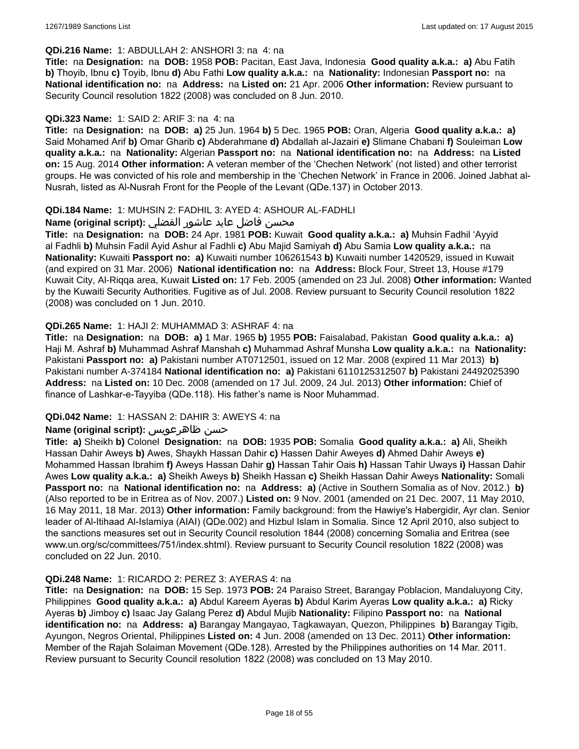#### **QDi.216 Name:** 1: ABDULLAH 2: ANSHORI 3: na 4: na

**Title:** na **Designation:** na **DOB:** 1958 **POB:** Pacitan, East Java, Indonesia **Good quality a.k.a.: a)** Abu Fatih **b)** Thoyib, Ibnu **c)** Toyib, Ibnu **d)** Abu Fathi **Low quality a.k.a.:** na **Nationality:** Indonesian **Passport no:** na **National identification no:** na **Address:** na **Listed on:** 21 Apr. 2006 **Other information:** Review pursuant to Security Council resolution 1822 (2008) was concluded on 8 Jun. 2010.

#### **QDi.323 Name:** 1: SAID 2: ARIF 3: na 4: na

**Title:** na **Designation:** na **DOB: a)** 25 Jun. 1964 **b)** 5 Dec. 1965 **POB:** Oran, Algeria **Good quality a.k.a.: a)** Said Mohamed Arif **b)** Omar Gharib **c)** Abderahmane **d)** Abdallah al-Jazairi **e)** Slimane Chabani **f)** Souleiman **Low quality a.k.a.:** na **Nationality:** Algerian **Passport no:** na **National identification no:** na **Address:** na **Listed on:** 15 Aug. 2014 **Other information:** A veteran member of the 'Chechen Network' (not listed) and other terrorist groups. He was convicted of his role and membership in the 'Chechen Network' in France in 2006. Joined Jabhat al-Nusrah, listed as Al-Nusrah Front for the People of the Levant (QDe.137) in October 2013.

#### **QDi.184 Name:** 1: MUHSIN 2: FADHIL 3: AYED 4: ASHOUR AL-FADHLI

## محسن فاضل عايد عاشور الفضلي **:(Name (original script**

**Title:** na **Designation:** na **DOB:** 24 Apr. 1981 **POB:** Kuwait **Good quality a.k.a.: a)** Muhsin Fadhil 'Ayyid al Fadhli **b)** Muhsin Fadil Ayid Ashur al Fadhli **c)** Abu Majid Samiyah **d)** Abu Samia **Low quality a.k.a.:** na **Nationality:** Kuwaiti **Passport no: a)** Kuwaiti number 106261543 **b)** Kuwaiti number 1420529, issued in Kuwait (and expired on 31 Mar. 2006) **National identification no:** na **Address:** Block Four, Street 13, House #179 Kuwait City, Al-Riqqa area, Kuwait **Listed on:** 17 Feb. 2005 (amended on 23 Jul. 2008) **Other information:** Wanted by the Kuwaiti Security Authorities. Fugitive as of Jul. 2008. Review pursuant to Security Council resolution 1822 (2008) was concluded on 1 Jun. 2010.

#### **QDi.265 Name:** 1: HAJI 2: MUHAMMAD 3: ASHRAF 4: na

**Title:** na **Designation:** na **DOB: a)** 1 Mar. 1965 **b)** 1955 **POB:** Faisalabad, Pakistan **Good quality a.k.a.: a)** Haji M. Ashraf **b)** Muhammad Ashraf Manshah **c)** Muhammad Ashraf Munsha **Low quality a.k.a.:** na **Nationality:** Pakistani **Passport no: a)** Pakistani number AT0712501, issued on 12 Mar. 2008 (expired 11 Mar 2013) **b)** Pakistani number A-374184 **National identification no: a)** Pakistani 6110125312507 **b)** Pakistani 24492025390 **Address:** na **Listed on:** 10 Dec. 2008 (amended on 17 Jul. 2009, 24 Jul. 2013) **Other information:** Chief of finance of Lashkar-e-Tayyiba (QDe.118). His father's name is Noor Muhammad.

#### **QDi.042 Name:** 1: HASSAN 2: DAHIR 3: AWEYS 4: na

## **Name (original script):** ظاهرعويس حسن

**Title: a)** Sheikh **b)** Colonel **Designation:** na **DOB:** 1935 **POB:** Somalia **Good quality a.k.a.: a)** Ali, Sheikh Hassan Dahir Aweys **b)** Awes, Shaykh Hassan Dahir **c)** Hassen Dahir Aweyes **d)** Ahmed Dahir Aweys **e)** Mohammed Hassan Ibrahim **f)** Aweys Hassan Dahir **g)** Hassan Tahir Oais **h)** Hassan Tahir Uways **i)** Hassan Dahir Awes **Low quality a.k.a.: a)** Sheikh Aweys **b)** Sheikh Hassan **c)** Sheikh Hassan Dahir Aweys **Nationality:** Somali **Passport no:** na **National identification no:** na **Address: a)** (Active in Southern Somalia as of Nov. 2012.) **b)** (Also reported to be in Eritrea as of Nov. 2007.) **Listed on:** 9 Nov. 2001 (amended on 21 Dec. 2007, 11 May 2010, 16 May 2011, 18 Mar. 2013) **Other information:** Family background: from the Hawiye's Habergidir, Ayr clan. Senior leader of Al-Itihaad Al-Islamiya (AIAI) (QDe.002) and Hizbul Islam in Somalia. Since 12 April 2010, also subject to the sanctions measures set out in Security Council resolution 1844 (2008) concerning Somalia and Eritrea (see www.un.org/sc/committees/751/index.shtml). Review pursuant to Security Council resolution 1822 (2008) was concluded on 22 Jun. 2010.

#### **QDi.248 Name:** 1: RICARDO 2: PEREZ 3: AYERAS 4: na

**Title:** na **Designation:** na **DOB:** 15 Sep. 1973 **POB:** 24 Paraiso Street, Barangay Poblacion, Mandaluyong City, Philippines **Good quality a.k.a.: a)** Abdul Kareem Ayeras **b)** Abdul Karim Ayeras **Low quality a.k.a.: a)** Ricky Ayeras **b)** Jimboy **c)** Isaac Jay Galang Perez **d)** Abdul Mujib **Nationality:** Filipino **Passport no:** na **National identification no:** na **Address: a)** Barangay Mangayao, Tagkawayan, Quezon, Philippines **b)** Barangay Tigib, Ayungon, Negros Oriental, Philippines **Listed on:** 4 Jun. 2008 (amended on 13 Dec. 2011) **Other information:** Member of the Rajah Solaiman Movement (QDe.128). Arrested by the Philippines authorities on 14 Mar. 2011. Review pursuant to Security Council resolution 1822 (2008) was concluded on 13 May 2010.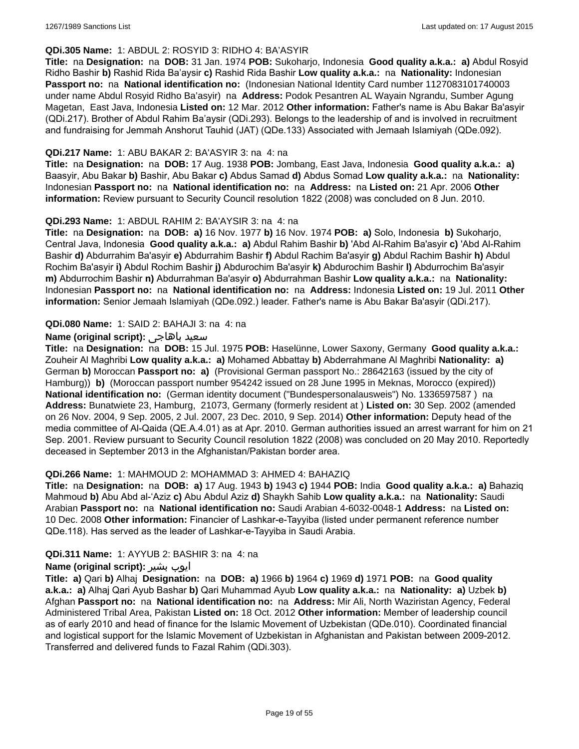## **QDi.305 Name:** 1: ABDUL 2: ROSYID 3: RIDHO 4: BA'ASYIR

**Title:** na **Designation:** na **DOB:** 31 Jan. 1974 **POB:** Sukoharjo, Indonesia **Good quality a.k.a.: a)** Abdul Rosyid Ridho Bashir **b)** Rashid Rida Ba'aysir **c)** Rashid Rida Bashir **Low quality a.k.a.:** na **Nationality:** Indonesian **Passport no:** na **National identification no:** (Indonesian National Identity Card number 1127083101740003 under name Abdul Rosyid Ridho Ba'asyir) na **Address:** Podok Pesantren AL Wayain Ngrandu, Sumber Agung Magetan, East Java, Indonesia **Listed on:** 12 Mar. 2012 **Other information:** Father's name is Abu Bakar Ba'asyir (QDi.217). Brother of Abdul Rahim Ba'aysir (QDi.293). Belongs to the leadership of and is involved in recruitment and fundraising for Jemmah Anshorut Tauhid (JAT) (QDe.133) Associated with Jemaah Islamiyah (QDe.092).

#### **QDi.217 Name:** 1: ABU BAKAR 2: BA'ASYIR 3: na 4: na

**Title:** na **Designation:** na **DOB:** 17 Aug. 1938 **POB:** Jombang, East Java, Indonesia **Good quality a.k.a.: a)** Baasyir, Abu Bakar **b)** Bashir, Abu Bakar **c)** Abdus Samad **d)** Abdus Somad **Low quality a.k.a.:** na **Nationality:** Indonesian **Passport no:** na **National identification no:** na **Address:** na **Listed on:** 21 Apr. 2006 **Other information:** Review pursuant to Security Council resolution 1822 (2008) was concluded on 8 Jun. 2010.

#### **QDi.293 Name:** 1: ABDUL RAHIM 2: BA'AYSIR 3: na 4: na

**Title:** na **Designation:** na **DOB: a)** 16 Nov. 1977 **b)** 16 Nov. 1974 **POB: a)** Solo, Indonesia **b)** Sukoharjo, Central Java, Indonesia **Good quality a.k.a.: a)** Abdul Rahim Bashir **b)** 'Abd Al-Rahim Ba'asyir **c)** 'Abd Al-Rahim Bashir **d)** Abdurrahim Ba'asyir **e)** Abdurrahim Bashir **f)** Abdul Rachim Ba'asyir **g)** Abdul Rachim Bashir **h)** Abdul Rochim Ba'asyir **i)** Abdul Rochim Bashir **j)** Abdurochim Ba'asyir **k)** Abdurochim Bashir **l)** Abdurrochim Ba'asyir **m)** Abdurrochim Bashir **n)** Abdurrahman Ba'asyir **o)** Abdurrahman Bashir **Low quality a.k.a.:** na **Nationality:** Indonesian **Passport no:** na **National identification no:** na **Address:** Indonesia **Listed on:** 19 Jul. 2011 **Other information:** Senior Jemaah Islamiyah (QDe.092.) leader. Father's name is Abu Bakar Ba'asyir (QDi.217).

#### **QDi.080 Name:** 1: SAID 2: BAHAJI 3: na 4: na

#### **Name (original script):** باهاجى سعيد

**Title:** na **Designation:** na **DOB:** 15 Jul. 1975 **POB:** Haselünne, Lower Saxony, Germany **Good quality a.k.a.:** Zouheir Al Maghribi **Low quality a.k.a.: a)** Mohamed Abbattay **b)** Abderrahmane Al Maghribi **Nationality: a)** German **b)** Moroccan **Passport no: a)** (Provisional German passport No.: 28642163 (issued by the city of Hamburg)) **b)** (Moroccan passport number 954242 issued on 28 June 1995 in Meknas, Morocco (expired)) **National identification no:** (German identity document ("Bundespersonalausweis") No. 1336597587 ) na **Address:** Bunatwiete 23, Hamburg, 21073, Germany (formerly resident at ) **Listed on:** 30 Sep. 2002 (amended on 26 Nov. 2004, 9 Sep. 2005, 2 Jul. 2007, 23 Dec. 2010, 9 Sep. 2014) **Other information:** Deputy head of the media committee of Al-Qaida (QE.A.4.01) as at Apr. 2010. German authorities issued an arrest warrant for him on 21 Sep. 2001. Review pursuant to Security Council resolution 1822 (2008) was concluded on 20 May 2010. Reportedly deceased in September 2013 in the Afghanistan/Pakistan border area.

#### **QDi.266 Name:** 1: MAHMOUD 2: MOHAMMAD 3: AHMED 4: BAHAZIQ

**Title:** na **Designation:** na **DOB: a)** 17 Aug. 1943 **b)** 1943 **c)** 1944 **POB:** India **Good quality a.k.a.: a)** Bahaziq Mahmoud **b)** Abu Abd al-'Aziz **c)** Abu Abdul Aziz **d)** Shaykh Sahib **Low quality a.k.a.:** na **Nationality:** Saudi Arabian **Passport no:** na **National identification no:** Saudi Arabian 4-6032-0048-1 **Address:** na **Listed on:** 10 Dec. 2008 **Other information:** Financier of Lashkar-e-Tayyiba (listed under permanent reference number QDe.118). Has served as the leader of Lashkar-e-Tayyiba in Saudi Arabia.

#### **QDi.311 Name:** 1: AYYUB 2: BASHIR 3: na 4: na

## **Name (original script):** بشیر ایوب

**Title: a)** Qari **b)** Alhaj **Designation:** na **DOB: a)** 1966 **b)** 1964 **c)** 1969 **d)** 1971 **POB:** na **Good quality a.k.a.: a)** Alhaj Qari Ayub Bashar **b)** Qari Muhammad Ayub **Low quality a.k.a.:** na **Nationality: a)** Uzbek **b)** Afghan **Passport no:** na **National identification no:** na **Address:** Mir Ali, North Waziristan Agency, Federal Administered Tribal Area, Pakistan **Listed on:** 18 Oct. 2012 **Other information:** Member of leadership council as of early 2010 and head of finance for the Islamic Movement of Uzbekistan (QDe.010). Coordinated financial and logistical support for the Islamic Movement of Uzbekistan in Afghanistan and Pakistan between 2009-2012. Transferred and delivered funds to Fazal Rahim (QDi.303).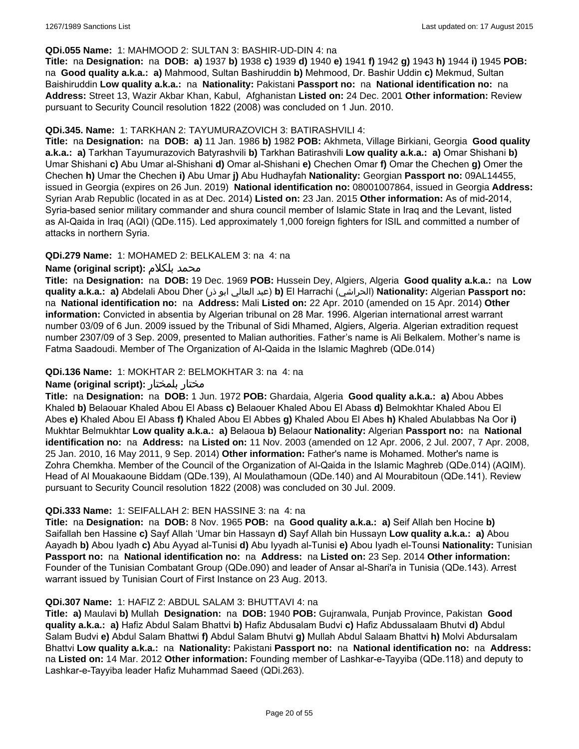#### **QDi.055 Name:** 1: MAHMOOD 2: SULTAN 3: BASHIR-UD-DIN 4: na

**Title:** na **Designation:** na **DOB: a)** 1937 **b)** 1938 **c)** 1939 **d)** 1940 **e)** 1941 **f)** 1942 **g)** 1943 **h)** 1944 **i)** 1945 **POB:**  na **Good quality a.k.a.: a)** Mahmood, Sultan Bashiruddin **b)** Mehmood, Dr. Bashir Uddin **c)** Mekmud, Sultan Baishiruddin **Low quality a.k.a.:** na **Nationality:** Pakistani **Passport no:** na **National identification no:** na **Address:** Street 13, Wazir Akbar Khan, Kabul, Afghanistan **Listed on:** 24 Dec. 2001 **Other information:** Review pursuant to Security Council resolution 1822 (2008) was concluded on 1 Jun. 2010.

#### **QDi.345. Name:** 1: TARKHAN 2: TAYUMURAZOVICH 3: BATIRASHVILI 4:

**Title:** na **Designation:** na **DOB: a)** 11 Jan. 1986 **b)** 1982 **POB:** Akhmeta, Village Birkiani, Georgia **Good quality a.k.a.: a)** Tarkhan Tayumurazovich Batyrashvili **b)** Tarkhan Batirashvili **Low quality a.k.a.: a)** Omar Shishani **b)** Umar Shishani **c)** Abu Umar al-Shishani **d)** Omar al-Shishani **e)** Chechen Omar **f)** Omar the Chechen **g)** Omer the Chechen **h)** Umar the Chechen **i)** Abu Umar **j)** Abu Hudhayfah **Nationality:** Georgian **Passport no:** 09AL14455, issued in Georgia (expires on 26 Jun. 2019) **National identification no:** 08001007864, issued in Georgia **Address:** Syrian Arab Republic (located in as at Dec. 2014) **Listed on:** 23 Jan. 2015 **Other information:** As of mid-2014, Syria-based senior military commander and shura council member of Islamic State in Iraq and the Levant, listed as Al-Qaida in Iraq (AQI) (QDe.115). Led approximately 1,000 foreign fighters for ISIL and committed a number of attacks in northern Syria.

## **QDi.279 Name:** 1: MOHAMED 2: BELKALEM 3: na 4: na

#### **Name (original script):** بلكلام محمد

**Title:** na **Designation:** na **DOB:** 19 Dec. 1969 **POB:** Hussein Dey, Algiers, Algeria **Good quality a.k.a.:** na **Low quality a.k.a.: a)** Abdelali Abou Dher (ذر ابو العالي عبد(**b)** El Harrachi (الحراشي(**Nationality:** Algerian **Passport no:**  na **National identification no:** na **Address:** Mali **Listed on:** 22 Apr. 2010 (amended on 15 Apr. 2014) **Other information:** Convicted in absentia by Algerian tribunal on 28 Mar. 1996. Algerian international arrest warrant number 03/09 of 6 Jun. 2009 issued by the Tribunal of Sidi Mhamed, Algiers, Algeria. Algerian extradition request number 2307/09 of 3 Sep. 2009, presented to Malian authorities. Father's name is Ali Belkalem. Mother's name is Fatma Saadoudi. Member of The Organization of Al-Qaida in the Islamic Maghreb (QDe.014)

#### **QDi.136 Name:** 1: MOKHTAR 2: BELMOKHTAR 3: na 4: na

#### **Name (original script):** بلمختار مختار

**Title:** na **Designation:** na **DOB:** 1 Jun. 1972 **POB:** Ghardaia, Algeria **Good quality a.k.a.: a)** Abou Abbes Khaled **b)** Belaouar Khaled Abou El Abass **c)** Belaouer Khaled Abou El Abass **d)** Belmokhtar Khaled Abou El Abes **e)** Khaled Abou El Abass **f)** Khaled Abou El Abbes **g)** Khaled Abou El Abes **h)** Khaled Abulabbas Na Oor **i)** Mukhtar Belmukhtar **Low quality a.k.a.: a)** Belaoua **b)** Belaour **Nationality:** Algerian **Passport no:** na **National identification no:** na **Address:** na **Listed on:** 11 Nov. 2003 (amended on 12 Apr. 2006, 2 Jul. 2007, 7 Apr. 2008, 25 Jan. 2010, 16 May 2011, 9 Sep. 2014) **Other information:** Father's name is Mohamed. Mother's name is Zohra Chemkha. Member of the Council of the Organization of Al-Qaida in the Islamic Maghreb (QDe.014) (AQIM). Head of Al Mouakaoune Biddam (QDe.139), Al Moulathamoun (QDe.140) and Al Mourabitoun (QDe.141). Review pursuant to Security Council resolution 1822 (2008) was concluded on 30 Jul. 2009.

#### **QDi.333 Name:** 1: SEIFALLAH 2: BEN HASSINE 3: na 4: na

**Title:** na **Designation:** na **DOB:** 8 Nov. 1965 **POB:** na **Good quality a.k.a.: a)** Seif Allah ben Hocine **b)** Saifallah ben Hassine **c)** Sayf Allah 'Umar bin Hassayn **d)** Sayf Allah bin Hussayn **Low quality a.k.a.: a)** Abou Aayadh **b)** Abou Iyadh **c)** Abu Ayyad al-Tunisi **d)** Abu Iyyadh al-Tunisi **e)** Abou Iyadh el-Tounsi **Nationality:** Tunisian **Passport no:** na **National identification no:** na **Address:** na **Listed on:** 23 Sep. 2014 **Other information:** Founder of the Tunisian Combatant Group (QDe.090) and leader of Ansar al-Shari'a in Tunisia (QDe.143). Arrest warrant issued by Tunisian Court of First Instance on 23 Aug. 2013.

#### **QDi.307 Name:** 1: HAFIZ 2: ABDUL SALAM 3: BHUTTAVI 4: na

**Title: a)** Maulavi **b)** Mullah **Designation:** na **DOB:** 1940 **POB:** Gujranwala, Punjab Province, Pakistan **Good quality a.k.a.: a)** Hafiz Abdul Salam Bhattvi **b)** Hafiz Abdusalam Budvi **c)** Hafiz Abdussalaam Bhutvi **d)** Abdul Salam Budvi **e)** Abdul Salam Bhattwi **f)** Abdul Salam Bhutvi **g)** Mullah Abdul Salaam Bhattvi **h)** Molvi Abdursalam Bhattvi **Low quality a.k.a.:** na **Nationality:** Pakistani **Passport no:** na **National identification no:** na **Address:** na **Listed on:** 14 Mar. 2012 **Other information:** Founding member of Lashkar-e-Tayyiba (QDe.118) and deputy to Lashkar-e-Tayyiba leader Hafiz Muhammad Saeed (QDi.263).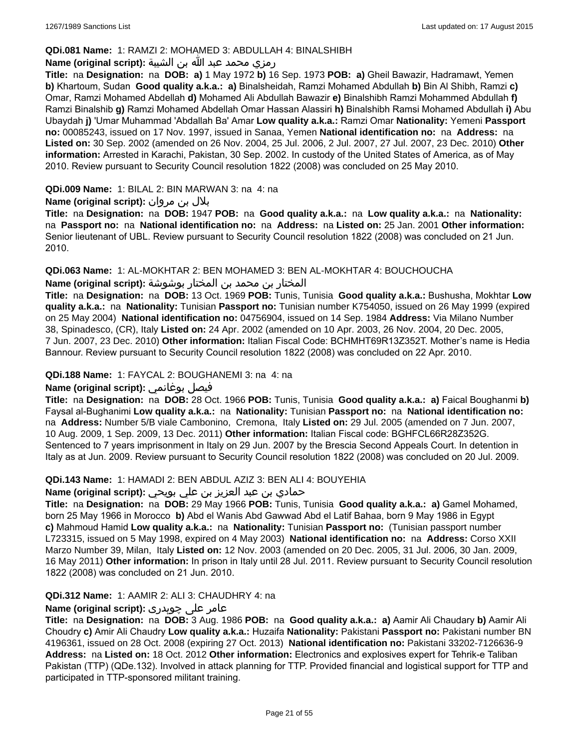#### **QDi.081 Name:** 1: RAMZI 2: MOHAMED 3: ABDULLAH 4: BINALSHIBH

### رمزي محمد عبد الله بن الشيبة **:(script original (Name**

**Title:** na **Designation:** na **DOB: a)** 1 May 1972 **b)** 16 Sep. 1973 **POB: a)** Gheil Bawazir, Hadramawt, Yemen **b)** Khartoum, Sudan **Good quality a.k.a.: a)** Binalsheidah, Ramzi Mohamed Abdullah **b)** Bin Al Shibh, Ramzi **c)** Omar, Ramzi Mohamed Abdellah **d)** Mohamed Ali Abdullah Bawazir **e)** Binalshibh Ramzi Mohammed Abdullah **f)** Ramzi Binalshib **g)** Ramzi Mohamed Abdellah Omar Hassan Alassiri **h)** Binalshibh Ramsi Mohamed Abdullah **i)** Abu Ubaydah **j)** 'Umar Muhammad 'Abdallah Ba' Amar **Low quality a.k.a.:** Ramzi Omar **Nationality:** Yemeni **Passport no:** 00085243, issued on 17 Nov. 1997, issued in Sanaa, Yemen **National identification no:** na **Address:** na **Listed on:** 30 Sep. 2002 (amended on 26 Nov. 2004, 25 Jul. 2006, 2 Jul. 2007, 27 Jul. 2007, 23 Dec. 2010) **Other information:** Arrested in Karachi, Pakistan, 30 Sep. 2002. In custody of the United States of America, as of May 2010. Review pursuant to Security Council resolution 1822 (2008) was concluded on 25 May 2010.

### **QDi.009 Name:** 1: BILAL 2: BIN MARWAN 3: na 4: na

بلال بن مروان **:(script original (Name**

**Title:** na **Designation:** na **DOB:** 1947 **POB:** na **Good quality a.k.a.:** na **Low quality a.k.a.:** na **Nationality:**  na **Passport no:** na **National identification no:** na **Address:** na **Listed on:** 25 Jan. 2001 **Other information:** Senior lieutenant of UBL. Review pursuant to Security Council resolution 1822 (2008) was concluded on 21 Jun. 2010.

#### **QDi.063 Name:** 1: AL-MOKHTAR 2: BEN MOHAMED 3: BEN AL-MOKHTAR 4: BOUCHOUCHA

#### المختار بن محمد بن المختار بوشوشة **:(script original (Name**

**Title:** na **Designation:** na **DOB:** 13 Oct. 1969 **POB:** Tunis, Tunisia **Good quality a.k.a.:** Bushusha, Mokhtar **Low quality a.k.a.:** na **Nationality:** Tunisian **Passport no:** Tunisian number K754050, issued on 26 May 1999 (expired on 25 May 2004) **National identification no:** 04756904, issued on 14 Sep. 1984 **Address:** Via Milano Number 38, Spinadesco, (CR), Italy **Listed on:** 24 Apr. 2002 (amended on 10 Apr. 2003, 26 Nov. 2004, 20 Dec. 2005, 7 Jun. 2007, 23 Dec. 2010) **Other information:** Italian Fiscal Code: BCHMHT69R13Z352T. Mother's name is Hedia Bannour. Review pursuant to Security Council resolution 1822 (2008) was concluded on 22 Apr. 2010.

#### **QDi.188 Name:** 1: FAYCAL 2: BOUGHANEMI 3: na 4: na

#### **Name (original script):** بوغانمي فيصل

**Title:** na **Designation:** na **DOB:** 28 Oct. 1966 **POB:** Tunis, Tunisia **Good quality a.k.a.: a)** Faical Boughanmi **b)** Faysal al-Bughanimi **Low quality a.k.a.:** na **Nationality:** Tunisian **Passport no:** na **National identification no:**  na **Address:** Number 5/B viale Cambonino, Cremona, Italy **Listed on:** 29 Jul. 2005 (amended on 7 Jun. 2007, 10 Aug. 2009, 1 Sep. 2009, 13 Dec. 2011) **Other information:** Italian Fiscal code: BGHFCL66R28Z352G. Sentenced to 7 years imprisonment in Italy on 29 Jun. 2007 by the Brescia Second Appeals Court. In detention in Italy as at Jun. 2009. Review pursuant to Security Council resolution 1822 (2008) was concluded on 20 Jul. 2009.

#### **QDi.143 Name:** 1: HAMADI 2: BEN ABDUL AZIZ 3: BEN ALI 4: BOUYEHIA

## حمادي بن عبد العزيز بن علي بويحي **:(script original (Name**

**Title:** na **Designation:** na **DOB:** 29 May 1966 **POB:** Tunis, Tunisia **Good quality a.k.a.: a)** Gamel Mohamed, born 25 May 1966 in Morocco **b)** Abd el Wanis Abd Gawwad Abd el Latif Bahaa, born 9 May 1986 in Egypt **c)** Mahmoud Hamid **Low quality a.k.a.:** na **Nationality:** Tunisian **Passport no:** (Tunisian passport number L723315, issued on 5 May 1998, expired on 4 May 2003) **National identification no:** na **Address:** Corso XXII Marzo Number 39, Milan, Italy **Listed on:** 12 Nov. 2003 (amended on 20 Dec. 2005, 31 Jul. 2006, 30 Jan. 2009, 16 May 2011) **Other information:** In prison in Italy until 28 Jul. 2011. Review pursuant to Security Council resolution 1822 (2008) was concluded on 21 Jun. 2010.

#### **QDi.312 Name:** 1: AAMIR 2: ALI 3: CHAUDHRY 4: na

## عامر علی چوہدری **:(script original (Name**

**Title:** na **Designation:** na **DOB:** 3 Aug. 1986 **POB:** na **Good quality a.k.a.: a)** Aamir Ali Chaudary **b)** Aamir Ali Choudry **c)** Amir Ali Chaudry **Low quality a.k.a.:** Huzaifa **Nationality:** Pakistani **Passport no:** Pakistani number BN 4196361, issued on 28 Oct. 2008 (expiring 27 Oct. 2013) **National identification no:** Pakistani 33202-7126636-9 **Address:** na **Listed on:** 18 Oct. 2012 **Other information:** Electronics and explosives expert for Tehrik-e Taliban Pakistan (TTP) (QDe.132). Involved in attack planning for TTP. Provided financial and logistical support for TTP and participated in TTP-sponsored militant training.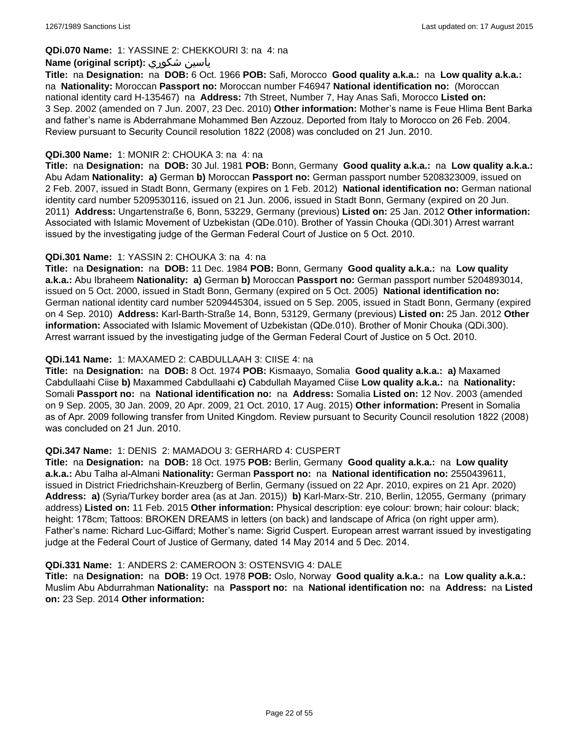## **QDi.070 Name:** 1: YASSINE 2: CHEKKOURI 3: na 4: na

#### **Name (original script):** شكوري ياسين

**Title:** na **Designation:** na **DOB:** 6 Oct. 1966 **POB:** Safi, Morocco **Good quality a.k.a.:** na **Low quality a.k.a.:**  na **Nationality:** Moroccan **Passport no:** Moroccan number F46947 **National identification no:** (Moroccan national identity card H-135467) na **Address:** 7th Street, Number 7, Hay Anas Safi, Morocco **Listed on:** 3 Sep. 2002 (amended on 7 Jun. 2007, 23 Dec. 2010) **Other information:** Mother's name is Feue Hlima Bent Barka and father's name is Abderrahmane Mohammed Ben Azzouz. Deported from Italy to Morocco on 26 Feb. 2004. Review pursuant to Security Council resolution 1822 (2008) was concluded on 21 Jun. 2010.

#### **QDi.300 Name:** 1: MONIR 2: CHOUKA 3: na 4: na

**Title:** na **Designation:** na **DOB:** 30 Jul. 1981 **POB:** Bonn, Germany **Good quality a.k.a.:** na **Low quality a.k.a.:** Abu Adam **Nationality: a)** German **b)** Moroccan **Passport no:** German passport number 5208323009, issued on 2 Feb. 2007, issued in Stadt Bonn, Germany (expires on 1 Feb. 2012) **National identification no:** German national identity card number 5209530116, issued on 21 Jun. 2006, issued in Stadt Bonn, Germany (expired on 20 Jun. 2011) **Address:** Ungartenstraße 6, Bonn, 53229, Germany (previous) **Listed on:** 25 Jan. 2012 **Other information:** Associated with Islamic Movement of Uzbekistan (QDe.010). Brother of Yassin Chouka (QDi.301) Arrest warrant issued by the investigating judge of the German Federal Court of Justice on 5 Oct. 2010.

#### **QDi.301 Name:** 1: YASSIN 2: CHOUKA 3: na 4: na

**Title:** na **Designation:** na **DOB:** 11 Dec. 1984 **POB:** Bonn, Germany **Good quality a.k.a.:** na **Low quality a.k.a.:** Abu Ibraheem **Nationality: a)** German **b)** Moroccan **Passport no:** German passport number 5204893014, issued on 5 Oct. 2000, issued in Stadt Bonn, Germany (expired on 5 Oct. 2005) **National identification no:** German national identity card number 5209445304, issued on 5 Sep. 2005, issued in Stadt Bonn, Germany (expired on 4 Sep. 2010) **Address:** Karl-Barth-Straße 14, Bonn, 53129, Germany (previous) **Listed on:** 25 Jan. 2012 **Other information:** Associated with Islamic Movement of Uzbekistan (QDe.010). Brother of Monir Chouka (QDi.300). Arrest warrant issued by the investigating judge of the German Federal Court of Justice on 5 Oct. 2010.

#### **QDi.141 Name:** 1: MAXAMED 2: CABDULLAAH 3: CIISE 4: na

**Title:** na **Designation:** na **DOB:** 8 Oct. 1974 **POB:** Kismaayo, Somalia **Good quality a.k.a.: a)** Maxamed Cabdullaahi Ciise **b)** Maxammed Cabdullaahi **c)** Cabdullah Mayamed Ciise **Low quality a.k.a.:** na **Nationality:** Somali **Passport no:** na **National identification no:** na **Address:** Somalia **Listed on:** 12 Nov. 2003 (amended on 9 Sep. 2005, 30 Jan. 2009, 20 Apr. 2009, 21 Oct. 2010, 17 Aug. 2015) **Other information:** Present in Somalia as of Apr. 2009 following transfer from United Kingdom. Review pursuant to Security Council resolution 1822 (2008) was concluded on 21 Jun. 2010.

## **QDi.347 Name:** 1: DENIS 2: MAMADOU 3: GERHARD 4: CUSPERT

**Title:** na **Designation:** na **DOB:** 18 Oct. 1975 **POB:** Berlin, Germany **Good quality a.k.a.:** na **Low quality a.k.a.:** Abu Talha al-Almani **Nationality:** German **Passport no:** na **National identification no:** 2550439611, issued in District Friedrichshain-Kreuzberg of Berlin, Germany (issued on 22 Apr. 2010, expires on 21 Apr. 2020) **Address: a)** (Syria/Turkey border area (as at Jan. 2015)) **b)** Karl-Marx-Str. 210, Berlin, 12055, Germany (primary address) **Listed on:** 11 Feb. 2015 **Other information:** Physical description: eye colour: brown; hair colour: black; height: 178cm; Tattoos: BROKEN DREAMS in letters (on back) and landscape of Africa (on right upper arm). Father's name: Richard Luc-Giffard; Mother's name: Sigrid Cuspert. European arrest warrant issued by investigating judge at the Federal Court of Justice of Germany, dated 14 May 2014 and 5 Dec. 2014.

#### **QDi.331 Name:** 1: ANDERS 2: CAMEROON 3: OSTENSVIG 4: DALE

**Title:** na **Designation:** na **DOB:** 19 Oct. 1978 **POB:** Oslo, Norway **Good quality a.k.a.:** na **Low quality a.k.a.:** Muslim Abu Abdurrahman **Nationality:** na **Passport no:** na **National identification no:** na **Address:** na **Listed on:** 23 Sep. 2014 **Other information:**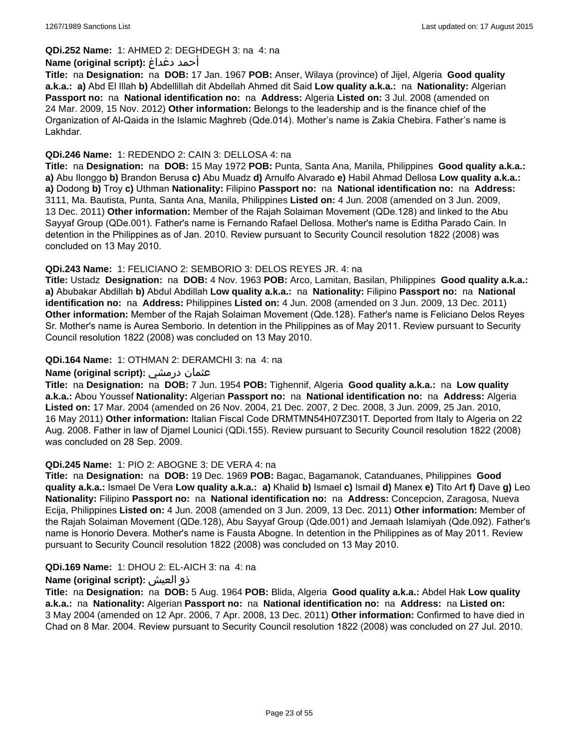## **QDi.252 Name:** 1: AHMED 2: DEGHDEGH 3: na 4: na

#### **Name (original script):** دغداغ أحمد

**Title:** na **Designation:** na **DOB:** 17 Jan. 1967 **POB:** Anser, Wilaya (province) of Jijel, Algeria **Good quality a.k.a.: a)** Abd El Illah **b)** Abdellillah dit Abdellah Ahmed dit Said **Low quality a.k.a.:** na **Nationality:** Algerian **Passport no:** na **National identification no:** na **Address:** Algeria **Listed on:** 3 Jul. 2008 (amended on 24 Mar. 2009, 15 Nov. 2012) **Other information:** Belongs to the leadership and is the finance chief of the Organization of Al-Qaida in the Islamic Maghreb (Qde.014). Mother's name is Zakia Chebira. Father's name is Lakhdar.

#### **QDi.246 Name:** 1: REDENDO 2: CAIN 3: DELLOSA 4: na

**Title:** na **Designation:** na **DOB:** 15 May 1972 **POB:** Punta, Santa Ana, Manila, Philippines **Good quality a.k.a.: a)** Abu Ilonggo **b)** Brandon Berusa **c)** Abu Muadz **d)** Arnulfo Alvarado **e)** Habil Ahmad Dellosa **Low quality a.k.a.: a)** Dodong **b)** Troy **c)** Uthman **Nationality:** Filipino **Passport no:** na **National identification no:** na **Address:** 3111, Ma. Bautista, Punta, Santa Ana, Manila, Philippines **Listed on:** 4 Jun. 2008 (amended on 3 Jun. 2009, 13 Dec. 2011) **Other information:** Member of the Rajah Solaiman Movement (QDe.128) and linked to the Abu Sayyaf Group (QDe.001). Father's name is Fernando Rafael Dellosa. Mother's name is Editha Parado Cain. In detention in the Philippines as of Jan. 2010. Review pursuant to Security Council resolution 1822 (2008) was concluded on 13 May 2010.

#### **QDi.243 Name:** 1: FELICIANO 2: SEMBORIO 3: DELOS REYES JR. 4: na

**Title:** Ustadz **Designation:** na **DOB:** 4 Nov. 1963 **POB:** Arco, Lamitan, Basilan, Philippines **Good quality a.k.a.: a)** Abubakar Abdillah **b)** Abdul Abdillah **Low quality a.k.a.:** na **Nationality:** Filipino **Passport no:** na **National identification no:** na **Address:** Philippines **Listed on:** 4 Jun. 2008 (amended on 3 Jun. 2009, 13 Dec. 2011) **Other information:** Member of the Rajah Solaiman Movement (Qde.128). Father's name is Feliciano Delos Reyes Sr. Mother's name is Aurea Semborio. In detention in the Philippines as of May 2011. Review pursuant to Security Council resolution 1822 (2008) was concluded on 13 May 2010.

#### **QDi.164 Name:** 1: OTHMAN 2: DERAMCHI 3: na 4: na

#### **Name (original script):** درمشي عثمان

**Title:** na **Designation:** na **DOB:** 7 Jun. 1954 **POB:** Tighennif, Algeria **Good quality a.k.a.:** na **Low quality a.k.a.:** Abou Youssef **Nationality:** Algerian **Passport no:** na **National identification no:** na **Address:** Algeria **Listed on:** 17 Mar. 2004 (amended on 26 Nov. 2004, 21 Dec. 2007, 2 Dec. 2008, 3 Jun. 2009, 25 Jan. 2010, 16 May 2011) **Other information:** Italian Fiscal Code DRMTMN54H07Z301T. Deported from Italy to Algeria on 22 Aug. 2008. Father in law of Djamel Lounici (QDi.155). Review pursuant to Security Council resolution 1822 (2008) was concluded on 28 Sep. 2009.

#### **QDi.245 Name:** 1: PIO 2: ABOGNE 3: DE VERA 4: na

**Title:** na **Designation:** na **DOB:** 19 Dec. 1969 **POB:** Bagac, Bagamanok, Catanduanes, Philippines **Good quality a.k.a.:** Ismael De Vera **Low quality a.k.a.: a)** Khalid **b)** Ismael **c)** Ismail **d)** Manex **e)** Tito Art **f)** Dave **g)** Leo **Nationality:** Filipino **Passport no:** na **National identification no:** na **Address:** Concepcion, Zaragosa, Nueva Ecija, Philippines **Listed on:** 4 Jun. 2008 (amended on 3 Jun. 2009, 13 Dec. 2011) **Other information:** Member of the Rajah Solaiman Movement (QDe.128), Abu Sayyaf Group (Qde.001) and Jemaah Islamiyah (Qde.092). Father's name is Honorio Devera. Mother's name is Fausta Abogne. In detention in the Philippines as of May 2011. Review pursuant to Security Council resolution 1822 (2008) was concluded on 13 May 2010.

#### **QDi.169 Name:** 1: DHOU 2: EL-AICH 3: na 4: na

## **Name (original script):** العيش ذو

**Title:** na **Designation:** na **DOB:** 5 Aug. 1964 **POB:** Blida, Algeria **Good quality a.k.a.:** Abdel Hak **Low quality a.k.a.:** na **Nationality:** Algerian **Passport no:** na **National identification no:** na **Address:** na **Listed on:** 3 May 2004 (amended on 12 Apr. 2006, 7 Apr. 2008, 13 Dec. 2011) **Other information:** Confirmed to have died in Chad on 8 Mar. 2004. Review pursuant to Security Council resolution 1822 (2008) was concluded on 27 Jul. 2010.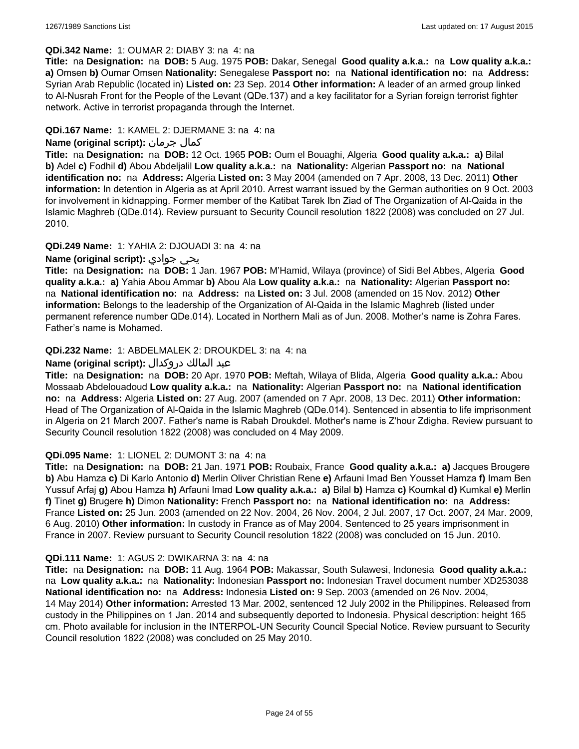### **QDi.342 Name:** 1: OUMAR 2: DIABY 3: na 4: na

**Title:** na **Designation:** na **DOB:** 5 Aug. 1975 **POB:** Dakar, Senegal **Good quality a.k.a.:** na **Low quality a.k.a.: a)** Omsen **b)** Oumar Omsen **Nationality:** Senegalese **Passport no:** na **National identification no:** na **Address:** Syrian Arab Republic (located in) **Listed on:** 23 Sep. 2014 **Other information:** A leader of an armed group linked to Al-Nusrah Front for the People of the Levant (QDe.137) and a key facilitator for a Syrian foreign terrorist fighter network. Active in terrorist propaganda through the Internet.

## **QDi.167 Name:** 1: KAMEL 2: DJERMANE 3: na 4: na

## **Name (original script):** جرمان كمال

**Title:** na **Designation:** na **DOB:** 12 Oct. 1965 **POB:** Oum el Bouaghi, Algeria **Good quality a.k.a.: a)** Bilal **b)** Adel **c)** Fodhil **d)** Abou Abdeljalil **Low quality a.k.a.:** na **Nationality:** Algerian **Passport no:** na **National identification no:** na **Address:** Algeria **Listed on:** 3 May 2004 (amended on 7 Apr. 2008, 13 Dec. 2011) **Other information:** In detention in Algeria as at April 2010. Arrest warrant issued by the German authorities on 9 Oct. 2003 for involvement in kidnapping. Former member of the Katibat Tarek Ibn Ziad of The Organization of Al-Qaida in the Islamic Maghreb (QDe.014). Review pursuant to Security Council resolution 1822 (2008) was concluded on 27 Jul. 2010.

#### **QDi.249 Name:** 1: YAHIA 2: DJOUADI 3: na 4: na

#### **Name (original script):** جوادي يحي

**Title:** na **Designation:** na **DOB:** 1 Jan. 1967 **POB:** M'Hamid, Wilaya (province) of Sidi Bel Abbes, Algeria **Good quality a.k.a.: a)** Yahia Abou Ammar **b)** Abou Ala **Low quality a.k.a.:** na **Nationality:** Algerian **Passport no:**  na **National identification no:** na **Address:** na **Listed on:** 3 Jul. 2008 (amended on 15 Nov. 2012) **Other information:** Belongs to the leadership of the Organization of Al-Qaida in the Islamic Maghreb (listed under permanent reference number QDe.014). Located in Northern Mali as of Jun. 2008. Mother's name is Zohra Fares. Father's name is Mohamed.

#### **QDi.232 Name:** 1: ABDELMALEK 2: DROUKDEL 3: na 4: na

## عبد المالك دروكدال **:(script original (Name**

**Title:** na **Designation:** na **DOB:** 20 Apr. 1970 **POB:** Meftah, Wilaya of Blida, Algeria **Good quality a.k.a.:** Abou Mossaab Abdelouadoud **Low quality a.k.a.:** na **Nationality:** Algerian **Passport no:** na **National identification no:** na **Address:** Algeria **Listed on:** 27 Aug. 2007 (amended on 7 Apr. 2008, 13 Dec. 2011) **Other information:** Head of The Organization of Al-Qaida in the Islamic Maghreb (QDe.014). Sentenced in absentia to life imprisonment in Algeria on 21 March 2007. Father's name is Rabah Droukdel. Mother's name is Z'hour Zdigha. Review pursuant to Security Council resolution 1822 (2008) was concluded on 4 May 2009.

#### **QDi.095 Name:** 1: LIONEL 2: DUMONT 3: na 4: na

**Title:** na **Designation:** na **DOB:** 21 Jan. 1971 **POB:** Roubaix, France **Good quality a.k.a.: a)** Jacques Brougere **b)** Abu Hamza **c)** Di Karlo Antonio **d)** Merlin Oliver Christian Rene **e)** Arfauni Imad Ben Yousset Hamza **f)** Imam Ben Yussuf Arfaj **g)** Abou Hamza **h)** Arfauni Imad **Low quality a.k.a.: a)** Bilal **b)** Hamza **c)** Koumkal **d)** Kumkal **e)** Merlin **f)** Tinet **g)** Brugere **h)** Dimon **Nationality:** French **Passport no:** na **National identification no:** na **Address:** France **Listed on:** 25 Jun. 2003 (amended on 22 Nov. 2004, 26 Nov. 2004, 2 Jul. 2007, 17 Oct. 2007, 24 Mar. 2009, 6 Aug. 2010) **Other information:** In custody in France as of May 2004. Sentenced to 25 years imprisonment in France in 2007. Review pursuant to Security Council resolution 1822 (2008) was concluded on 15 Jun. 2010.

#### **QDi.111 Name:** 1: AGUS 2: DWIKARNA 3: na 4: na

**Title:** na **Designation:** na **DOB:** 11 Aug. 1964 **POB:** Makassar, South Sulawesi, Indonesia **Good quality a.k.a.:**  na **Low quality a.k.a.:** na **Nationality:** Indonesian **Passport no:** Indonesian Travel document number XD253038 **National identification no:** na **Address:** Indonesia **Listed on:** 9 Sep. 2003 (amended on 26 Nov. 2004, 14 May 2014) **Other information:** Arrested 13 Mar. 2002, sentenced 12 July 2002 in the Philippines. Released from custody in the Philippines on 1 Jan. 2014 and subsequently deported to Indonesia. Physical description: height 165 cm. Photo available for inclusion in the INTERPOL-UN Security Council Special Notice. Review pursuant to Security Council resolution 1822 (2008) was concluded on 25 May 2010.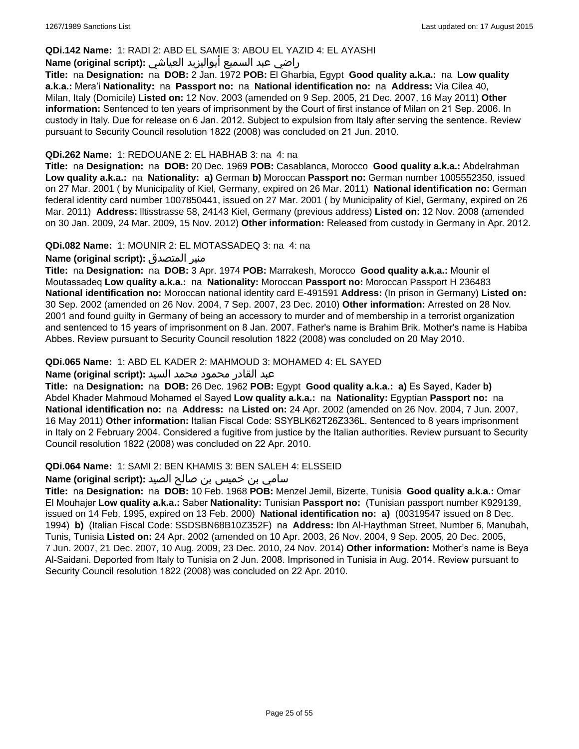#### **QDi.142 Name:** 1: RADI 2: ABD EL SAMIE 3: ABOU EL YAZID 4: EL AYASHI

## راضي عبد السميع أبواليزيد العياشي **:(script original (Name**

**Title:** na **Designation:** na **DOB:** 2 Jan. 1972 **POB:** El Gharbia, Egypt **Good quality a.k.a.:** na **Low quality a.k.a.:** Mera'i **Nationality:** na **Passport no:** na **National identification no:** na **Address:** Via Cilea 40, Milan, Italy (Domicile) **Listed on:** 12 Nov. 2003 (amended on 9 Sep. 2005, 21 Dec. 2007, 16 May 2011) **Other information:** Sentenced to ten years of imprisonment by the Court of first instance of Milan on 21 Sep. 2006. In custody in Italy. Due for release on 6 Jan. 2012. Subject to expulsion from Italy after serving the sentence. Review pursuant to Security Council resolution 1822 (2008) was concluded on 21 Jun. 2010.

#### **QDi.262 Name:** 1: REDOUANE 2: EL HABHAB 3: na 4: na

**Title:** na **Designation:** na **DOB:** 20 Dec. 1969 **POB:** Casablanca, Morocco **Good quality a.k.a.:** Abdelrahman **Low quality a.k.a.:** na **Nationality: a)** German **b)** Moroccan **Passport no:** German number 1005552350, issued on 27 Mar. 2001 ( by Municipality of Kiel, Germany, expired on 26 Mar. 2011) **National identification no:** German federal identity card number 1007850441, issued on 27 Mar. 2001 ( by Municipality of Kiel, Germany, expired on 26 Mar. 2011) **Address:** lltisstrasse 58, 24143 Kiel, Germany (previous address) **Listed on:** 12 Nov. 2008 (amended on 30 Jan. 2009, 24 Mar. 2009, 15 Nov. 2012) **Other information:** Released from custody in Germany in Apr. 2012.

**QDi.082 Name:** 1: MOUNIR 2: EL MOTASSADEQ 3: na 4: na

#### **Name (original script):** المتصدق منير

**Title:** na **Designation:** na **DOB:** 3 Apr. 1974 **POB:** Marrakesh, Morocco **Good quality a.k.a.:** Mounir el Moutassadeq **Low quality a.k.a.:** na **Nationality:** Moroccan **Passport no:** Moroccan Passport H 236483 **National identification no:** Moroccan national identity card E-491591 **Address:** (In prison in Germany) **Listed on:** 30 Sep. 2002 (amended on 26 Nov. 2004, 7 Sep. 2007, 23 Dec. 2010) **Other information:** Arrested on 28 Nov. 2001 and found guilty in Germany of being an accessory to murder and of membership in a terrorist organization and sentenced to 15 years of imprisonment on 8 Jan. 2007. Father's name is Brahim Brik. Mother's name is Habiba Abbes. Review pursuant to Security Council resolution 1822 (2008) was concluded on 20 May 2010.

#### **QDi.065 Name:** 1: ABD EL KADER 2: MAHMOUD 3: MOHAMED 4: EL SAYED

#### عبد القادر محمود محمد السيد **:(script original (Name**

**Title:** na **Designation:** na **DOB:** 26 Dec. 1962 **POB:** Egypt **Good quality a.k.a.: a)** Es Sayed, Kader **b)** Abdel Khader Mahmoud Mohamed el Sayed **Low quality a.k.a.:** na **Nationality:** Egyptian **Passport no:** na **National identification no:** na **Address:** na **Listed on:** 24 Apr. 2002 (amended on 26 Nov. 2004, 7 Jun. 2007, 16 May 2011) **Other information:** Italian Fiscal Code: SSYBLK62T26Z336L. Sentenced to 8 years imprisonment in Italy on 2 February 2004. Considered a fugitive from justice by the Italian authorities. Review pursuant to Security Council resolution 1822 (2008) was concluded on 22 Apr. 2010.

#### **QDi.064 Name:** 1: SAMI 2: BEN KHAMIS 3: BEN SALEH 4: ELSSEID

#### سامي بن خميس بن صالح الصيد **:(script original (Name**

**Title:** na **Designation:** na **DOB:** 10 Feb. 1968 **POB:** Menzel Jemil, Bizerte, Tunisia **Good quality a.k.a.:** Omar El Mouhajer **Low quality a.k.a.:** Saber **Nationality:** Tunisian **Passport no:** (Tunisian passport number K929139, issued on 14 Feb. 1995, expired on 13 Feb. 2000) **National identification no: a)** (00319547 issued on 8 Dec. 1994) **b)** (Italian Fiscal Code: SSDSBN68B10Z352F) na **Address:** Ibn Al-Haythman Street, Number 6, Manubah, Tunis, Tunisia **Listed on:** 24 Apr. 2002 (amended on 10 Apr. 2003, 26 Nov. 2004, 9 Sep. 2005, 20 Dec. 2005, 7 Jun. 2007, 21 Dec. 2007, 10 Aug. 2009, 23 Dec. 2010, 24 Nov. 2014) **Other information:** Mother's name is Beya Al-Saidani. Deported from Italy to Tunisia on 2 Jun. 2008. Imprisoned in Tunisia in Aug. 2014. Review pursuant to Security Council resolution 1822 (2008) was concluded on 22 Apr. 2010.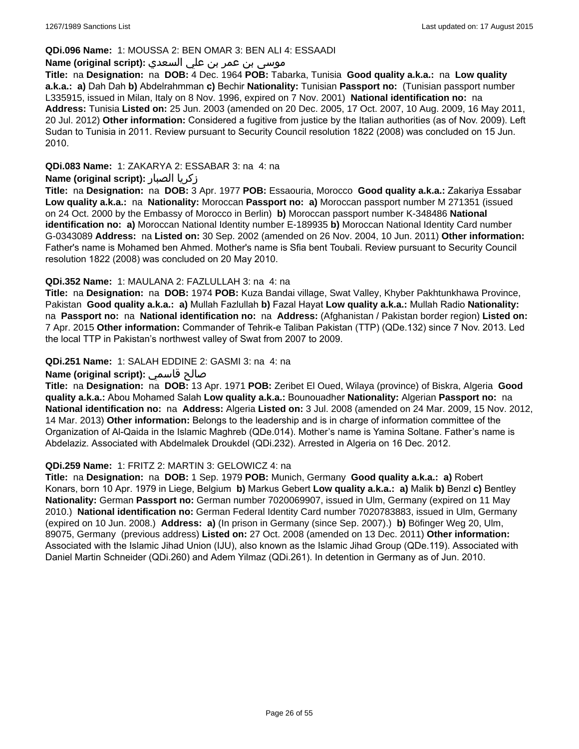#### **QDi.096 Name:** 1: MOUSSA 2: BEN OMAR 3: BEN ALI 4: ESSAADI

## موسى بن عمر بن علي السعدي **:**Name (original script)

**Title:** na **Designation:** na **DOB:** 4 Dec. 1964 **POB:** Tabarka, Tunisia **Good quality a.k.a.:** na **Low quality a.k.a.: a)** Dah Dah **b)** Abdelrahmman **c)** Bechir **Nationality:** Tunisian **Passport no:** (Tunisian passport number L335915, issued in Milan, Italy on 8 Nov. 1996, expired on 7 Nov. 2001) **National identification no:** na **Address:** Tunisia **Listed on:** 25 Jun. 2003 (amended on 20 Dec. 2005, 17 Oct. 2007, 10 Aug. 2009, 16 May 2011, 20 Jul. 2012) **Other information:** Considered a fugitive from justice by the Italian authorities (as of Nov. 2009). Left Sudan to Tunisia in 2011. Review pursuant to Security Council resolution 1822 (2008) was concluded on 15 Jun. 2010.

**QDi.083 Name:** 1: ZAKARYA 2: ESSABAR 3: na 4: na

## **Name (original script):** الصبار زكريا

**Title:** na **Designation:** na **DOB:** 3 Apr. 1977 **POB:** Essaouria, Morocco **Good quality a.k.a.:** Zakariya Essabar **Low quality a.k.a.:** na **Nationality:** Moroccan **Passport no: a)** Moroccan passport number M 271351 (issued on 24 Oct. 2000 by the Embassy of Morocco in Berlin) **b)** Moroccan passport number K-348486 **National identification no: a)** Moroccan National Identity number E-189935 **b)** Moroccan National Identity Card number G-0343089 **Address:** na **Listed on:** 30 Sep. 2002 (amended on 26 Nov. 2004, 10 Jun. 2011) **Other information:** Father's name is Mohamed ben Ahmed. Mother's name is Sfia bent Toubali. Review pursuant to Security Council resolution 1822 (2008) was concluded on 20 May 2010.

#### **QDi.352 Name:** 1: MAULANA 2: FAZLULLAH 3: na 4: na

**Title:** na **Designation:** na **DOB:** 1974 **POB:** Kuza Bandai village, Swat Valley, Khyber Pakhtunkhawa Province, Pakistan **Good quality a.k.a.: a)** Mullah Fazlullah **b)** Fazal Hayat **Low quality a.k.a.:** Mullah Radio **Nationality:**  na **Passport no:** na **National identification no:** na **Address:** (Afghanistan / Pakistan border region) **Listed on:** 7 Apr. 2015 **Other information:** Commander of Tehrik-e Taliban Pakistan (TTP) (QDe.132) since 7 Nov. 2013. Led the local TTP in Pakistan's northwest valley of Swat from 2007 to 2009.

#### **QDi.251 Name:** 1: SALAH EDDINE 2: GASMI 3: na 4: na

### **Name (original script):** قاسمي صالح

**Title:** na **Designation:** na **DOB:** 13 Apr. 1971 **POB:** Zeribet El Oued, Wilaya (province) of Biskra, Algeria **Good quality a.k.a.:** Abou Mohamed Salah **Low quality a.k.a.:** Bounouadher **Nationality:** Algerian **Passport no:** na **National identification no:** na **Address:** Algeria **Listed on:** 3 Jul. 2008 (amended on 24 Mar. 2009, 15 Nov. 2012, 14 Mar. 2013) **Other information:** Belongs to the leadership and is in charge of information committee of the Organization of Al-Qaida in the Islamic Maghreb (QDe.014). Mother's name is Yamina Soltane. Father's name is Abdelaziz. Associated with Abdelmalek Droukdel (QDi.232). Arrested in Algeria on 16 Dec. 2012.

#### **QDi.259 Name:** 1: FRITZ 2: MARTIN 3: GELOWICZ 4: na

**Title:** na **Designation:** na **DOB:** 1 Sep. 1979 **POB:** Munich, Germany **Good quality a.k.a.: a)** Robert Konars, born 10 Apr. 1979 in Liege, Belgium **b)** Markus Gebert **Low quality a.k.a.: a)** Malik **b)** Benzl **c)** Bentley **Nationality:** German **Passport no:** German number 7020069907, issued in Ulm, Germany (expired on 11 May 2010.) **National identification no:** German Federal Identity Card number 7020783883, issued in Ulm, Germany (expired on 10 Jun. 2008.) **Address: a)** (In prison in Germany (since Sep. 2007).) **b)** Böfinger Weg 20, Ulm, 89075, Germany (previous address) **Listed on:** 27 Oct. 2008 (amended on 13 Dec. 2011) **Other information:** Associated with the Islamic Jihad Union (IJU), also known as the Islamic Jihad Group (QDe.119). Associated with Daniel Martin Schneider (QDi.260) and Adem Yilmaz (QDi.261). In detention in Germany as of Jun. 2010.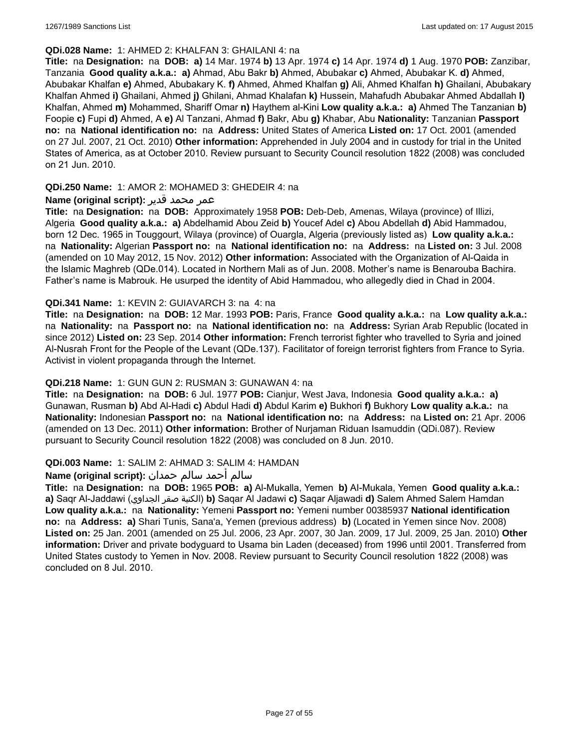#### **QDi.028 Name:** 1: AHMED 2: KHALFAN 3: GHAILANI 4: na

**Title:** na **Designation:** na **DOB: a)** 14 Mar. 1974 **b)** 13 Apr. 1974 **c)** 14 Apr. 1974 **d)** 1 Aug. 1970 **POB:** Zanzibar, Tanzania **Good quality a.k.a.: a)** Ahmad, Abu Bakr **b)** Ahmed, Abubakar **c)** Ahmed, Abubakar K. **d)** Ahmed, Abubakar Khalfan **e)** Ahmed, Abubakary K. **f)** Ahmed, Ahmed Khalfan **g)** Ali, Ahmed Khalfan **h)** Ghailani, Abubakary Khalfan Ahmed **i)** Ghailani, Ahmed **j)** Ghilani, Ahmad Khalafan **k)** Hussein, Mahafudh Abubakar Ahmed Abdallah **l)** Khalfan, Ahmed **m)** Mohammed, Shariff Omar **n)** Haythem al-Kini **Low quality a.k.a.: a)** Ahmed The Tanzanian **b)** Foopie **c)** Fupi **d)** Ahmed, A **e)** Al Tanzani, Ahmad **f)** Bakr, Abu **g)** Khabar, Abu **Nationality:** Tanzanian **Passport no:** na **National identification no:** na **Address:** United States of America **Listed on:** 17 Oct. 2001 (amended on 27 Jul. 2007, 21 Oct. 2010) **Other information:** Apprehended in July 2004 and in custody for trial in the United States of America, as at October 2010. Review pursuant to Security Council resolution 1822 (2008) was concluded on 21 Jun. 2010.

## **QDi.250 Name:** 1: AMOR 2: MOHAMED 3: GHEDEIR 4: na

#### عمر محمد قدير **:(script original (Name**

**Title:** na **Designation:** na **DOB:** Approximately 1958 **POB:** Deb-Deb, Amenas, Wilaya (province) of Illizi, Algeria **Good quality a.k.a.: a)** Abdelhamid Abou Zeid **b)** Youcef Adel **c)** Abou Abdellah **d)** Abid Hammadou, born 12 Dec. 1965 in Touggourt, Wilaya (province) of Ouargla, Algeria (previously listed as) **Low quality a.k.a.:**  na **Nationality:** Algerian **Passport no:** na **National identification no:** na **Address:** na **Listed on:** 3 Jul. 2008 (amended on 10 May 2012, 15 Nov. 2012) **Other information:** Associated with the Organization of Al-Qaida in the Islamic Maghreb (QDe.014). Located in Northern Mali as of Jun. 2008. Mother's name is Benarouba Bachira. Father's name is Mabrouk. He usurped the identity of Abid Hammadou, who allegedly died in Chad in 2004.

#### **QDi.341 Name:** 1: KEVIN 2: GUIAVARCH 3: na 4: na

**Title:** na **Designation:** na **DOB:** 12 Mar. 1993 **POB:** Paris, France **Good quality a.k.a.:** na **Low quality a.k.a.:**  na **Nationality:** na **Passport no:** na **National identification no:** na **Address:** Syrian Arab Republic (located in since 2012) **Listed on:** 23 Sep. 2014 **Other information:** French terrorist fighter who travelled to Syria and joined Al-Nusrah Front for the People of the Levant (QDe.137). Facilitator of foreign terrorist fighters from France to Syria. Activist in violent propaganda through the Internet.

## **QDi.218 Name:** 1: GUN GUN 2: RUSMAN 3: GUNAWAN 4: na

**Title:** na **Designation:** na **DOB:** 6 Jul. 1977 **POB:** Cianjur, West Java, Indonesia **Good quality a.k.a.: a)** Gunawan, Rusman **b)** Abd Al-Hadi **c)** Abdul Hadi **d)** Abdul Karim **e)** Bukhori **f)** Bukhory **Low quality a.k.a.:** na **Nationality:** Indonesian **Passport no:** na **National identification no:** na **Address:** na **Listed on:** 21 Apr. 2006 (amended on 13 Dec. 2011) **Other information:** Brother of Nurjaman Riduan Isamuddin (QDi.087). Review pursuant to Security Council resolution 1822 (2008) was concluded on 8 Jun. 2010.

#### **QDi.003 Name:** 1: SALIM 2: AHMAD 3: SALIM 4: HAMDAN

## سالم أحمد سالم حمدان **:(script original (Name**

**Title:** na **Designation:** na **DOB:** 1965 **POB: a)** Al-Mukalla, Yemen **b)** AI-Mukala, Yemen **Good quality a.k.a.: a)** Saqr Al-Jaddawi (الجداوي صقر الكنية(**b)** Saqar Al Jadawi **c)** Saqar Aljawadi **d)** Salem Ahmed Salem Hamdan **Low quality a.k.a.:** na **Nationality:** Yemeni **Passport no:** Yemeni number 00385937 **National identification no:** na **Address: a)** Shari Tunis, Sana'a, Yemen (previous address) **b)** (Located in Yemen since Nov. 2008) **Listed on:** 25 Jan. 2001 (amended on 25 Jul. 2006, 23 Apr. 2007, 30 Jan. 2009, 17 Jul. 2009, 25 Jan. 2010) **Other information:** Driver and private bodyguard to Usama bin Laden (deceased) from 1996 until 2001. Transferred from United States custody to Yemen in Nov. 2008. Review pursuant to Security Council resolution 1822 (2008) was concluded on 8 Jul. 2010.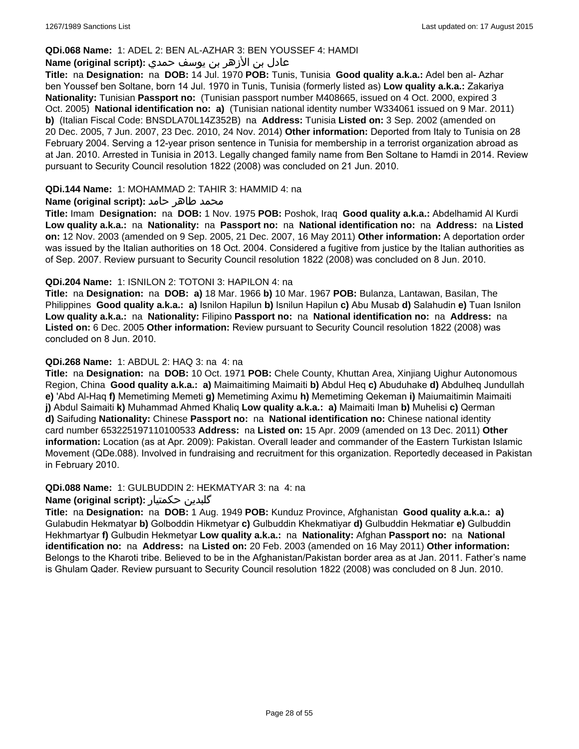### **QDi.068 Name:** 1: ADEL 2: BEN AL-AZHAR 3: BEN YOUSSEF 4: HAMDI

## عادل بن الأزهر بن يوسف حمدي **:(script original (Name**

**Title:** na **Designation:** na **DOB:** 14 Jul. 1970 **POB:** Tunis, Tunisia **Good quality a.k.a.:** Adel ben al- Azhar ben Youssef ben Soltane, born 14 Jul. 1970 in Tunis, Tunisia (formerly listed as) **Low quality a.k.a.:** Zakariya **Nationality:** Tunisian **Passport no:** (Tunisian passport number M408665, issued on 4 Oct. 2000, expired 3 Oct. 2005) **National identification no: a)** (Tunisian national identity number W334061 issued on 9 Mar. 2011) **b)** (Italian Fiscal Code: BNSDLA70L14Z352B) na **Address:** Tunisia **Listed on:** 3 Sep. 2002 (amended on 20 Dec. 2005, 7 Jun. 2007, 23 Dec. 2010, 24 Nov. 2014) **Other information:** Deported from Italy to Tunisia on 28 February 2004. Serving a 12-year prison sentence in Tunisia for membership in a terrorist organization abroad as at Jan. 2010. Arrested in Tunisia in 2013. Legally changed family name from Ben Soltane to Hamdi in 2014. Review pursuant to Security Council resolution 1822 (2008) was concluded on 21 Jun. 2010.

#### **QDi.144 Name:** 1: MOHAMMAD 2: TAHIR 3: HAMMID 4: na

#### **محمد طاهر حامد :(Name (original script**

**Title:** Imam **Designation:** na **DOB:** 1 Nov. 1975 **POB:** Poshok, Iraq **Good quality a.k.a.:** Abdelhamid Al Kurdi **Low quality a.k.a.:** na **Nationality:** na **Passport no:** na **National identification no:** na **Address:** na **Listed on:** 12 Nov. 2003 (amended on 9 Sep. 2005, 21 Dec. 2007, 16 May 2011) **Other information:** A deportation order was issued by the Italian authorities on 18 Oct. 2004. Considered a fugitive from justice by the Italian authorities as of Sep. 2007. Review pursuant to Security Council resolution 1822 (2008) was concluded on 8 Jun. 2010.

#### **QDi.204 Name:** 1: ISNILON 2: TOTONI 3: HAPILON 4: na

**Title:** na **Designation:** na **DOB: a)** 18 Mar. 1966 **b)** 10 Mar. 1967 **POB:** Bulanza, Lantawan, Basilan, The Philippines **Good quality a.k.a.: a)** Isnilon Hapilun **b)** Isnilun Hapilun **c)** Abu Musab **d)** Salahudin **e)** Tuan Isnilon **Low quality a.k.a.:** na **Nationality:** Filipino **Passport no:** na **National identification no:** na **Address:** na **Listed on:** 6 Dec. 2005 **Other information:** Review pursuant to Security Council resolution 1822 (2008) was concluded on 8 Jun. 2010.

#### **QDi.268 Name:** 1: ABDUL 2: HAQ 3: na 4: na

**Title:** na **Designation:** na **DOB:** 10 Oct. 1971 **POB:** Chele County, Khuttan Area, Xinjiang Uighur Autonomous Region, China **Good quality a.k.a.: a)** Maimaitiming Maimaiti **b)** Abdul Heq **c)** Abuduhake **d)** Abdulheq Jundullah **e)** 'Abd Al-Haq **f)** Memetiming Memeti **g)** Memetiming Aximu **h)** Memetiming Qekeman **i)** Maiumaitimin Maimaiti **j)** Abdul Saimaiti **k)** Muhammad Ahmed Khaliq **Low quality a.k.a.: a)** Maimaiti Iman **b)** Muhelisi **c)** Qerman **d)** Saifuding **Nationality:** Chinese **Passport no:** na **National identification no:** Chinese national identity card number 653225197110100533 **Address:** na **Listed on:** 15 Apr. 2009 (amended on 13 Dec. 2011) **Other information:** Location (as at Apr. 2009): Pakistan. Overall leader and commander of the Eastern Turkistan Islamic Movement (QDe.088). Involved in fundraising and recruitment for this organization. Reportedly deceased in Pakistan in February 2010.

#### **QDi.088 Name:** 1: GULBUDDIN 2: HEKMATYAR 3: na 4: na

#### **Name (original script):** حکمتیار گلبدین

**Title:** na **Designation:** na **DOB:** 1 Aug. 1949 **POB:** Kunduz Province, Afghanistan **Good quality a.k.a.: a)** Gulabudin Hekmatyar **b)** Golboddin Hikmetyar **c)** Gulbuddin Khekmatiyar **d)** Gulbuddin Hekmatiar **e)** Gulbuddin Hekhmartyar **f)** Gulbudin Hekmetyar **Low quality a.k.a.:** na **Nationality:** Afghan **Passport no:** na **National identification no:** na **Address:** na **Listed on:** 20 Feb. 2003 (amended on 16 May 2011) **Other information:** Belongs to the Kharoti tribe. Believed to be in the Afghanistan/Pakistan border area as at Jan. 2011. Father's name is Ghulam Qader. Review pursuant to Security Council resolution 1822 (2008) was concluded on 8 Jun. 2010.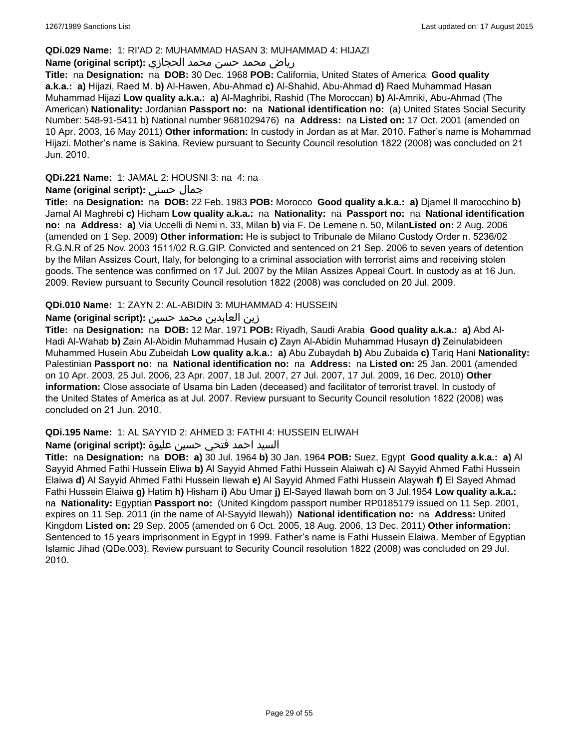#### **QDi.029 Name:** 1: RI'AD 2: MUHAMMAD HASAN 3: MUHAMMAD 4: HIJAZI

## رياض محمد حسن محمد الحجازي **:(script original (Name**

**Title:** na **Designation:** na **DOB:** 30 Dec. 1968 **POB:** California, United States of America **Good quality a.k.a.: a)** Hijazi, Raed M. **b)** Al-Hawen, Abu-Ahmad **c)** Al-Shahid, Abu-Ahmad **d)** Raed Muhammad Hasan Muhammad Hijazi **Low quality a.k.a.: a)** Al-Maghribi, Rashid (The Moroccan) **b)** Al-Amriki, Abu-Ahmad (The American) **Nationality:** Jordanian **Passport no:** na **National identification no:** (a) United States Social Security Number: 548-91-5411 b) National number 9681029476) na **Address:** na **Listed on:** 17 Oct. 2001 (amended on 10 Apr. 2003, 16 May 2011) **Other information:** In custody in Jordan as at Mar. 2010. Father's name is Mohammad Hijazi. Mother's name is Sakina. Review pursuant to Security Council resolution 1822 (2008) was concluded on 21 Jun. 2010.

## **QDi.221 Name:** 1: JAMAL 2: HOUSNI 3: na 4: na

### **Name (original script):** حسني جمال

**Title:** na **Designation:** na **DOB:** 22 Feb. 1983 **POB:** Morocco **Good quality a.k.a.: a)** Djamel Il marocchino **b)** Jamal Al Maghrebi **c)** Hicham **Low quality a.k.a.:** na **Nationality:** na **Passport no:** na **National identification no:** na **Address: a)** Via Uccelli di Nemi n. 33, Milan **b)** via F. De Lemene n. 50, Milan**Listed on:** 2 Aug. 2006 (amended on 1 Sep. 2009) **Other information:** He is subject to Tribunale de Milano Custody Order n. 5236/02 R.G.N.R of 25 Nov. 2003 1511/02 R.G.GIP. Convicted and sentenced on 21 Sep. 2006 to seven years of detention by the Milan Assizes Court, Italy, for belonging to a criminal association with terrorist aims and receiving stolen goods. The sentence was confirmed on 17 Jul. 2007 by the Milan Assizes Appeal Court. In custody as at 16 Jun. 2009. Review pursuant to Security Council resolution 1822 (2008) was concluded on 20 Jul. 2009.

#### **QDi.010 Name:** 1: ZAYN 2: AL-ABIDIN 3: MUHAMMAD 4: HUSSEIN

#### زين العابدين محمد حسين **:(script original (Name**

**Title:** na **Designation:** na **DOB:** 12 Mar. 1971 **POB:** Riyadh, Saudi Arabia **Good quality a.k.a.: a)** Abd Al-Hadi Al-Wahab **b)** Zain Al-Abidin Muhammad Husain **c)** Zayn Al-Abidin Muhammad Husayn **d)** Zeinulabideen Muhammed Husein Abu Zubeidah **Low quality a.k.a.: a)** Abu Zubaydah **b)** Abu Zubaida **c)** Tariq Hani **Nationality:** Palestinian **Passport no:** na **National identification no:** na **Address:** na **Listed on:** 25 Jan. 2001 (amended on 10 Apr. 2003, 25 Jul. 2006, 23 Apr. 2007, 18 Jul. 2007, 27 Jul. 2007, 17 Jul. 2009, 16 Dec. 2010) **Other information:** Close associate of Usama bin Laden (deceased) and facilitator of terrorist travel. In custody of the United States of America as at Jul. 2007. Review pursuant to Security Council resolution 1822 (2008) was concluded on 21 Jun. 2010.

#### **QDi.195 Name:** 1: AL SAYYID 2: AHMED 3: FATHI 4: HUSSEIN ELIWAH

## السيد احمد فتحي حسين عليوة **:(script original (Name**

**Title:** na **Designation:** na **DOB: a)** 30 Jul. 1964 **b)** 30 Jan. 1964 **POB:** Suez, Egypt **Good quality a.k.a.: a)** Al Sayyid Ahmed Fathi Hussein Eliwa **b)** Al Sayyid Ahmed Fathi Hussein Alaiwah **c)** Al Sayyid Ahmed Fathi Hussein Elaiwa **d)** Al Sayyid Ahmed Fathi Hussein Ilewah **e)** Al Sayyid Ahmed Fathi Hussein Alaywah **f)** El Sayed Ahmad Fathi Hussein Elaiwa **g)** Hatim **h)** Hisham **i)** Abu Umar **j)** El-Sayed Ilawah born on 3 Jul.1954 **Low quality a.k.a.:**  na **Nationality:** Egyptian **Passport no:** (United Kingdom passport number RP0185179 issued on 11 Sep. 2001, expires on 11 Sep. 2011 (in the name of Al-Sayyid Ilewah)) **National identification no:** na **Address:** United Kingdom **Listed on:** 29 Sep. 2005 (amended on 6 Oct. 2005, 18 Aug. 2006, 13 Dec. 2011) **Other information:** Sentenced to 15 years imprisonment in Egypt in 1999. Father's name is Fathi Hussein Elaiwa. Member of Egyptian Islamic Jihad (QDe.003). Review pursuant to Security Council resolution 1822 (2008) was concluded on 29 Jul. 2010.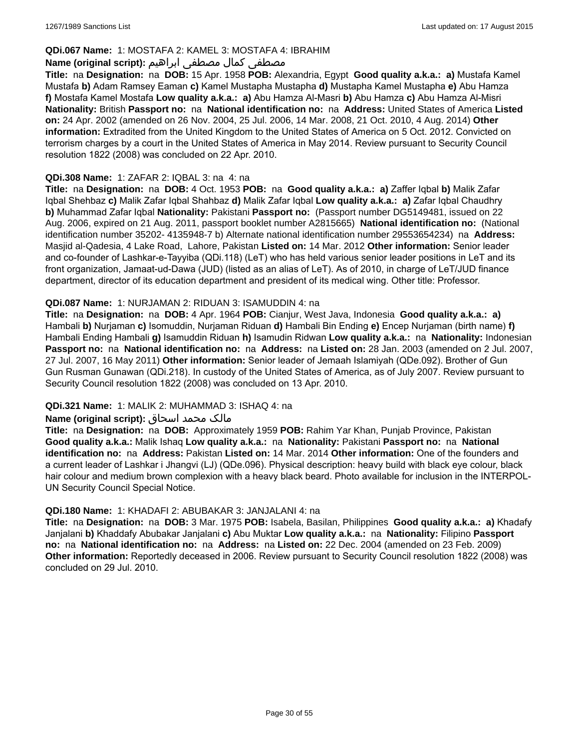## **QDi.067 Name:** 1: MOSTAFA 2: KAMEL 3: MOSTAFA 4: IBRAHIM

## مصطفى كمال مصطفى ابراهيم **:Name (original script**)

**Title:** na **Designation:** na **DOB:** 15 Apr. 1958 **POB:** Alexandria, Egypt **Good quality a.k.a.: a)** Mustafa Kamel Mustafa **b)** Adam Ramsey Eaman **c)** Kamel Mustapha Mustapha **d)** Mustapha Kamel Mustapha **e)** Abu Hamza **f)** Mostafa Kamel Mostafa **Low quality a.k.a.: a)** Abu Hamza Al-Masri **b)** Abu Hamza **c)** Abu Hamza Al-Misri **Nationality:** British **Passport no:** na **National identification no:** na **Address:** United States of America **Listed on:** 24 Apr. 2002 (amended on 26 Nov. 2004, 25 Jul. 2006, 14 Mar. 2008, 21 Oct. 2010, 4 Aug. 2014) **Other information:** Extradited from the United Kingdom to the United States of America on 5 Oct. 2012. Convicted on terrorism charges by a court in the United States of America in May 2014. Review pursuant to Security Council resolution 1822 (2008) was concluded on 22 Apr. 2010.

#### **QDi.308 Name:** 1: ZAFAR 2: IQBAL 3: na 4: na

**Title:** na **Designation:** na **DOB:** 4 Oct. 1953 **POB:** na **Good quality a.k.a.: a)** Zaffer Iqbal **b)** Malik Zafar Iqbal Shehbaz **c)** Malik Zafar Iqbal Shahbaz **d)** Malik Zafar Iqbal **Low quality a.k.a.: a)** Zafar Iqbal Chaudhry **b)** Muhammad Zafar Iqbal **Nationality:** Pakistani **Passport no:** (Passport number DG5149481, issued on 22 Aug. 2006, expired on 21 Aug. 2011, passport booklet number A2815665) **National identification no:** (National identification number 35202- 4135948-7 b) Alternate national identification number 29553654234) na **Address:** Masjid al-Qadesia, 4 Lake Road, Lahore, Pakistan **Listed on:** 14 Mar. 2012 **Other information:** Senior leader and co-founder of Lashkar-e-Tayyiba (QDi.118) (LeT) who has held various senior leader positions in LeT and its front organization, Jamaat-ud-Dawa (JUD) (listed as an alias of LeT). As of 2010, in charge of LeT/JUD finance department, director of its education department and president of its medical wing. Other title: Professor.

#### **QDi.087 Name:** 1: NURJAMAN 2: RIDUAN 3: ISAMUDDIN 4: na

**Title:** na **Designation:** na **DOB:** 4 Apr. 1964 **POB:** Cianjur, West Java, Indonesia **Good quality a.k.a.: a)** Hambali **b)** Nurjaman **c)** Isomuddin, Nurjaman Riduan **d)** Hambali Bin Ending **e)** Encep Nurjaman (birth name) **f)** Hambali Ending Hambali **g)** Isamuddin Riduan **h)** Isamudin Ridwan **Low quality a.k.a.:** na **Nationality:** Indonesian **Passport no:** na **National identification no:** na **Address:** na **Listed on:** 28 Jan. 2003 (amended on 2 Jul. 2007, 27 Jul. 2007, 16 May 2011) **Other information:** Senior leader of Jemaah Islamiyah (QDe.092). Brother of Gun Gun Rusman Gunawan (QDi.218). In custody of the United States of America, as of July 2007. Review pursuant to Security Council resolution 1822 (2008) was concluded on 13 Apr. 2010.

## **QDi.321 Name:** 1: MALIK 2: MUHAMMAD 3: ISHAQ 4: na

## مالک محمد اسحاق : Name (original script)

**Title:** na **Designation:** na **DOB:** Approximately 1959 **POB:** Rahim Yar Khan, Punjab Province, Pakistan **Good quality a.k.a.:** Malik Ishaq **Low quality a.k.a.:** na **Nationality:** Pakistani **Passport no:** na **National identification no:** na **Address:** Pakistan **Listed on:** 14 Mar. 2014 **Other information:** One of the founders and a current leader of Lashkar i Jhangvi (LJ) (QDe.096). Physical description: heavy build with black eye colour, black hair colour and medium brown complexion with a heavy black beard. Photo available for inclusion in the INTERPOL-UN Security Council Special Notice.

#### **QDi.180 Name:** 1: KHADAFI 2: ABUBAKAR 3: JANJALANI 4: na

**Title:** na **Designation:** na **DOB:** 3 Mar. 1975 **POB:** Isabela, Basilan, Philippines **Good quality a.k.a.: a)** Khadafy Janjalani **b)** Khaddafy Abubakar Janjalani **c)** Abu Muktar **Low quality a.k.a.:** na **Nationality:** Filipino **Passport no:** na **National identification no:** na **Address:** na **Listed on:** 22 Dec. 2004 (amended on 23 Feb. 2009) **Other information:** Reportedly deceased in 2006. Review pursuant to Security Council resolution 1822 (2008) was concluded on 29 Jul. 2010.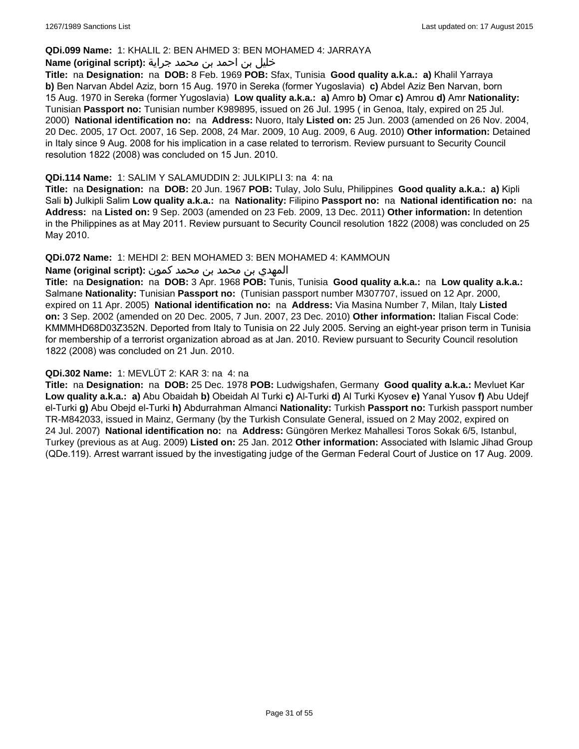#### **QDi.099 Name:** 1: KHALIL 2: BEN AHMED 3: BEN MOHAMED 4: JARRAYA

#### خليل بن احمد بن محمد جراية **:(script original (Name**

**Title:** na **Designation:** na **DOB:** 8 Feb. 1969 **POB:** Sfax, Tunisia **Good quality a.k.a.: a)** Khalil Yarraya **b)** Ben Narvan Abdel Aziz, born 15 Aug. 1970 in Sereka (former Yugoslavia) **c)** Abdel Aziz Ben Narvan, born 15 Aug. 1970 in Sereka (former Yugoslavia) **Low quality a.k.a.: a)** Amro **b)** Omar **c)** Amrou **d)** Amr **Nationality:** Tunisian **Passport no:** Tunisian number K989895, issued on 26 Jul. 1995 ( in Genoa, Italy, expired on 25 Jul. 2000) **National identification no:** na **Address:** Nuoro, Italy **Listed on:** 25 Jun. 2003 (amended on 26 Nov. 2004, 20 Dec. 2005, 17 Oct. 2007, 16 Sep. 2008, 24 Mar. 2009, 10 Aug. 2009, 6 Aug. 2010) **Other information:** Detained in Italy since 9 Aug. 2008 for his implication in a case related to terrorism. Review pursuant to Security Council resolution 1822 (2008) was concluded on 15 Jun. 2010.

#### **QDi.114 Name:** 1: SALIM Y SALAMUDDIN 2: JULKIPLI 3: na 4: na

**Title:** na **Designation:** na **DOB:** 20 Jun. 1967 **POB:** Tulay, Jolo Sulu, Philippines **Good quality a.k.a.: a)** Kipli Sali **b)** Julkipli Salim **Low quality a.k.a.:** na **Nationality:** Filipino **Passport no:** na **National identification no:** na **Address:** na **Listed on:** 9 Sep. 2003 (amended on 23 Feb. 2009, 13 Dec. 2011) **Other information:** In detention in the Philippines as at May 2011. Review pursuant to Security Council resolution 1822 (2008) was concluded on 25 May 2010.

#### **QDi.072 Name:** 1: MEHDI 2: BEN MOHAMED 3: BEN MOHAMED 4: KAMMOUN

## المهدي بن محمد بن محمد كمون **:(script original (Name**

**Title:** na **Designation:** na **DOB:** 3 Apr. 1968 **POB:** Tunis, Tunisia **Good quality a.k.a.:** na **Low quality a.k.a.:** Salmane **Nationality:** Tunisian **Passport no:** (Tunisian passport number M307707, issued on 12 Apr. 2000, expired on 11 Apr. 2005) **National identification no:** na **Address:** Via Masina Number 7, Milan, Italy **Listed on:** 3 Sep. 2002 (amended on 20 Dec. 2005, 7 Jun. 2007, 23 Dec. 2010) **Other information:** Italian Fiscal Code: KMMMHD68D03Z352N. Deported from Italy to Tunisia on 22 July 2005. Serving an eight-year prison term in Tunisia for membership of a terrorist organization abroad as at Jan. 2010. Review pursuant to Security Council resolution 1822 (2008) was concluded on 21 Jun. 2010.

#### **QDi.302 Name:** 1: MEVLÜT 2: KAR 3: na 4: na

**Title:** na **Designation:** na **DOB:** 25 Dec. 1978 **POB:** Ludwigshafen, Germany **Good quality a.k.a.:** Mevluet Kar **Low quality a.k.a.: a)** Abu Obaidah **b)** Obeidah Al Turki **c)** Al-Turki **d)** Al Turki Kyosev **e)** Yanal Yusov **f)** Abu Udejf el-Turki **g)** Abu Obejd el-Turki **h)** Abdurrahman Almanci **Nationality:** Turkish **Passport no:** Turkish passport number TR-M842033, issued in Mainz, Germany (by the Turkish Consulate General, issued on 2 May 2002, expired on 24 Jul. 2007) **National identification no:** na **Address:** Güngören Merkez Mahallesi Toros Sokak 6/5, Istanbul, Turkey (previous as at Aug. 2009) **Listed on:** 25 Jan. 2012 **Other information:** Associated with Islamic Jihad Group (QDe.119). Arrest warrant issued by the investigating judge of the German Federal Court of Justice on 17 Aug. 2009.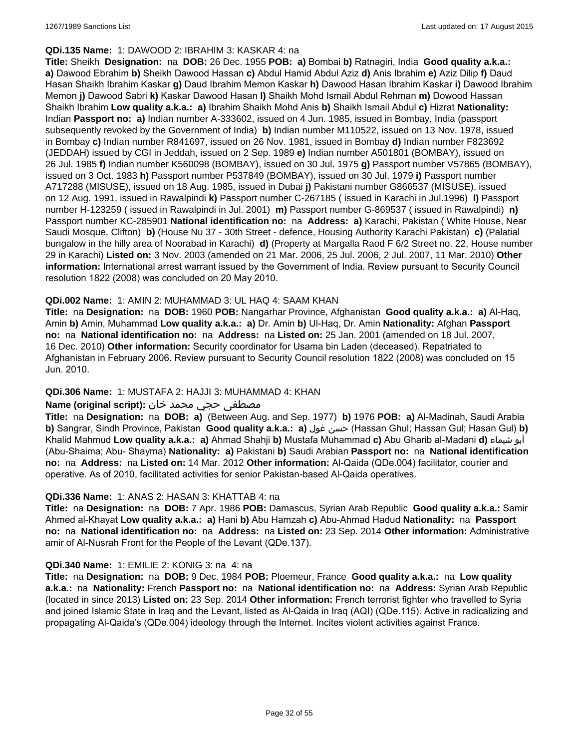#### **QDi.135 Name:** 1: DAWOOD 2: IBRAHIM 3: KASKAR 4: na

**Title:** Sheikh **Designation:** na **DOB:** 26 Dec. 1955 **POB: a)** Bombai **b)** Ratnagiri, India **Good quality a.k.a.: a)** Dawood Ebrahim **b)** Sheikh Dawood Hassan **c)** Abdul Hamid Abdul Aziz **d)** Anis Ibrahim **e)** Aziz Dilip **f)** Daud Hasan Shaikh Ibrahim Kaskar **g)** Daud Ibrahim Memon Kaskar **h)** Dawood Hasan Ibrahim Kaskar **i)** Dawood Ibrahim Memon **j)** Dawood Sabri **k)** Kaskar Dawood Hasan **l)** Shaikh Mohd Ismail Abdul Rehman **m)** Dowood Hassan Shaikh Ibrahim **Low quality a.k.a.: a)** Ibrahim Shaikh Mohd Anis **b)** Shaikh Ismail Abdul **c)** Hizrat **Nationality:** Indian **Passport no: a)** Indian number A-333602, issued on 4 Jun. 1985, issued in Bombay, India (passport subsequently revoked by the Government of India) **b)** Indian number M110522, issued on 13 Nov. 1978, issued in Bombay **c)** Indian number R841697, issued on 26 Nov. 1981, issued in Bombay **d)** Indian number F823692 (JEDDAH) issued by CGI in Jeddah, issued on 2 Sep. 1989 **e)** Indian number A501801 (BOMBAY), issued on 26 Jul. 1985 **f)** Indian number K560098 (BOMBAY), issued on 30 Jul. 1975 **g)** Passport number V57865 (BOMBAY), issued on 3 Oct. 1983 **h)** Passport number P537849 (BOMBAY), issued on 30 Jul. 1979 **i)** Passport number A717288 (MISUSE), issued on 18 Aug. 1985, issued in Dubai **j)** Pakistani number G866537 (MISUSE), issued on 12 Aug. 1991, issued in Rawalpindi **k)** Passport number C-267185 ( issued in Karachi in Jul.1996) **l)** Passport number H-123259 ( issued in Rawalpindi in Jul. 2001) **m)** Passport number G-869537 ( issued in Rawalpindi) **n)** Passport number KC-285901 **National identification no:** na **Address: a)** Karachi, Pakistan ( White House, Near Saudi Mosque, Clifton) **b)** (House Nu 37 - 30th Street - defence, Housing Authority Karachi Pakistan) **c)** (Palatial bungalow in the hilly area of Noorabad in Karachi) **d)** (Property at Margalla Raod F 6/2 Street no. 22, House number 29 in Karachi) **Listed on:** 3 Nov. 2003 (amended on 21 Mar. 2006, 25 Jul. 2006, 2 Jul. 2007, 11 Mar. 2010) **Other information:** International arrest warrant issued by the Government of India. Review pursuant to Security Council resolution 1822 (2008) was concluded on 20 May 2010.

#### **QDi.002 Name:** 1: AMIN 2: MUHAMMAD 3: UL HAQ 4: SAAM KHAN

**Title:** na **Designation:** na **DOB:** 1960 **POB:** Nangarhar Province, Afghanistan **Good quality a.k.a.: a)** Al-Haq, Amin **b)** Amin, Muhammad **Low quality a.k.a.: a)** Dr. Amin **b)** Ul-Haq, Dr. Amin **Nationality:** Afghan **Passport no:** na **National identification no:** na **Address:** na **Listed on:** 25 Jan. 2001 (amended on 18 Jul. 2007, 16 Dec. 2010) **Other information:** Security coordinator for Usama bin Laden (deceased). Repatriated to Afghanistan in February 2006. Review pursuant to Security Council resolution 1822 (2008) was concluded on 15 Jun. 2010.

## **QDi.306 Name:** 1: MUSTAFA 2: HAJJI 3: MUHAMMAD 4: KHAN

### مصطفى حجي محمد خان **:**Name (original script)

**Title:** na **Designation:** na **DOB: a)** (Between Aug. and Sep. 1977) **b)** 1976 **POB: a)** Al-Madinah, Saudi Arabia **b)** Sangrar, Sindh Province, Pakistan **Good quality a.k.a.: a)** غول حسن) Hassan Ghul; Hassan Gul; Hasan Gul) **b)** Khalid Mahmud **Low quality a.k.a.: a)** Ahmad Shahji **b)** Mustafa Muhammad **c)** Abu Gharib al-Madani **d)** شيماء أبو (Abu-Shaima; Abu- Shayma) **Nationality: a)** Pakistani **b)** Saudi Arabian **Passport no:** na **National identification no:** na **Address:** na **Listed on:** 14 Mar. 2012 **Other information:** Al-Qaida (QDe.004) facilitator, courier and operative. As of 2010, facilitated activities for senior Pakistan-based Al-Qaida operatives.

#### **QDi.336 Name:** 1: ANAS 2: HASAN 3: KHATTAB 4: na

**Title:** na **Designation:** na **DOB:** 7 Apr. 1986 **POB:** Damascus, Syrian Arab Republic **Good quality a.k.a.:** Samir Ahmed al-Khayat **Low quality a.k.a.: a)** Hani **b)** Abu Hamzah **c)** Abu-Ahmad Hadud **Nationality:** na **Passport no:** na **National identification no:** na **Address:** na **Listed on:** 23 Sep. 2014 **Other information:** Administrative amir of Al-Nusrah Front for the People of the Levant (QDe.137).

#### **QDi.340 Name:** 1: EMILIE 2: KONIG 3: na 4: na

**Title:** na **Designation:** na **DOB:** 9 Dec. 1984 **POB:** Ploemeur, France **Good quality a.k.a.:** na **Low quality a.k.a.:** na **Nationality:** French **Passport no:** na **National identification no:** na **Address:** Syrian Arab Republic (located in since 2013) **Listed on:** 23 Sep. 2014 **Other information:** French terrorist fighter who travelled to Syria and joined Islamic State in Iraq and the Levant, listed as Al-Qaida in Iraq (AQI) (QDe.115). Active in radicalizing and propagating Al-Qaida's (QDe.004) ideology through the Internet. Incites violent activities against France.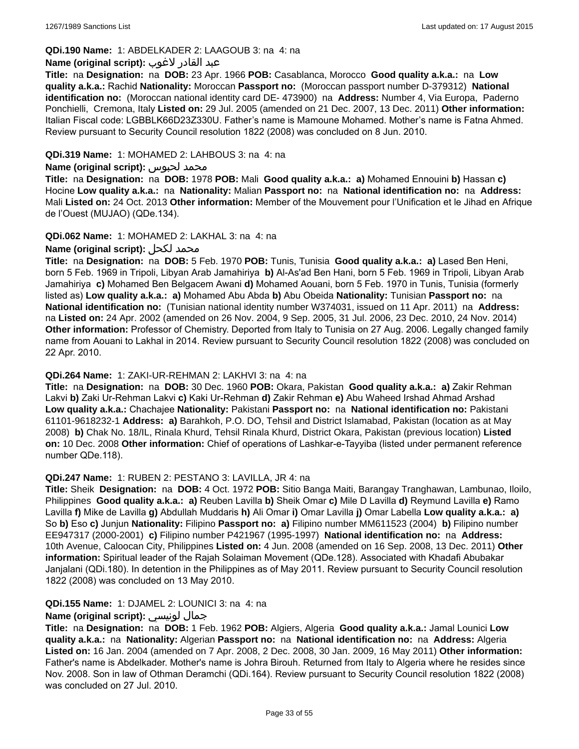## **QDi.190 Name:** 1: ABDELKADER 2: LAAGOUB 3: na 4: na

#### عبد القادر لاغوب **:(script original (Name**

**Title:** na **Designation:** na **DOB:** 23 Apr. 1966 **POB:** Casablanca, Morocco **Good quality a.k.a.:** na **Low quality a.k.a.:** Rachid **Nationality:** Moroccan **Passport no:** (Moroccan passport number D-379312) **National identification no:** (Moroccan national identity card DE- 473900) na **Address:** Number 4, Via Europa, Paderno Ponchielli, Cremona, Italy **Listed on:** 29 Jul. 2005 (amended on 21 Dec. 2007, 13 Dec. 2011) **Other information:** Italian Fiscal code: LGBBLK66D23Z330U. Father's name is Mamoune Mohamed. Mother's name is Fatna Ahmed. Review pursuant to Security Council resolution 1822 (2008) was concluded on 8 Jun. 2010.

#### **QDi.319 Name:** 1: MOHAMED 2: LAHBOUS 3: na 4: na

#### **Name (original script):** لحبوس محمد

**Title:** na **Designation:** na **DOB:** 1978 **POB:** Mali **Good quality a.k.a.: a)** Mohamed Ennouini **b)** Hassan **c)** Hocine **Low quality a.k.a.:** na **Nationality:** Malian **Passport no:** na **National identification no:** na **Address:** Mali **Listed on:** 24 Oct. 2013 **Other information:** Member of the Mouvement pour l'Unification et le Jihad en Afrique de l'Ouest (MUJAO) (QDe.134).

#### **QDi.062 Name:** 1: MOHAMED 2: LAKHAL 3: na 4: na

## **Name (original script):** لكحل محمد

**Title:** na **Designation:** na **DOB:** 5 Feb. 1970 **POB:** Tunis, Tunisia **Good quality a.k.a.: a)** Lased Ben Heni, born 5 Feb. 1969 in Tripoli, Libyan Arab Jamahiriya **b)** Al-As'ad Ben Hani, born 5 Feb. 1969 in Tripoli, Libyan Arab Jamahiriya **c)** Mohamed Ben Belgacem Awani **d)** Mohamed Aouani, born 5 Feb. 1970 in Tunis, Tunisia (formerly listed as) **Low quality a.k.a.: a)** Mohamed Abu Abda **b)** Abu Obeida **Nationality:** Tunisian **Passport no:** na **National identification no:** (Tunisian national identity number W374031, issued on 11 Apr. 2011) na **Address:**  na **Listed on:** 24 Apr. 2002 (amended on 26 Nov. 2004, 9 Sep. 2005, 31 Jul. 2006, 23 Dec. 2010, 24 Nov. 2014) **Other information:** Professor of Chemistry. Deported from Italy to Tunisia on 27 Aug. 2006. Legally changed family name from Aouani to Lakhal in 2014. Review pursuant to Security Council resolution 1822 (2008) was concluded on 22 Apr. 2010.

#### **QDi.264 Name:** 1: ZAKI-UR-REHMAN 2: LAKHVI 3: na 4: na

**Title:** na **Designation:** na **DOB:** 30 Dec. 1960 **POB:** Okara, Pakistan **Good quality a.k.a.: a)** Zakir Rehman Lakvi **b)** Zaki Ur-Rehman Lakvi **c)** Kaki Ur-Rehman **d)** Zakir Rehman **e)** Abu Waheed Irshad Ahmad Arshad **Low quality a.k.a.:** Chachajee **Nationality:** Pakistani **Passport no:** na **National identification no:** Pakistani 61101-9618232-1 **Address: a)** Barahkoh, P.O. DO, Tehsil and District Islamabad, Pakistan (location as at May 2008) **b)** Chak No. 18/IL, Rinala Khurd, Tehsil Rinala Khurd, District Okara, Pakistan (previous location) **Listed on:** 10 Dec. 2008 **Other information:** Chief of operations of Lashkar-e-Tayyiba (listed under permanent reference number QDe.118).

#### **QDi.247 Name:** 1: RUBEN 2: PESTANO 3: LAVILLA, JR 4: na

**Title:** Sheik **Designation:** na **DOB:** 4 Oct. 1972 **POB:** Sitio Banga Maiti, Barangay Tranghawan, Lambunao, Iloilo, Philippines **Good quality a.k.a.: a)** Reuben Lavilla **b)** Sheik Omar **c)** Mile D Lavilla **d)** Reymund Lavilla **e)** Ramo Lavilla **f)** Mike de Lavilla **g)** Abdullah Muddaris **h)** Ali Omar **i)** Omar Lavilla **j)** Omar Labella **Low quality a.k.a.: a)** So **b)** Eso **c)** Junjun **Nationality:** Filipino **Passport no: a)** Filipino number MM611523 (2004) **b)** Filipino number EE947317 (2000-2001) **c)** Filipino number P421967 (1995-1997) **National identification no:** na **Address:** 10th Avenue, Caloocan City, Philippines **Listed on:** 4 Jun. 2008 (amended on 16 Sep. 2008, 13 Dec. 2011) **Other information:** Spiritual leader of the Rajah Solaiman Movement (QDe.128). Associated with Khadafi Abubakar Janjalani (QDi.180). In detention in the Philippines as of May 2011. Review pursuant to Security Council resolution 1822 (2008) was concluded on 13 May 2010.

## **QDi.155 Name:** 1: DJAMEL 2: LOUNICI 3: na 4: na

## **Name (original script):** لونيسي جمال

**Title:** na **Designation:** na **DOB:** 1 Feb. 1962 **POB:** Algiers, Algeria **Good quality a.k.a.:** Jamal Lounici **Low quality a.k.a.:** na **Nationality:** Algerian **Passport no:** na **National identification no:** na **Address:** Algeria **Listed on:** 16 Jan. 2004 (amended on 7 Apr. 2008, 2 Dec. 2008, 30 Jan. 2009, 16 May 2011) **Other information:** Father's name is Abdelkader. Mother's name is Johra Birouh. Returned from Italy to Algeria where he resides since Nov. 2008. Son in law of Othman Deramchi (QDi.164). Review pursuant to Security Council resolution 1822 (2008) was concluded on 27 Jul. 2010.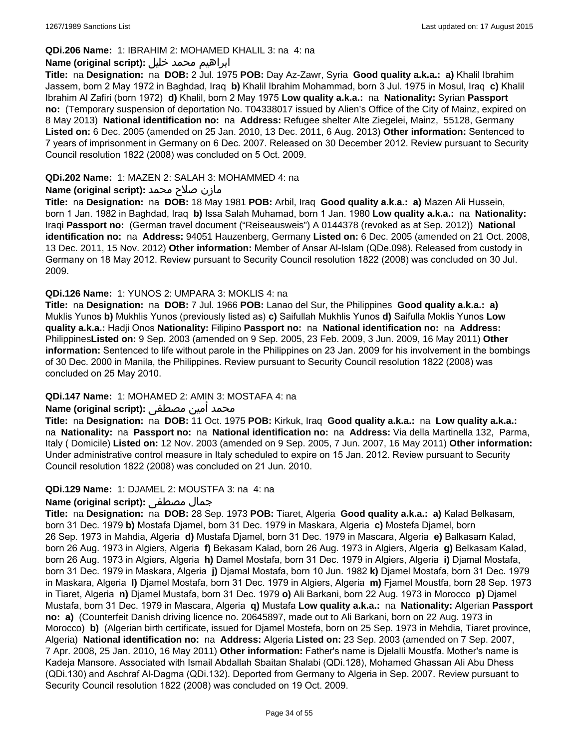#### **QDi.206 Name:** 1: IBRAHIM 2: MOHAMED KHALIL 3: na 4: na

### ابراهيم محمد خليل **:(script original (Name**

**Title:** na **Designation:** na **DOB:** 2 Jul. 1975 **POB:** Day Az-Zawr, Syria **Good quality a.k.a.: a)** Khalil Ibrahim Jassem, born 2 May 1972 in Baghdad, Iraq **b)** Khalil Ibrahim Mohammad, born 3 Jul. 1975 in Mosul, Iraq **c)** Khalil Ibrahim Al Zafiri (born 1972) **d)** Khalil, born 2 May 1975 **Low quality a.k.a.:** na **Nationality:** Syrian **Passport no:** (Temporary suspension of deportation No. T04338017 issued by Alien's Office of the City of Mainz, expired on 8 May 2013) **National identification no:** na **Address:** Refugee shelter Alte Ziegelei, Mainz, 55128, Germany **Listed on:** 6 Dec. 2005 (amended on 25 Jan. 2010, 13 Dec. 2011, 6 Aug. 2013) **Other information:** Sentenced to 7 years of imprisonment in Germany on 6 Dec. 2007. Released on 30 December 2012. Review pursuant to Security Council resolution 1822 (2008) was concluded on 5 Oct. 2009.

#### **QDi.202 Name:** 1: MAZEN 2: SALAH 3: MOHAMMED 4: na

#### مازن صلاح محمد **:Name (original script)**

**Title:** na **Designation:** na **DOB:** 18 May 1981 **POB:** Arbil, Iraq **Good quality a.k.a.: a)** Mazen Ali Hussein, born 1 Jan. 1982 in Baghdad, Iraq **b)** Issa Salah Muhamad, born 1 Jan. 1980 **Low quality a.k.a.:** na **Nationality:** Iraqi **Passport no:** (German travel document ("Reiseausweis") A 0144378 (revoked as at Sep. 2012)) **National identification no:** na **Address:** 94051 Hauzenberg, Germany **Listed on:** 6 Dec. 2005 (amended on 21 Oct. 2008, 13 Dec. 2011, 15 Nov. 2012) **Other information:** Member of Ansar Al-Islam (QDe.098). Released from custody in Germany on 18 May 2012. Review pursuant to Security Council resolution 1822 (2008) was concluded on 30 Jul. 2009.

#### **QDi.126 Name:** 1: YUNOS 2: UMPARA 3: MOKLIS 4: na

**Title:** na **Designation:** na **DOB:** 7 Jul. 1966 **POB:** Lanao del Sur, the Philippines **Good quality a.k.a.: a)** Muklis Yunos **b)** Mukhlis Yunos (previously listed as) **c)** Saifullah Mukhlis Yunos **d)** Saifulla Moklis Yunos **Low quality a.k.a.:** Hadji Onos **Nationality:** Filipino **Passport no:** na **National identification no:** na **Address:** Philippines**Listed on:** 9 Sep. 2003 (amended on 9 Sep. 2005, 23 Feb. 2009, 3 Jun. 2009, 16 May 2011) **Other information:** Sentenced to life without parole in the Philippines on 23 Jan. 2009 for his involvement in the bombings of 30 Dec. 2000 in Manila, the Philippines. Review pursuant to Security Council resolution 1822 (2008) was concluded on 25 May 2010.

## **QDi.147 Name:** 1: MOHAMED 2: AMIN 3: MOSTAFA 4: na

## محمد أمين مصطفى :**Name (original script)**

**Title:** na **Designation:** na **DOB:** 11 Oct. 1975 **POB:** Kirkuk, Iraq **Good quality a.k.a.:** na **Low quality a.k.a.:**  na **Nationality:** na **Passport no:** na **National identification no:** na **Address:** Via della Martinella 132, Parma, Italy ( Domicile) **Listed on:** 12 Nov. 2003 (amended on 9 Sep. 2005, 7 Jun. 2007, 16 May 2011) **Other information:** Under administrative control measure in Italy scheduled to expire on 15 Jan. 2012. Review pursuant to Security Council resolution 1822 (2008) was concluded on 21 Jun. 2010.

#### **QDi.129 Name:** 1: DJAMEL 2: MOUSTFA 3: na 4: na

## **Name (original script):** مصطفى جمال

**Title:** na **Designation:** na **DOB:** 28 Sep. 1973 **POB:** Tiaret, Algeria **Good quality a.k.a.: a)** Kalad Belkasam, born 31 Dec. 1979 **b)** Mostafa Djamel, born 31 Dec. 1979 in Maskara, Algeria **c)** Mostefa Djamel, born 26 Sep. 1973 in Mahdia, Algeria **d)** Mustafa Djamel, born 31 Dec. 1979 in Mascara, Algeria **e)** Balkasam Kalad, born 26 Aug. 1973 in Algiers, Algeria **f)** Bekasam Kalad, born 26 Aug. 1973 in Algiers, Algeria **g)** Belkasam Kalad, born 26 Aug. 1973 in Algiers, Algeria **h)** Damel Mostafa, born 31 Dec. 1979 in Algiers, Algeria **i)** Djamal Mostafa, born 31 Dec. 1979 in Maskara, Algeria **j)** Djamal Mostafa, born 10 Jun. 1982 **k)** Djamel Mostafa, born 31 Dec. 1979 in Maskara, Algeria **l)** Djamel Mostafa, born 31 Dec. 1979 in Algiers, Algeria **m)** Fjamel Moustfa, born 28 Sep. 1973 in Tiaret, Algeria **n)** Djamel Mustafa, born 31 Dec. 1979 **o)** Ali Barkani, born 22 Aug. 1973 in Morocco **p)** Djamel Mustafa, born 31 Dec. 1979 in Mascara, Algeria **q)** Mustafa **Low quality a.k.a.:** na **Nationality:** Algerian **Passport no: a)** (Counterfeit Danish driving licence no. 20645897, made out to Ali Barkani, born on 22 Aug. 1973 in Morocco) **b)** (Algerian birth certificate, issued for Djamel Mostefa, born on 25 Sep. 1973 in Mehdia, Tiaret province, Algeria) **National identification no:** na **Address:** Algeria **Listed on:** 23 Sep. 2003 (amended on 7 Sep. 2007, 7 Apr. 2008, 25 Jan. 2010, 16 May 2011) **Other information:** Father's name is Djelalli Moustfa. Mother's name is Kadeja Mansore. Associated with Ismail Abdallah Sbaitan Shalabi (QDi.128), Mohamed Ghassan Ali Abu Dhess (QDi.130) and Aschraf Al-Dagma (QDi.132). Deported from Germany to Algeria in Sep. 2007. Review pursuant to Security Council resolution 1822 (2008) was concluded on 19 Oct. 2009.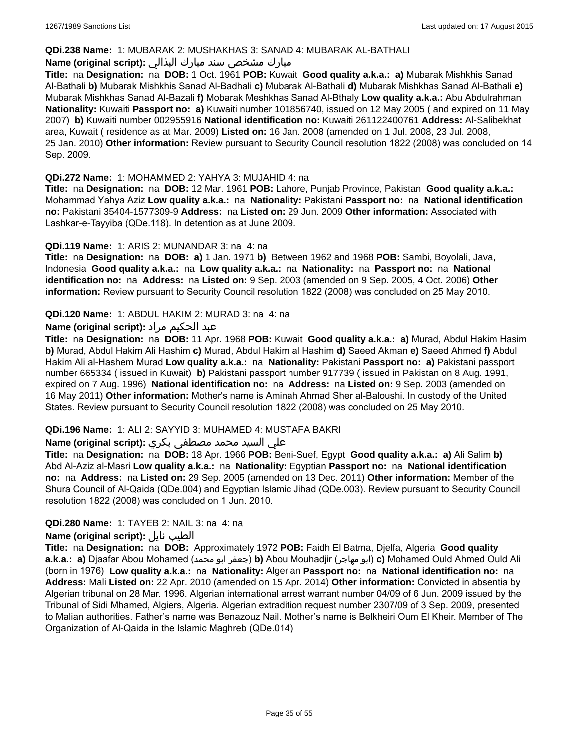#### **QDi.238 Name:** 1: MUBARAK 2: MUSHAKHAS 3: SANAD 4: MUBARAK AL-BATHALI

## مبارك مشخص سند مبارك البذالي **:Name (original script)**

**Title:** na **Designation:** na **DOB:** 1 Oct. 1961 **POB:** Kuwait **Good quality a.k.a.: a)** Mubarak Mishkhis Sanad Al-Bathali **b)** Mubarak Mishkhis Sanad Al-Badhali **c)** Mubarak Al-Bathali **d)** Mubarak Mishkhas Sanad Al-Bathali **e)** Mubarak Mishkhas Sanad Al-Bazali **f)** Mobarak Meshkhas Sanad Al-Bthaly **Low quality a.k.a.:** Abu Abdulrahman **Nationality:** Kuwaiti **Passport no: a)** Kuwaiti number 101856740, issued on 12 May 2005 ( and expired on 11 May 2007) **b)** Kuwaiti number 002955916 **National identification no:** Kuwaiti 261122400761 **Address:** Al-Salibekhat area, Kuwait ( residence as at Mar. 2009) **Listed on:** 16 Jan. 2008 (amended on 1 Jul. 2008, 23 Jul. 2008, 25 Jan. 2010) **Other information:** Review pursuant to Security Council resolution 1822 (2008) was concluded on 14 Sep. 2009.

#### **QDi.272 Name:** 1: MOHAMMED 2: YAHYA 3: MUJAHID 4: na

**Title:** na **Designation:** na **DOB:** 12 Mar. 1961 **POB:** Lahore, Punjab Province, Pakistan **Good quality a.k.a.:** Mohammad Yahya Aziz **Low quality a.k.a.:** na **Nationality:** Pakistani **Passport no:** na **National identification no:** Pakistani 35404-1577309-9 **Address:** na **Listed on:** 29 Jun. 2009 **Other information:** Associated with Lashkar-e-Tayyiba (QDe.118). In detention as at June 2009.

#### **QDi.119 Name:** 1: ARIS 2: MUNANDAR 3: na 4: na

**Title:** na **Designation:** na **DOB: a)** 1 Jan. 1971 **b)** Between 1962 and 1968 **POB:** Sambi, Boyolali, Java, Indonesia **Good quality a.k.a.:** na **Low quality a.k.a.:** na **Nationality:** na **Passport no:** na **National identification no:** na **Address:** na **Listed on:** 9 Sep. 2003 (amended on 9 Sep. 2005, 4 Oct. 2006) **Other information:** Review pursuant to Security Council resolution 1822 (2008) was concluded on 25 May 2010.

#### **QDi.120 Name:** 1: ABDUL HAKIM 2: MURAD 3: na 4: na

## عبد الحكيم مراد **:(script original (Name**

**Title:** na **Designation:** na **DOB:** 11 Apr. 1968 **POB:** Kuwait **Good quality a.k.a.: a)** Murad, Abdul Hakim Hasim **b)** Murad, Abdul Hakim Ali Hashim **c)** Murad, Abdul Hakim al Hashim **d)** Saeed Akman **e)** Saeed Ahmed **f)** Abdul Hakim Ali al-Hashem Murad **Low quality a.k.a.:** na **Nationality:** Pakistani **Passport no: a)** Pakistani passport number 665334 ( issued in Kuwait) **b)** Pakistani passport number 917739 ( issued in Pakistan on 8 Aug. 1991, expired on 7 Aug. 1996) **National identification no:** na **Address:** na **Listed on:** 9 Sep. 2003 (amended on 16 May 2011) **Other information:** Mother's name is Aminah Ahmad Sher al-Baloushi. In custody of the United States. Review pursuant to Security Council resolution 1822 (2008) was concluded on 25 May 2010.

## **QDi.196 Name:** 1: ALI 2: SAYYID 3: MUHAMED 4: MUSTAFA BAKRI

## علي السيد محمد مصطفى بكري **:(script original (Name**

**Title:** na **Designation:** na **DOB:** 18 Apr. 1966 **POB:** Beni-Suef, Egypt **Good quality a.k.a.: a)** Ali Salim **b)** Abd Al-Aziz al-Masri **Low quality a.k.a.:** na **Nationality:** Egyptian **Passport no:** na **National identification no:** na **Address:** na **Listed on:** 29 Sep. 2005 (amended on 13 Dec. 2011) **Other information:** Member of the Shura Council of Al-Qaida (QDe.004) and Egyptian Islamic Jihad (QDe.003). Review pursuant to Security Council resolution 1822 (2008) was concluded on 1 Jun. 2010.

## **QDi.280 Name:** 1: TAYEB 2: NAIL 3: na 4: na

#### **Name (original script):** نايل الطيب

**Title:** na **Designation:** na **DOB:** Approximately 1972 **POB:** Faidh El Batma, Djelfa, Algeria **Good quality a.k.a.: a)** Djaafar Abou Mohamed (محمد ابو جعفر(**b)** Abou Mouhadjir (مهاجر ابو(**c)** Mohamed Ould Ahmed Ould Ali (born in 1976) **Low quality a.k.a.:** na **Nationality:** Algerian **Passport no:** na **National identification no:** na **Address:** Mali **Listed on:** 22 Apr. 2010 (amended on 15 Apr. 2014) **Other information:** Convicted in absentia by Algerian tribunal on 28 Mar. 1996. Algerian international arrest warrant number 04/09 of 6 Jun. 2009 issued by the Tribunal of Sidi Mhamed, Algiers, Algeria. Algerian extradition request number 2307/09 of 3 Sep. 2009, presented to Malian authorities. Father's name was Benazouz Nail. Mother's name is Belkheiri Oum El Kheir. Member of The Organization of Al-Qaida in the Islamic Maghreb (QDe.014)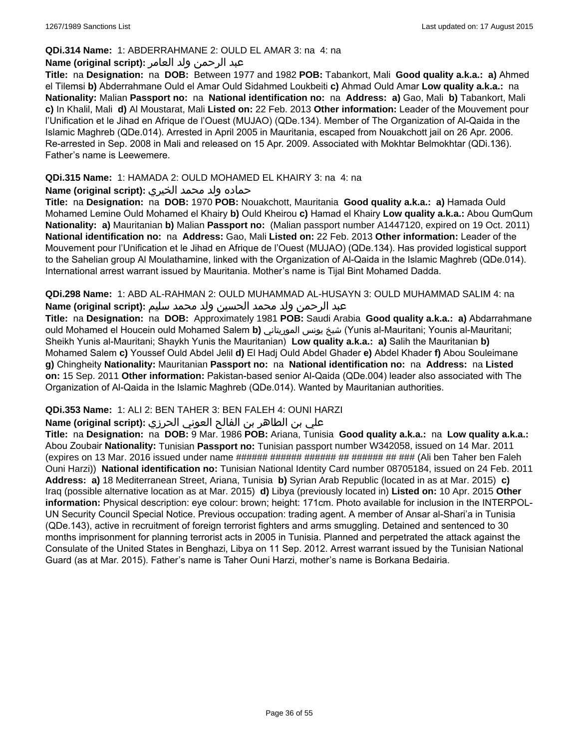#### **QDi.314 Name:** 1: ABDERRAHMANE 2: OULD EL AMAR 3: na 4: na

## عبد الرحمن ولد العامر **:(script original (Name**

**Title:** na **Designation:** na **DOB:** Between 1977 and 1982 **POB:** Tabankort, Mali **Good quality a.k.a.: a)** Ahmed el Tilemsi **b)** Abderrahmane Ould el Amar Ould Sidahmed Loukbeiti **c)** Ahmad Ould Amar **Low quality a.k.a.:** na **Nationality:** Malian **Passport no:** na **National identification no:** na **Address: a)** Gao, Mali **b)** Tabankort, Mali **c)** In Khalil, Mali **d)** Al Moustarat, Mali **Listed on:** 22 Feb. 2013 **Other information:** Leader of the Mouvement pour l'Unification et le Jihad en Afrique de l'Ouest (MUJAO) (QDe.134). Member of The Organization of Al-Qaida in the Islamic Maghreb (QDe.014). Arrested in April 2005 in Mauritania, escaped from Nouakchott jail on 26 Apr. 2006. Re-arrested in Sep. 2008 in Mali and released on 15 Apr. 2009. Associated with Mokhtar Belmokhtar (QDi.136). Father's name is Leewemere.

## **QDi.315 Name:** 1: HAMADA 2: OULD MOHAMED EL KHAIRY 3: na 4: na

## حماده ولد محمد الخيري **:(script original (Name**

**Title:** na **Designation:** na **DOB:** 1970 **POB:** Nouakchott, Mauritania **Good quality a.k.a.: a)** Hamada Ould Mohamed Lemine Ould Mohamed el Khairy **b)** Ould Kheirou **c)** Hamad el Khairy **Low quality a.k.a.:** Abou QumQum **Nationality: a)** Mauritanian **b)** Malian **Passport no:** (Malian passport number A1447120, expired on 19 Oct. 2011) **National identification no:** na **Address:** Gao, Mali **Listed on:** 22 Feb. 2013 **Other information:** Leader of the Mouvement pour l'Unification et le Jihad en Afrique de l'Ouest (MUJAO) (QDe.134). Has provided logistical support to the Sahelian group Al Moulathamine, linked with the Organization of Al-Qaida in the Islamic Maghreb (QDe.014). International arrest warrant issued by Mauritania. Mother's name is Tijal Bint Mohamed Dadda.

**QDi.298 Name:** 1: ABD AL-RAHMAN 2: OULD MUHAMMAD AL-HUSAYN 3: OULD MUHAMMAD SALIM 4: na عبد الرحمن ولد محمد الحسين ولد محمد سليم **:(script original (Name**

**Title:** na **Designation:** na **DOB:** Approximately 1981 **POB:** Saudi Arabia **Good quality a.k.a.: a)** Abdarrahmane ould Mohamed el Houcein ould Mohamed Salem **b)** الموريتاني يونس شيخ) Yunis al-Mauritani; Younis al-Mauritani; Sheikh Yunis al-Mauritani; Shaykh Yunis the Mauritanian) **Low quality a.k.a.: a)** Salih the Mauritanian **b)** Mohamed Salem **c)** Youssef Ould Abdel Jelil **d)** El Hadj Ould Abdel Ghader **e)** Abdel Khader **f)** Abou Souleimane **g)** Chingheity **Nationality:** Mauritanian **Passport no:** na **National identification no:** na **Address:** na **Listed on:** 15 Sep. 2011 **Other information:** Pakistan-based senior Al-Qaida (QDe.004) leader also associated with The Organization of Al-Qaida in the Islamic Maghreb (QDe.014). Wanted by Mauritanian authorities.

## **QDi.353 Name:** 1: ALI 2: BEN TAHER 3: BEN FALEH 4: OUNI HARZI

## علي بن الطاھر بن الفالح العوني الحرزي **:(script original (Name**

**Title:** na **Designation:** na **DOB:** 9 Mar. 1986 **POB:** Ariana, Tunisia **Good quality a.k.a.:** na **Low quality a.k.a.:** Abou Zoubair **Nationality:** Tunisian **Passport no:** Tunisian passport number W342058, issued on 14 Mar. 2011 (expires on 13 Mar. 2016 issued under name ###### ###### ####### ######### (Ali ben Taher ben Faleh Ouni Harzi)) **National identification no:** Tunisian National Identity Card number 08705184, issued on 24 Feb. 2011 **Address: a)** 18 Mediterranean Street, Ariana, Tunisia **b)** Syrian Arab Republic (located in as at Mar. 2015) **c)** Iraq (possible alternative location as at Mar. 2015) **d)** Libya (previously located in) **Listed on:** 10 Apr. 2015 **Other information:** Physical description: eye colour: brown; height: 171cm. Photo available for inclusion in the INTERPOL-UN Security Council Special Notice. Previous occupation: trading agent. A member of Ansar al-Shari'a in Tunisia (QDe.143), active in recruitment of foreign terrorist fighters and arms smuggling. Detained and sentenced to 30 months imprisonment for planning terrorist acts in 2005 in Tunisia. Planned and perpetrated the attack against the Consulate of the United States in Benghazi, Libya on 11 Sep. 2012. Arrest warrant issued by the Tunisian National Guard (as at Mar. 2015). Father's name is Taher Ouni Harzi, mother's name is Borkana Bedairia.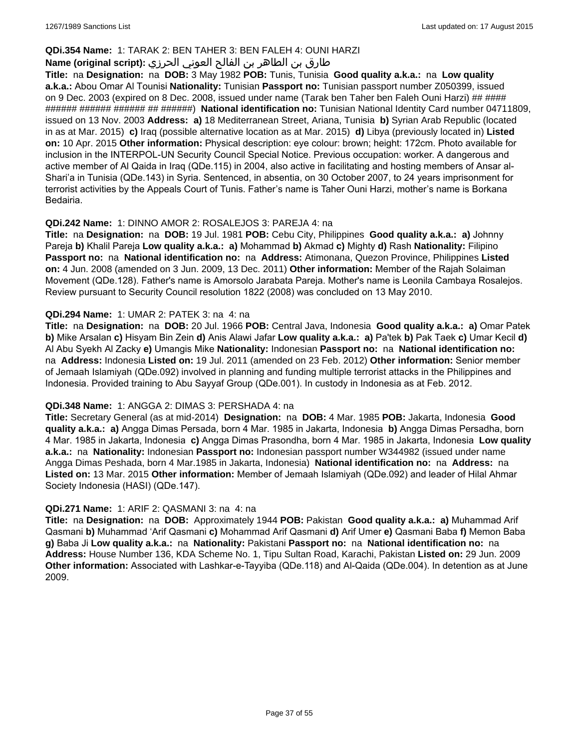## **QDi.354 Name:** 1: TARAK 2: BEN TAHER 3: BEN FALEH 4: OUNI HARZI

## طارق بن الطاھر بن الفالح العوني الحرزي **:(script original (Name**

**Title:** na **Designation:** na **DOB:** 3 May 1982 **POB:** Tunis, Tunisia **Good quality a.k.a.:** na **Low quality a.k.a.:** Abou Omar Al Tounisi **Nationality:** Tunisian **Passport no:** Tunisian passport number Z050399, issued on 9 Dec. 2003 (expired on 8 Dec. 2008, issued under name (Tarak ben Taher ben Faleh Ouni Harzi) ## #### ###### ###### ###### ## ######) **National identification no:** Tunisian National Identity Card number 04711809, issued on 13 Nov. 2003 **Address: a)** 18 Mediterranean Street, Ariana, Tunisia **b)** Syrian Arab Republic (located in as at Mar. 2015) **c)** Iraq (possible alternative location as at Mar. 2015) **d)** Libya (previously located in) **Listed on:** 10 Apr. 2015 **Other information:** Physical description: eye colour: brown; height: 172cm. Photo available for inclusion in the INTERPOL-UN Security Council Special Notice. Previous occupation: worker. A dangerous and active member of Al Qaida in Iraq (QDe.115) in 2004, also active in facilitating and hosting members of Ansar al-Shari'a in Tunisia (QDe.143) in Syria. Sentenced, in absentia, on 30 October 2007, to 24 years imprisonment for terrorist activities by the Appeals Court of Tunis. Father's name is Taher Ouni Harzi, mother's name is Borkana Bedairia.

#### **QDi.242 Name:** 1: DINNO AMOR 2: ROSALEJOS 3: PAREJA 4: na

**Title:** na **Designation:** na **DOB:** 19 Jul. 1981 **POB:** Cebu City, Philippines **Good quality a.k.a.: a)** Johnny Pareja **b)** Khalil Pareja **Low quality a.k.a.: a)** Mohammad **b)** Akmad **c)** Mighty **d)** Rash **Nationality:** Filipino **Passport no:** na **National identification no:** na **Address:** Atimonana, Quezon Province, Philippines **Listed on:** 4 Jun. 2008 (amended on 3 Jun. 2009, 13 Dec. 2011) **Other information:** Member of the Rajah Solaiman Movement (QDe.128). Father's name is Amorsolo Jarabata Pareja. Mother's name is Leonila Cambaya Rosalejos. Review pursuant to Security Council resolution 1822 (2008) was concluded on 13 May 2010.

#### **QDi.294 Name:** 1: UMAR 2: PATEK 3: na 4: na

**Title:** na **Designation:** na **DOB:** 20 Jul. 1966 **POB:** Central Java, Indonesia **Good quality a.k.a.: a)** Omar Patek **b)** Mike Arsalan **c)** Hisyam Bin Zein **d)** Anis Alawi Jafar **Low quality a.k.a.: a)** Pa'tek **b)** Pak Taek **c)** Umar Kecil **d)** Al Abu Syekh Al Zacky **e)** Umangis Mike **Nationality:** Indonesian **Passport no:** na **National identification no:**  na **Address:** Indonesia **Listed on:** 19 Jul. 2011 (amended on 23 Feb. 2012) **Other information:** Senior member of Jemaah Islamiyah (QDe.092) involved in planning and funding multiple terrorist attacks in the Philippines and Indonesia. Provided training to Abu Sayyaf Group (QDe.001). In custody in Indonesia as at Feb. 2012.

#### **QDi.348 Name:** 1: ANGGA 2: DIMAS 3: PERSHADA 4: na

**Title:** Secretary General (as at mid-2014) **Designation:** na **DOB:** 4 Mar. 1985 **POB:** Jakarta, Indonesia **Good quality a.k.a.: a)** Angga Dimas Persada, born 4 Mar. 1985 in Jakarta, Indonesia **b)** Angga Dimas Persadha, born 4 Mar. 1985 in Jakarta, Indonesia **c)** Angga Dimas Prasondha, born 4 Mar. 1985 in Jakarta, Indonesia **Low quality a.k.a.:** na **Nationality:** Indonesian **Passport no:** Indonesian passport number W344982 (issued under name Angga Dimas Peshada, born 4 Mar.1985 in Jakarta, Indonesia) **National identification no:** na **Address:** na **Listed on:** 13 Mar. 2015 **Other information:** Member of Jemaah Islamiyah (QDe.092) and leader of Hilal Ahmar Society Indonesia (HASI) (QDe.147).

#### **QDi.271 Name:** 1: ARIF 2: QASMANI 3: na 4: na

**Title:** na **Designation:** na **DOB:** Approximately 1944 **POB:** Pakistan **Good quality a.k.a.: a)** Muhammad Arif Qasmani **b)** Muhammad 'Arif Qasmani **c)** Mohammad Arif Qasmani **d)** Arif Umer **e)** Qasmani Baba **f)** Memon Baba **g)** Baba Ji **Low quality a.k.a.:** na **Nationality:** Pakistani **Passport no:** na **National identification no:** na **Address:** House Number 136, KDA Scheme No. 1, Tipu Sultan Road, Karachi, Pakistan **Listed on:** 29 Jun. 2009 **Other information:** Associated with Lashkar-e-Tayyiba (QDe.118) and Al-Qaida (QDe.004). In detention as at June 2009.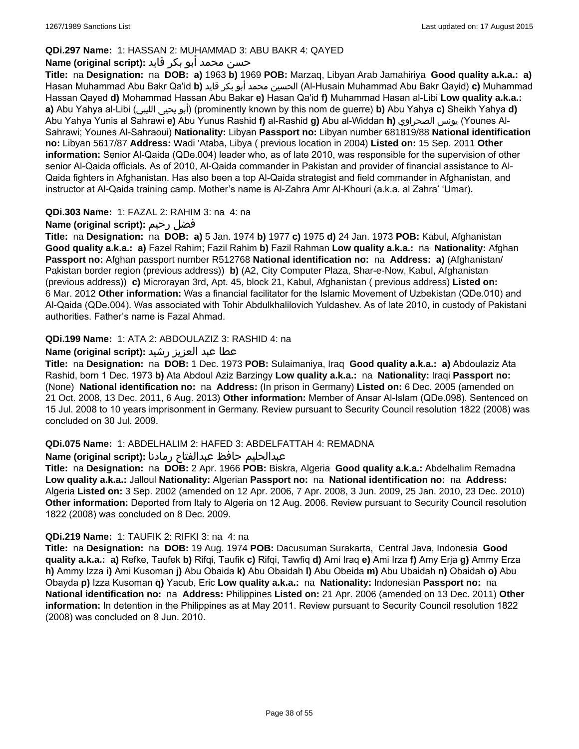## **QDi.297 Name:** 1: HASSAN 2: MUHAMMAD 3: ABU BAKR 4: QAYED

## حسن محمد أبو بكر قايد **:(script original (Name**

**Title:** na **Designation:** na **DOB: a)** 1963 **b)** 1969 **POB:** Marzaq, Libyan Arab Jamahiriya **Good quality a.k.a.: a)** Hasan Muhammad Abu Bakr Qa'id **b)** قايد بكر أبو محمد الحسين) Al-Husain Muhammad Abu Bakr Qayid) **c)** Muhammad Hassan Qayed **d)** Mohammad Hassan Abu Bakar **e)** Hasan Qa'id **f)** Muhammad Hasan al-Libi **Low quality a.k.a.: a)** Abu Yahya al-Libi (الليبي يحيى أبو) (prominently known by this nom de guerre) **b)** Abu Yahya **c)** Sheikh Yahya **d)** Abu Yahya Yunis al Sahrawi **e)** Abu Yunus Rashid **f)** al-Rashid **g)** Abu al-Widdan **h)** الصحراوي يونس) Younes Al-Sahrawi; Younes Al-Sahraoui) **Nationality:** Libyan **Passport no:** Libyan number 681819/88 **National identification no:** Libyan 5617/87 **Address:** Wadi 'Ataba, Libya ( previous location in 2004) **Listed on:** 15 Sep. 2011 **Other information:** Senior Al-Qaida (QDe.004) leader who, as of late 2010, was responsible for the supervision of other senior Al-Qaida officials. As of 2010, Al-Qaida commander in Pakistan and provider of financial assistance to Al-Qaida fighters in Afghanistan. Has also been a top Al-Qaida strategist and field commander in Afghanistan, and instructor at Al-Qaida training camp. Mother's name is Al-Zahra Amr Al-Khouri (a.k.a. al Zahra' 'Umar).

## **QDi.303 Name:** 1: FAZAL 2: RAHIM 3: na 4: na

## **Name (original script):** رحيم فضل

**Title:** na **Designation:** na **DOB: a)** 5 Jan. 1974 **b)** 1977 **c)** 1975 **d)** 24 Jan. 1973 **POB:** Kabul, Afghanistan **Good quality a.k.a.: a)** Fazel Rahim; Fazil Rahim **b)** Fazil Rahman **Low quality a.k.a.:** na **Nationality:** Afghan **Passport no:** Afghan passport number R512768 **National identification no:** na **Address: a)** (Afghanistan/ Pakistan border region (previous address)) **b)** (A2, City Computer Plaza, Shar-e-Now, Kabul, Afghanistan (previous address)) **c)** Microrayan 3rd, Apt. 45, block 21, Kabul, Afghanistan ( previous address) **Listed on:** 6 Mar. 2012 **Other information:** Was a financial facilitator for the Islamic Movement of Uzbekistan (QDe.010) and Al-Qaida (QDe.004). Was associated with Tohir Abdulkhalilovich Yuldashev. As of late 2010, in custody of Pakistani authorities. Father's name is Fazal Ahmad.

## **QDi.199 Name:** 1: ATA 2: ABDOULAZIZ 3: RASHID 4: na

## عطا عبد العزيز رشيد **:(script original (Name**

**Title:** na **Designation:** na **DOB:** 1 Dec. 1973 **POB:** Sulaimaniya, Iraq **Good quality a.k.a.: a)** Abdoulaziz Ata Rashid, born 1 Dec. 1973 **b)** Ata Abdoul Aziz Barzingy **Low quality a.k.a.:** na **Nationality:** Iraqi **Passport no:**  (None) **National identification no:** na **Address:** (In prison in Germany) **Listed on:** 6 Dec. 2005 (amended on 21 Oct. 2008, 13 Dec. 2011, 6 Aug. 2013) **Other information:** Member of Ansar Al-Islam (QDe.098). Sentenced on 15 Jul. 2008 to 10 years imprisonment in Germany. Review pursuant to Security Council resolution 1822 (2008) was concluded on 30 Jul. 2009.

## **QDi.075 Name:** 1: ABDELHALIM 2: HAFED 3: ABDELFATTAH 4: REMADNA

## عبدالحليم حافظ عبدالفتاح رمادنا **:(script original (Name**

**Title:** na **Designation:** na **DOB:** 2 Apr. 1966 **POB:** Biskra, Algeria **Good quality a.k.a.:** Abdelhalim Remadna **Low quality a.k.a.:** Jalloul **Nationality:** Algerian **Passport no:** na **National identification no:** na **Address:** Algeria **Listed on:** 3 Sep. 2002 (amended on 12 Apr. 2006, 7 Apr. 2008, 3 Jun. 2009, 25 Jan. 2010, 23 Dec. 2010) **Other information:** Deported from Italy to Algeria on 12 Aug. 2006. Review pursuant to Security Council resolution 1822 (2008) was concluded on 8 Dec. 2009.

## **QDi.219 Name:** 1: TAUFIK 2: RIFKI 3: na 4: na

**Title:** na **Designation:** na **DOB:** 19 Aug. 1974 **POB:** Dacusuman Surakarta, Central Java, Indonesia **Good quality a.k.a.: a)** Refke, Taufek **b)** Rifqi, Taufik **c)** Rifqi, Tawfiq **d)** Ami Iraq **e)** Ami Irza **f)** Amy Erja **g)** Ammy Erza **h)** Ammy Izza **i)** Ami Kusoman **j)** Abu Obaida **k)** Abu Obaidah **l)** Abu Obeida **m)** Abu Ubaidah **n)** Obaidah **o)** Abu Obayda **p)** Izza Kusoman **q)** Yacub, Eric **Low quality a.k.a.:** na **Nationality:** Indonesian **Passport no:** na **National identification no:** na **Address:** Philippines **Listed on:** 21 Apr. 2006 (amended on 13 Dec. 2011) **Other information:** In detention in the Philippines as at May 2011. Review pursuant to Security Council resolution 1822 (2008) was concluded on 8 Jun. 2010.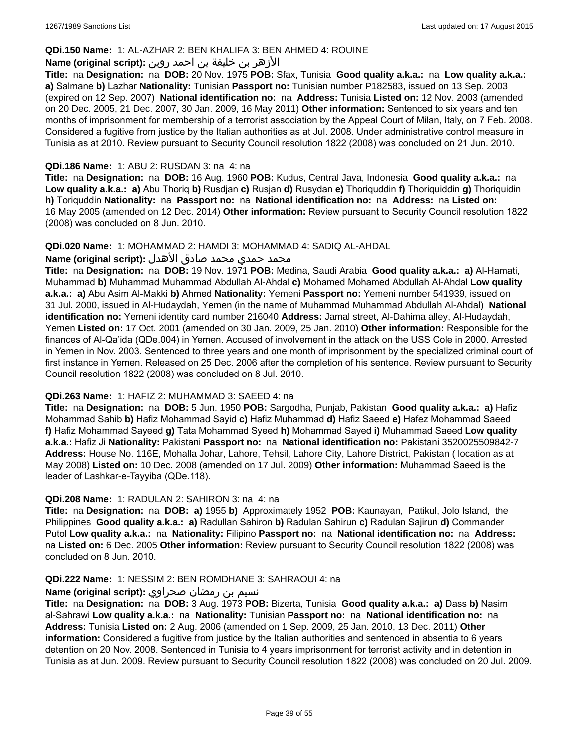#### **QDi.150 Name:** 1: AL-AZHAR 2: BEN KHALIFA 3: BEN AHMED 4: ROUINE

## الأزهر بن خليفة بن احمد روين **:(script original (Name**

**Title:** na **Designation:** na **DOB:** 20 Nov. 1975 **POB:** Sfax, Tunisia **Good quality a.k.a.:** na **Low quality a.k.a.: a)** Salmane **b)** Lazhar **Nationality:** Tunisian **Passport no:** Tunisian number P182583, issued on 13 Sep. 2003 (expired on 12 Sep. 2007) **National identification no:** na **Address:** Tunisia **Listed on:** 12 Nov. 2003 (amended on 20 Dec. 2005, 21 Dec. 2007, 30 Jan. 2009, 16 May 2011) **Other information:** Sentenced to six years and ten months of imprisonment for membership of a terrorist association by the Appeal Court of Milan, Italy, on 7 Feb. 2008. Considered a fugitive from justice by the Italian authorities as at Jul. 2008. Under administrative control measure in Tunisia as at 2010. Review pursuant to Security Council resolution 1822 (2008) was concluded on 21 Jun. 2010.

### **QDi.186 Name:** 1: ABU 2: RUSDAN 3: na 4: na

**Title:** na **Designation:** na **DOB:** 16 Aug. 1960 **POB:** Kudus, Central Java, Indonesia **Good quality a.k.a.:** na **Low quality a.k.a.: a)** Abu Thoriq **b)** Rusdjan **c)** Rusjan **d)** Rusydan **e)** Thoriquddin **f)** Thoriquiddin **g)** Thoriquidin **h)** Toriquddin **Nationality:** na **Passport no:** na **National identification no:** na **Address:** na **Listed on:** 16 May 2005 (amended on 12 Dec. 2014) **Other information:** Review pursuant to Security Council resolution 1822 (2008) was concluded on 8 Jun. 2010.

#### **QDi.020 Name:** 1: MOHAMMAD 2: HAMDI 3: MOHAMMAD 4: SADIQ AL-AHDAL

#### محمد حمدي محمد صادق الأهدل **:Name (original script**)

**Title:** na **Designation:** na **DOB:** 19 Nov. 1971 **POB:** Medina, Saudi Arabia **Good quality a.k.a.: a)** Al-Hamati, Muhammad **b)** Muhammad Muhammad Abdullah Al-Ahdal **c)** Mohamed Mohamed Abdullah Al-Ahdal **Low quality a.k.a.: a)** Abu Asim Al-Makki **b)** Ahmed **Nationality:** Yemeni **Passport no:** Yemeni number 541939, issued on 31 Jul. 2000, issued in Al-Hudaydah, Yemen (in the name of Muhammad Muhammad Abdullah Al-Ahdal) **National identification no:** Yemeni identity card number 216040 **Address:** Jamal street, Al-Dahima alley, Al-Hudaydah, Yemen **Listed on:** 17 Oct. 2001 (amended on 30 Jan. 2009, 25 Jan. 2010) **Other information:** Responsible for the finances of Al-Qa'ida (QDe.004) in Yemen. Accused of involvement in the attack on the USS Cole in 2000. Arrested in Yemen in Nov. 2003. Sentenced to three years and one month of imprisonment by the specialized criminal court of first instance in Yemen. Released on 25 Dec. 2006 after the completion of his sentence. Review pursuant to Security Council resolution 1822 (2008) was concluded on 8 Jul. 2010.

#### **QDi.263 Name:** 1: HAFIZ 2: MUHAMMAD 3: SAEED 4: na

**Title:** na **Designation:** na **DOB:** 5 Jun. 1950 **POB:** Sargodha, Punjab, Pakistan **Good quality a.k.a.: a)** Hafiz Mohammad Sahib **b)** Hafiz Mohammad Sayid **c)** Hafiz Muhammad **d)** Hafiz Saeed **e)** Hafez Mohammad Saeed **f)** Hafiz Mohammad Sayeed **g)** Tata Mohammad Syeed **h)** Mohammad Sayed **i)** Muhammad Saeed **Low quality a.k.a.:** Hafiz Ji **Nationality:** Pakistani **Passport no:** na **National identification no:** Pakistani 3520025509842-7 **Address:** House No. 116E, Mohalla Johar, Lahore, Tehsil, Lahore City, Lahore District, Pakistan ( location as at May 2008) **Listed on:** 10 Dec. 2008 (amended on 17 Jul. 2009) **Other information:** Muhammad Saeed is the leader of Lashkar-e-Tayyiba (QDe.118).

#### **QDi.208 Name:** 1: RADULAN 2: SAHIRON 3: na 4: na

**Title:** na **Designation:** na **DOB: a)** 1955 **b)** Approximately 1952 **POB:** Kaunayan, Patikul, Jolo Island, the Philippines **Good quality a.k.a.: a)** Radullan Sahiron **b)** Radulan Sahirun **c)** Radulan Sajirun **d)** Commander Putol **Low quality a.k.a.:** na **Nationality:** Filipino **Passport no:** na **National identification no:** na **Address:**  na **Listed on:** 6 Dec. 2005 **Other information:** Review pursuant to Security Council resolution 1822 (2008) was concluded on 8 Jun. 2010.

#### **QDi.222 Name:** 1: NESSIM 2: BEN ROMDHANE 3: SAHRAOUI 4: na

#### نسيم بن رمضان صحراوي **:(script original (Name**

**Title:** na **Designation:** na **DOB:** 3 Aug. 1973 **POB:** Bizerta, Tunisia **Good quality a.k.a.: a)** Dass **b)** Nasim al-Sahrawi **Low quality a.k.a.:** na **Nationality:** Tunisian **Passport no:** na **National identification no:** na **Address:** Tunisia **Listed on:** 2 Aug. 2006 (amended on 1 Sep. 2009, 25 Jan. 2010, 13 Dec. 2011) **Other information:** Considered a fugitive from justice by the Italian authorities and sentenced in absentia to 6 years detention on 20 Nov. 2008. Sentenced in Tunisia to 4 years imprisonment for terrorist activity and in detention in Tunisia as at Jun. 2009. Review pursuant to Security Council resolution 1822 (2008) was concluded on 20 Jul. 2009.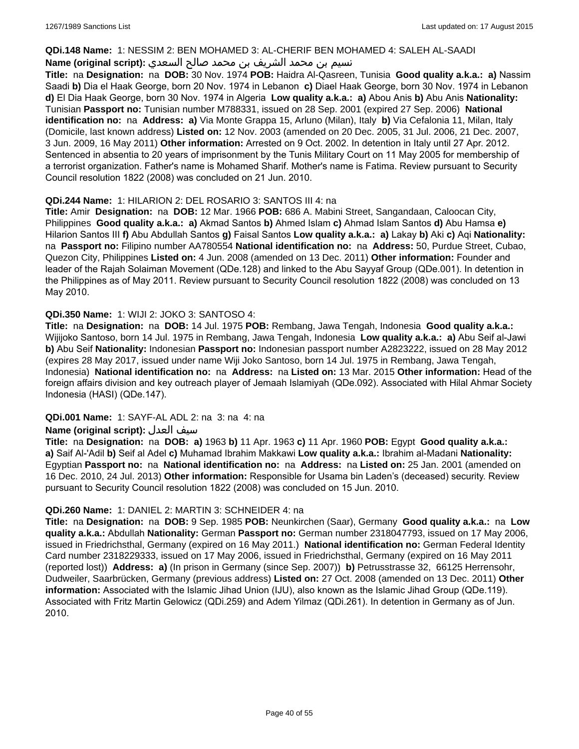#### **QDi.148 Name:** 1: NESSIM 2: BEN MOHAMED 3: AL-CHERIF BEN MOHAMED 4: SALEH AL-SAADI

## نسيم بن محمد الشريف بن محمد صالح السعدي **:Name (original script**)

**Title:** na **Designation:** na **DOB:** 30 Nov. 1974 **POB:** Haidra Al-Qasreen, Tunisia **Good quality a.k.a.: a)** Nassim Saadi **b)** Dia el Haak George, born 20 Nov. 1974 in Lebanon **c)** Diael Haak George, born 30 Nov. 1974 in Lebanon **d)** El Dia Haak George, born 30 Nov. 1974 in Algeria **Low quality a.k.a.: a)** Abou Anis **b)** Abu Anis **Nationality:** Tunisian **Passport no:** Tunisian number M788331, issued on 28 Sep. 2001 (expired 27 Sep. 2006) **National identification no:** na **Address: a)** Via Monte Grappa 15, Arluno (Milan), Italy **b)** Via Cefalonia 11, Milan, Italy (Domicile, last known address) **Listed on:** 12 Nov. 2003 (amended on 20 Dec. 2005, 31 Jul. 2006, 21 Dec. 2007, 3 Jun. 2009, 16 May 2011) **Other information:** Arrested on 9 Oct. 2002. In detention in Italy until 27 Apr. 2012. Sentenced in absentia to 20 years of imprisonment by the Tunis Military Court on 11 May 2005 for membership of a terrorist organization. Father's name is Mohamed Sharif. Mother's name is Fatima. Review pursuant to Security Council resolution 1822 (2008) was concluded on 21 Jun. 2010.

## **QDi.244 Name:** 1: HILARION 2: DEL ROSARIO 3: SANTOS III 4: na

**Title:** Amir **Designation:** na **DOB:** 12 Mar. 1966 **POB:** 686 A. Mabini Street, Sangandaan, Caloocan City, Philippines **Good quality a.k.a.: a)** Akmad Santos **b)** Ahmed Islam **c)** Ahmad Islam Santos **d)** Abu Hamsa **e)** Hilarion Santos III **f)** Abu Abdullah Santos **g)** Faisal Santos **Low quality a.k.a.: a)** Lakay **b)** Aki **c)** Aqi **Nationality:**  na **Passport no:** Filipino number AA780554 **National identification no:** na **Address:** 50, Purdue Street, Cubao, Quezon City, Philippines **Listed on:** 4 Jun. 2008 (amended on 13 Dec. 2011) **Other information:** Founder and leader of the Rajah Solaiman Movement (QDe.128) and linked to the Abu Sayyaf Group (QDe.001). In detention in the Philippines as of May 2011. Review pursuant to Security Council resolution 1822 (2008) was concluded on 13 May 2010.

## **QDi.350 Name:** 1: WIJI 2: JOKO 3: SANTOSO 4:

**Title:** na **Designation:** na **DOB:** 14 Jul. 1975 **POB:** Rembang, Jawa Tengah, Indonesia **Good quality a.k.a.:** Wijijoko Santoso, born 14 Jul. 1975 in Rembang, Jawa Tengah, Indonesia **Low quality a.k.a.: a)** Abu Seif al-Jawi **b)** Abu Seif **Nationality:** Indonesian **Passport no:** Indonesian passport number A2823222, issued on 28 May 2012 (expires 28 May 2017, issued under name Wiji Joko Santoso, born 14 Jul. 1975 in Rembang, Jawa Tengah, Indonesia) **National identification no:** na **Address:** na **Listed on:** 13 Mar. 2015 **Other information:** Head of the foreign affairs division and key outreach player of Jemaah Islamiyah (QDe.092). Associated with Hilal Ahmar Society Indonesia (HASI) (QDe.147).

## **QDi.001 Name:** 1: SAYF-AL ADL 2: na 3: na 4: na

## **Name (original script):** العدل سيف

**Title:** na **Designation:** na **DOB: a)** 1963 **b)** 11 Apr. 1963 **c)** 11 Apr. 1960 **POB:** Egypt **Good quality a.k.a.: a)** Saif Al-'Adil **b)** Seif al Adel **c)** Muhamad Ibrahim Makkawi **Low quality a.k.a.:** Ibrahim al-Madani **Nationality:** Egyptian **Passport no:** na **National identification no:** na **Address:** na **Listed on:** 25 Jan. 2001 (amended on 16 Dec. 2010, 24 Jul. 2013) **Other information:** Responsible for Usama bin Laden's (deceased) security. Review pursuant to Security Council resolution 1822 (2008) was concluded on 15 Jun. 2010.

## **QDi.260 Name:** 1: DANIEL 2: MARTIN 3: SCHNEIDER 4: na

**Title:** na **Designation:** na **DOB:** 9 Sep. 1985 **POB:** Neunkirchen (Saar), Germany **Good quality a.k.a.:** na **Low quality a.k.a.:** Abdullah **Nationality:** German **Passport no:** German number 2318047793, issued on 17 May 2006, issued in Friedrichsthal, Germany (expired on 16 May 2011.) **National identification no:** German Federal Identity Card number 2318229333, issued on 17 May 2006, issued in Friedrichsthal, Germany (expired on 16 May 2011 (reported lost)) **Address: a)** (In prison in Germany (since Sep. 2007)) **b)** Petrusstrasse 32, 66125 Herrensohr, Dudweiler, Saarbrücken, Germany (previous address) **Listed on:** 27 Oct. 2008 (amended on 13 Dec. 2011) **Other information:** Associated with the Islamic Jihad Union (IJU), also known as the Islamic Jihad Group (QDe.119). Associated with Fritz Martin Gelowicz (QDi.259) and Adem Yilmaz (QDi.261). In detention in Germany as of Jun. 2010.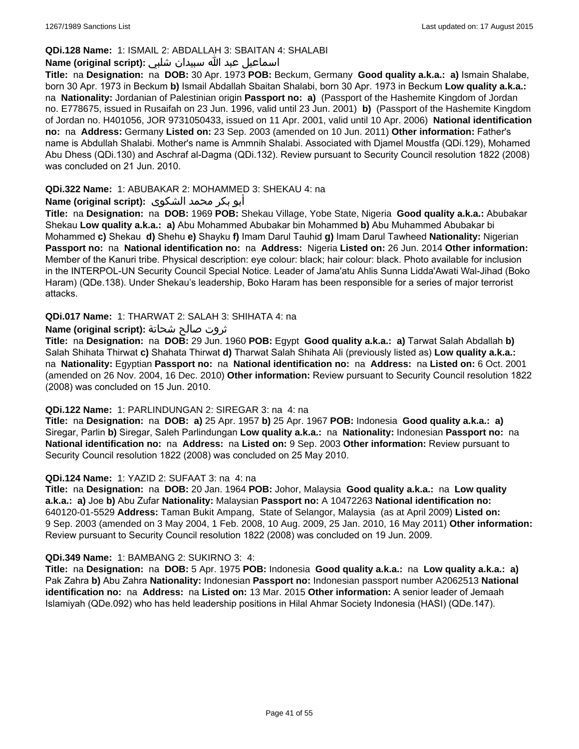## **QDi.128 Name:** 1: ISMAIL 2: ABDALLAH 3: SBAITAN 4: SHALABI

## اسماعيل عبد الله سبيدان شلبي **:(script original (Name**

**Title:** na **Designation:** na **DOB:** 30 Apr. 1973 **POB:** Beckum, Germany **Good quality a.k.a.: a)** Ismain Shalabe, born 30 Apr. 1973 in Beckum **b)** Ismail Abdallah Sbaitan Shalabi, born 30 Apr. 1973 in Beckum **Low quality a.k.a.:**  na **Nationality:** Jordanian of Palestinian origin **Passport no: a)** (Passport of the Hashemite Kingdom of Jordan no. E778675, issued in Rusaifah on 23 Jun. 1996, valid until 23 Jun. 2001) **b)** (Passport of the Hashemite Kingdom of Jordan no. H401056, JOR 9731050433, issued on 11 Apr. 2001, valid until 10 Apr. 2006) **National identification no:** na **Address:** Germany **Listed on:** 23 Sep. 2003 (amended on 10 Jun. 2011) **Other information:** Father's name is Abdullah Shalabi. Mother's name is Ammnih Shalabi. Associated with Djamel Moustfa (QDi.129), Mohamed Abu Dhess (QDi.130) and Aschraf al-Dagma (QDi.132). Review pursuant to Security Council resolution 1822 (2008) was concluded on 21 Jun. 2010.

## **QDi.322 Name:** 1: ABUBAKAR 2: MOHAMMED 3: SHEKAU 4: na

#### أبو بكر محمد الشكوى **:(script original (Name**

**Title:** na **Designation:** na **DOB:** 1969 **POB:** Shekau Village, Yobe State, Nigeria **Good quality a.k.a.:** Abubakar Shekau **Low quality a.k.a.: a)** Abu Mohammed Abubakar bin Mohammed **b)** Abu Muhammed Abubakar bi Mohammed **c)** Shekau **d)** Shehu **e)** Shayku **f)** Imam Darul Tauhid **g)** Imam Darul Tawheed **Nationality:** Nigerian **Passport no:** na **National identification no:** na **Address:** Nigeria **Listed on:** 26 Jun. 2014 **Other information:** Member of the Kanuri tribe. Physical description: eye colour: black; hair colour: black. Photo available for inclusion in the INTERPOL-UN Security Council Special Notice. Leader of Jama'atu Ahlis Sunna Lidda'Awati Wal-Jihad (Boko Haram) (QDe.138). Under Shekau's leadership, Boko Haram has been responsible for a series of major terrorist attacks.

#### **QDi.017 Name:** 1: THARWAT 2: SALAH 3: SHIHATA 4: na

#### ثروت صالح شحاتة **:(script original (Name**

**Title:** na **Designation:** na **DOB:** 29 Jun. 1960 **POB:** Egypt **Good quality a.k.a.: a)** Tarwat Salah Abdallah **b)** Salah Shihata Thirwat **c)** Shahata Thirwat **d)** Tharwat Salah Shihata Ali (previously listed as) **Low quality a.k.a.:**  na **Nationality:** Egyptian **Passport no:** na **National identification no:** na **Address:** na **Listed on:** 6 Oct. 2001 (amended on 26 Nov. 2004, 16 Dec. 2010) **Other information:** Review pursuant to Security Council resolution 1822 (2008) was concluded on 15 Jun. 2010.

#### **QDi.122 Name:** 1: PARLINDUNGAN 2: SIREGAR 3: na 4: na

**Title:** na **Designation:** na **DOB: a)** 25 Apr. 1957 **b)** 25 Apr. 1967 **POB:** Indonesia **Good quality a.k.a.: a)** Siregar, Parlin **b)** Siregar, Saleh Parlindungan **Low quality a.k.a.:** na **Nationality:** Indonesian **Passport no:** na **National identification no:** na **Address:** na **Listed on:** 9 Sep. 2003 **Other information:** Review pursuant to Security Council resolution 1822 (2008) was concluded on 25 May 2010.

#### **QDi.124 Name:** 1: YAZID 2: SUFAAT 3: na 4: na

**Title:** na **Designation:** na **DOB:** 20 Jan. 1964 **POB:** Johor, Malaysia **Good quality a.k.a.:** na **Low quality a.k.a.: a)** Joe **b)** Abu Zufar **Nationality:** Malaysian **Passport no:** A 10472263 **National identification no:** 640120-01-5529 **Address:** Taman Bukit Ampang, State of Selangor, Malaysia (as at April 2009) **Listed on:** 9 Sep. 2003 (amended on 3 May 2004, 1 Feb. 2008, 10 Aug. 2009, 25 Jan. 2010, 16 May 2011) **Other information:** Review pursuant to Security Council resolution 1822 (2008) was concluded on 19 Jun. 2009.

#### **QDi.349 Name:** 1: BAMBANG 2: SUKIRNO 3: 4:

**Title:** na **Designation:** na **DOB:** 5 Apr. 1975 **POB:** Indonesia **Good quality a.k.a.:** na **Low quality a.k.a.: a)** Pak Zahra **b)** Abu Zahra **Nationality:** Indonesian **Passport no:** Indonesian passport number A2062513 **National identification no:** na **Address:** na **Listed on:** 13 Mar. 2015 **Other information:** A senior leader of Jemaah Islamiyah (QDe.092) who has held leadership positions in Hilal Ahmar Society Indonesia (HASI) (QDe.147).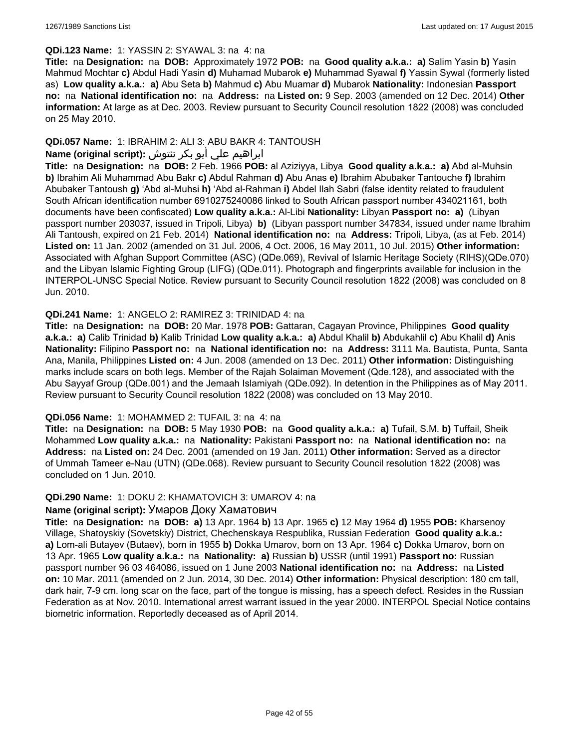#### **QDi.123 Name:** 1: YASSIN 2: SYAWAL 3: na 4: na

**Title:** na **Designation:** na **DOB:** Approximately 1972 **POB:** na **Good quality a.k.a.: a)** Salim Yasin **b)** Yasin Mahmud Mochtar **c)** Abdul Hadi Yasin **d)** Muhamad Mubarok **e)** Muhammad Syawal **f)** Yassin Sywal (formerly listed as) **Low quality a.k.a.: a)** Abu Seta **b)** Mahmud **c)** Abu Muamar **d)** Mubarok **Nationality:** Indonesian **Passport no:** na **National identification no:** na **Address:** na **Listed on:** 9 Sep. 2003 (amended on 12 Dec. 2014) **Other information:** At large as at Dec. 2003. Review pursuant to Security Council resolution 1822 (2008) was concluded on 25 May 2010.

## **QDi.057 Name:** 1: IBRAHIM 2: ALI 3: ABU BAKR 4: TANTOUSH

## ابراهيم علي أبو بكر تنتوش **:(script original (Name**

**Title:** na **Designation:** na **DOB:** 2 Feb. 1966 **POB:** al Aziziyya, Libya **Good quality a.k.a.: a)** Abd al-Muhsin **b)** Ibrahim Ali Muhammad Abu Bakr **c)** Abdul Rahman **d)** Abu Anas **e)** Ibrahim Abubaker Tantouche **f)** Ibrahim Abubaker Tantoush **g)** 'Abd al-Muhsi **h)** 'Abd al-Rahman **i)** Abdel Ilah Sabri (false identity related to fraudulent South African identification number 6910275240086 linked to South African passport number 434021161, both documents have been confiscated) **Low quality a.k.a.:** Al-Libi **Nationality:** Libyan **Passport no: a)** (Libyan passport number 203037, issued in Tripoli, Libya) **b)** (Libyan passport number 347834, issued under name Ibrahim Ali Tantoush, expired on 21 Feb. 2014) **National identification no:** na **Address:** Tripoli, Libya, (as at Feb. 2014) **Listed on:** 11 Jan. 2002 (amended on 31 Jul. 2006, 4 Oct. 2006, 16 May 2011, 10 Jul. 2015) **Other information:** Associated with Afghan Support Committee (ASC) (QDe.069), Revival of Islamic Heritage Society (RIHS)(QDe.070) and the Libyan Islamic Fighting Group (LIFG) (QDe.011). Photograph and fingerprints available for inclusion in the INTERPOL-UNSC Special Notice. Review pursuant to Security Council resolution 1822 (2008) was concluded on 8 Jun. 2010.

#### **QDi.241 Name:** 1: ANGELO 2: RAMIREZ 3: TRINIDAD 4: na

**Title:** na **Designation:** na **DOB:** 20 Mar. 1978 **POB:** Gattaran, Cagayan Province, Philippines **Good quality a.k.a.: a)** Calib Trinidad **b)** Kalib Trinidad **Low quality a.k.a.: a)** Abdul Khalil **b)** Abdukahlil **c)** Abu Khalil **d)** Anis **Nationality:** Filipino **Passport no:** na **National identification no:** na **Address:** 3111 Ma. Bautista, Punta, Santa Ana, Manila, Philippines **Listed on:** 4 Jun. 2008 (amended on 13 Dec. 2011) **Other information:** Distinguishing marks include scars on both legs. Member of the Rajah Solaiman Movement (Qde.128), and associated with the Abu Sayyaf Group (QDe.001) and the Jemaah Islamiyah (QDe.092). In detention in the Philippines as of May 2011. Review pursuant to Security Council resolution 1822 (2008) was concluded on 13 May 2010.

#### **QDi.056 Name:** 1: MOHAMMED 2: TUFAIL 3: na 4: na

**Title:** na **Designation:** na **DOB:** 5 May 1930 **POB:** na **Good quality a.k.a.: a)** Tufail, S.M. **b)** Tuffail, Sheik Mohammed **Low quality a.k.a.:** na **Nationality:** Pakistani **Passport no:** na **National identification no:** na **Address:** na **Listed on:** 24 Dec. 2001 (amended on 19 Jan. 2011) **Other information:** Served as a director of Ummah Tameer e-Nau (UTN) (QDe.068). Review pursuant to Security Council resolution 1822 (2008) was concluded on 1 Jun. 2010.

#### **QDi.290 Name:** 1: DOKU 2: KHAMATOVICH 3: UMAROV 4: na

## **Name (original script):** Умаров Доку Хаматович

**Title:** na **Designation:** na **DOB: a)** 13 Apr. 1964 **b)** 13 Apr. 1965 **c)** 12 May 1964 **d)** 1955 **POB:** Kharsenoy Village, Shatoyskiy (Sovetskiy) District, Chechenskaya Respublika, Russian Federation **Good quality a.k.a.: a)** Lom-ali Butayev (Butaev), born in 1955 **b)** Dokka Umarov, born on 13 Apr. 1964 **c)** Dokka Umarov, born on 13 Apr. 1965 **Low quality a.k.a.:** na **Nationality: a)** Russian **b)** USSR (until 1991) **Passport no:** Russian passport number 96 03 464086, issued on 1 June 2003 **National identification no:** na **Address:** na **Listed on:** 10 Mar. 2011 (amended on 2 Jun. 2014, 30 Dec. 2014) **Other information:** Physical description: 180 cm tall, dark hair, 7-9 cm. long scar on the face, part of the tongue is missing, has a speech defect. Resides in the Russian Federation as at Nov. 2010. International arrest warrant issued in the year 2000. INTERPOL Special Notice contains biometric information. Reportedly deceased as of April 2014.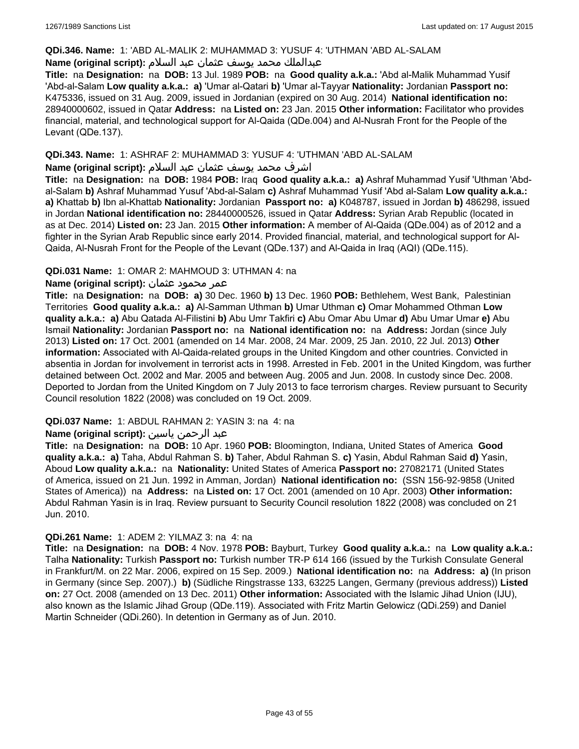#### **QDi.346. Name:** 1: 'ABD AL-MALIK 2: MUHAMMAD 3: YUSUF 4: 'UTHMAN 'ABD AL-SALAM

## عبدالملك محمد يوسف عثمان عبد السلام **:(script original (Name**

**Title:** na **Designation:** na **DOB:** 13 Jul. 1989 **POB:** na **Good quality a.k.a.:** 'Abd al-Malik Muhammad Yusif 'Abd-al-Salam **Low quality a.k.a.: a)** 'Umar al-Qatari **b)** 'Umar al-Tayyar **Nationality:** Jordanian **Passport no:** K475336, issued on 31 Aug. 2009, issued in Jordanian (expired on 30 Aug. 2014) **National identification no:** 28940000602, issued in Qatar **Address:** na **Listed on:** 23 Jan. 2015 **Other information:** Facilitator who provides financial, material, and technological support for Al-Qaida (QDe.004) and Al-Nusrah Front for the People of the Levant (QDe.137).

## **QDi.343. Name:** 1: ASHRAF 2: MUHAMMAD 3: YUSUF 4: 'UTHMAN 'ABD AL-SALAM

#### اشرف محمد يوسف عثمان عبد السلام **:(script original (Name**

**Title:** na **Designation:** na **DOB:** 1984 **POB:** Iraq **Good quality a.k.a.: a)** Ashraf Muhammad Yusif 'Uthman 'Abdal-Salam **b)** Ashraf Muhammad Yusuf 'Abd-al-Salam **c)** Ashraf Muhammad Yusif 'Abd al-Salam **Low quality a.k.a.: a)** Khattab **b)** Ibn al-Khattab **Nationality:** Jordanian **Passport no: a)** K048787, issued in Jordan **b)** 486298, issued in Jordan **National identification no:** 28440000526, issued in Qatar **Address:** Syrian Arab Republic (located in as at Dec. 2014) **Listed on:** 23 Jan. 2015 **Other information:** A member of Al-Qaida (QDe.004) as of 2012 and a fighter in the Syrian Arab Republic since early 2014. Provided financial, material, and technological support for Al-Qaida, Al-Nusrah Front for the People of the Levant (QDe.137) and Al-Qaida in Iraq (AQI) (QDe.115).

#### **QDi.031 Name:** 1: OMAR 2: MAHMOUD 3: UTHMAN 4: na

#### عمر محمود عثمان **:(script original (Name**

**Title:** na **Designation:** na **DOB: a)** 30 Dec. 1960 **b)** 13 Dec. 1960 **POB:** Bethlehem, West Bank, Palestinian Territories **Good quality a.k.a.: a)** Al-Samman Uthman **b)** Umar Uthman **c)** Omar Mohammed Othman **Low quality a.k.a.: a)** Abu Qatada Al-Filistini **b)** Abu Umr Takfiri **c)** Abu Omar Abu Umar **d)** Abu Umar Umar **e)** Abu Ismail **Nationality:** Jordanian **Passport no:** na **National identification no:** na **Address:** Jordan (since July 2013) **Listed on:** 17 Oct. 2001 (amended on 14 Mar. 2008, 24 Mar. 2009, 25 Jan. 2010, 22 Jul. 2013) **Other information:** Associated with Al-Qaida-related groups in the United Kingdom and other countries. Convicted in absentia in Jordan for involvement in terrorist acts in 1998. Arrested in Feb. 2001 in the United Kingdom, was further detained between Oct. 2002 and Mar. 2005 and between Aug. 2005 and Jun. 2008. In custody since Dec. 2008. Deported to Jordan from the United Kingdom on 7 July 2013 to face terrorism charges. Review pursuant to Security Council resolution 1822 (2008) was concluded on 19 Oct. 2009.

## **QDi.037 Name:** 1: ABDUL RAHMAN 2: YASIN 3: na 4: na

### عبد الرحمن ياسين **:(script original (Name**

**Title:** na **Designation:** na **DOB:** 10 Apr. 1960 **POB:** Bloomington, Indiana, United States of America **Good quality a.k.a.: a)** Taha, Abdul Rahman S. **b)** Taher, Abdul Rahman S. **c)** Yasin, Abdul Rahman Said **d)** Yasin, Aboud **Low quality a.k.a.:** na **Nationality:** United States of America **Passport no:** 27082171 (United States of America, issued on 21 Jun. 1992 in Amman, Jordan) **National identification no:** (SSN 156-92-9858 (United States of America)) na **Address:** na **Listed on:** 17 Oct. 2001 (amended on 10 Apr. 2003) **Other information:** Abdul Rahman Yasin is in Iraq. Review pursuant to Security Council resolution 1822 (2008) was concluded on 21 Jun. 2010.

#### **QDi.261 Name:** 1: ADEM 2: YILMAZ 3: na 4: na

**Title:** na **Designation:** na **DOB:** 4 Nov. 1978 **POB:** Bayburt, Turkey **Good quality a.k.a.:** na **Low quality a.k.a.:** Talha **Nationality:** Turkish **Passport no:** Turkish number TR-P 614 166 (issued by the Turkish Consulate General in Frankfurt/M. on 22 Mar. 2006, expired on 15 Sep. 2009.) **National identification no:** na **Address: a)** (In prison in Germany (since Sep. 2007).) **b)** (Südliche Ringstrasse 133, 63225 Langen, Germany (previous address)) **Listed on:** 27 Oct. 2008 (amended on 13 Dec. 2011) **Other information:** Associated with the Islamic Jihad Union (IJU), also known as the Islamic Jihad Group (QDe.119). Associated with Fritz Martin Gelowicz (QDi.259) and Daniel Martin Schneider (QDi.260). In detention in Germany as of Jun. 2010.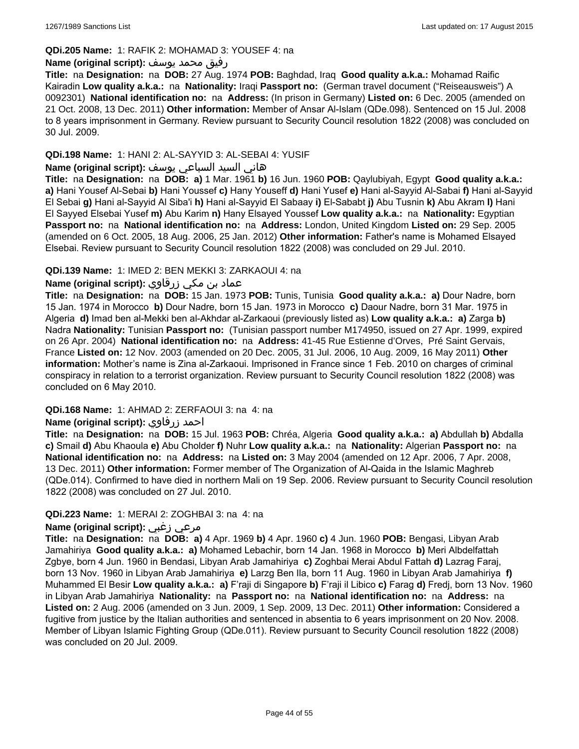#### **QDi.205 Name:** 1: RAFIK 2: MOHAMAD 3: YOUSEF 4: na

#### رفيق محمد يوسف **:(script original (Name**

**Title:** na **Designation:** na **DOB:** 27 Aug. 1974 **POB:** Baghdad, Iraq **Good quality a.k.a.:** Mohamad Raific Kairadin **Low quality a.k.a.:** na **Nationality:** Iraqi **Passport no:** (German travel document ("Reiseausweis") A 0092301) **National identification no:** na **Address:** (In prison in Germany) **Listed on:** 6 Dec. 2005 (amended on 21 Oct. 2008, 13 Dec. 2011) **Other information:** Member of Ansar Al-Islam (QDe.098). Sentenced on 15 Jul. 2008 to 8 years imprisonment in Germany. Review pursuant to Security Council resolution 1822 (2008) was concluded on 30 Jul. 2009.

#### **QDi.198 Name:** 1: HANI 2: AL-SAYYID 3: AL-SEBAI 4: YUSIF

## هاني السيد السباعي يوسف **:(script original (Name**

**Title:** na **Designation:** na **DOB: a)** 1 Mar. 1961 **b)** 16 Jun. 1960 **POB:** Qaylubiyah, Egypt **Good quality a.k.a.: a)** Hani Yousef Al-Sebai **b)** Hani Youssef **c)** Hany Youseff **d)** Hani Yusef **e)** Hani al-Sayyid Al-Sabai **f)** Hani al-Sayyid El Sebai **g)** Hani al-Sayyid Al Siba'i **h)** Hani al-Sayyid El Sabaay **i)** El-Sababt **j)** Abu Tusnin **k)** Abu Akram **l)** Hani El Sayyed Elsebai Yusef **m)** Abu Karim **n)** Hany Elsayed Youssef **Low quality a.k.a.:** na **Nationality:** Egyptian **Passport no:** na **National identification no:** na **Address:** London, United Kingdom **Listed on:** 29 Sep. 2005 (amended on 6 Oct. 2005, 18 Aug. 2006, 25 Jan. 2012) **Other information:** Father's name is Mohamed Elsayed Elsebai. Review pursuant to Security Council resolution 1822 (2008) was concluded on 29 Jul. 2010.

#### **QDi.139 Name:** 1: IMED 2: BEN MEKKI 3: ZARKAOUI 4: na

## عماد بن مكي زرقاوي **:(script original (Name**

**Title:** na **Designation:** na **DOB:** 15 Jan. 1973 **POB:** Tunis, Tunisia **Good quality a.k.a.: a)** Dour Nadre, born 15 Jan. 1974 in Morocco **b)** Dour Nadre, born 15 Jan. 1973 in Morocco **c)** Daour Nadre, born 31 Mar. 1975 in Algeria **d)** Imad ben al-Mekki ben al-Akhdar al-Zarkaoui (previously listed as) **Low quality a.k.a.: a)** Zarga **b)** Nadra **Nationality:** Tunisian **Passport no:** (Tunisian passport number M174950, issued on 27 Apr. 1999, expired on 26 Apr. 2004) **National identification no:** na **Address:** 41-45 Rue Estienne d'Orves, Pré Saint Gervais, France **Listed on:** 12 Nov. 2003 (amended on 20 Dec. 2005, 31 Jul. 2006, 10 Aug. 2009, 16 May 2011) **Other information:** Mother's name is Zina al-Zarkaoui. Imprisoned in France since 1 Feb. 2010 on charges of criminal conspiracy in relation to a terrorist organization. Review pursuant to Security Council resolution 1822 (2008) was concluded on 6 May 2010.

#### **QDi.168 Name:** 1: AHMAD 2: ZERFAOUI 3: na 4: na

## **Name (original script):** زرفاوي احمد

**Title:** na **Designation:** na **DOB:** 15 Jul. 1963 **POB:** Chréa, Algeria **Good quality a.k.a.: a)** Abdullah **b)** Abdalla **c)** Smail **d)** Abu Khaoula **e)** Abu Cholder **f)** Nuhr **Low quality a.k.a.:** na **Nationality:** Algerian **Passport no:** na **National identification no:** na **Address:** na **Listed on:** 3 May 2004 (amended on 12 Apr. 2006, 7 Apr. 2008, 13 Dec. 2011) **Other information:** Former member of The Organization of Al-Qaida in the Islamic Maghreb (QDe.014). Confirmed to have died in northern Mali on 19 Sep. 2006. Review pursuant to Security Council resolution 1822 (2008) was concluded on 27 Jul. 2010.

#### **QDi.223 Name:** 1: MERAI 2: ZOGHBAI 3: na 4: na

### **Name (original script):** زغبي مرعي

**Title:** na **Designation:** na **DOB: a)** 4 Apr. 1969 **b)** 4 Apr. 1960 **c)** 4 Jun. 1960 **POB:** Bengasi, Libyan Arab Jamahiriya **Good quality a.k.a.: a)** Mohamed Lebachir, born 14 Jan. 1968 in Morocco **b)** Meri Albdelfattah Zgbye, born 4 Jun. 1960 in Bendasi, Libyan Arab Jamahiriya **c)** Zoghbai Merai Abdul Fattah **d)** Lazrag Faraj, born 13 Nov. 1960 in Libyan Arab Jamahiriya **e)** Larzg Ben Ila, born 11 Aug. 1960 in Libyan Arab Jamahiriya **f)** Muhammed El Besir **Low quality a.k.a.: a)** F'raji di Singapore **b)** F'raji il Libico **c)** Farag **d)** Fredj, born 13 Nov. 1960 in Libyan Arab Jamahiriya **Nationality:** na **Passport no:** na **National identification no:** na **Address:** na **Listed on:** 2 Aug. 2006 (amended on 3 Jun. 2009, 1 Sep. 2009, 13 Dec. 2011) **Other information:** Considered a fugitive from justice by the Italian authorities and sentenced in absentia to 6 years imprisonment on 20 Nov. 2008. Member of Libyan Islamic Fighting Group (QDe.011). Review pursuant to Security Council resolution 1822 (2008) was concluded on 20 Jul. 2009.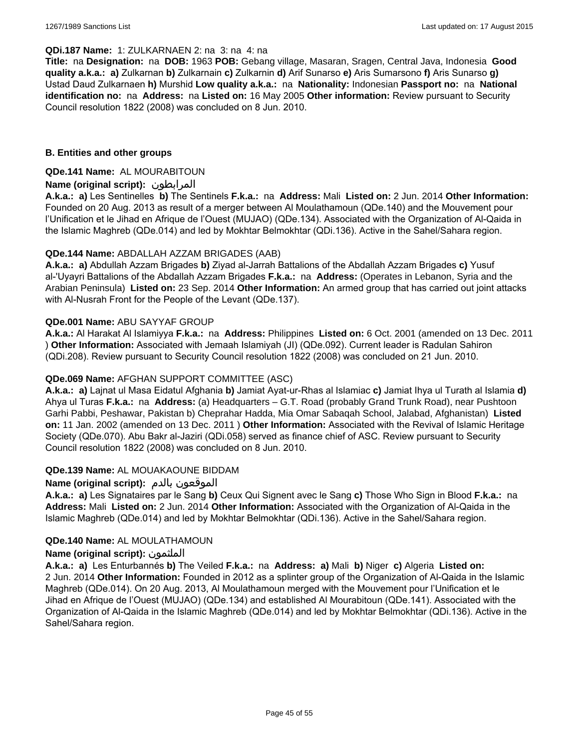#### **QDi.187 Name:** 1: ZULKARNAEN 2: na 3: na 4: na

**Title:** na **Designation:** na **DOB:** 1963 **POB:** Gebang village, Masaran, Sragen, Central Java, Indonesia **Good quality a.k.a.: a)** Zulkarnan **b)** Zulkarnain **c)** Zulkarnin **d)** Arif Sunarso **e)** Aris Sumarsono **f)** Aris Sunarso **g)** Ustad Daud Zulkarnaen **h)** Murshid **Low quality a.k.a.:** na **Nationality:** Indonesian **Passport no:** na **National identification no:** na **Address:** na **Listed on:** 16 May 2005 **Other information:** Review pursuant to Security Council resolution 1822 (2008) was concluded on 8 Jun. 2010.

#### **B. Entities and other groups**

#### **QDe.141 Name:** AL MOURABITOUN

#### **Name (original script):** المرابطون

**A.k.a.: a)** Les Sentinelles **b)** The Sentinels **F.k.a.:** na **Address:** Mali **Listed on:** 2 Jun. 2014 **Other Information:**  Founded on 20 Aug. 2013 as result of a merger between Al Moulathamoun (QDe.140) and the Mouvement pour l'Unification et le Jihad en Afrique de l'Ouest (MUJAO) (QDe.134). Associated with the Organization of Al-Qaida in the Islamic Maghreb (QDe.014) and led by Mokhtar Belmokhtar (QDi.136). Active in the Sahel/Sahara region.

#### **QDe.144 Name:** ABDALLAH AZZAM BRIGADES (AAB)

**A.k.a.: a)** Abdullah Azzam Brigades **b)** Ziyad al-Jarrah Battalions of the Abdallah Azzam Brigades **c)** Yusuf al-'Uyayri Battalions of the Abdallah Azzam Brigades **F.k.a.:** na **Address:** (Operates in Lebanon, Syria and the Arabian Peninsula) **Listed on:** 23 Sep. 2014 **Other Information:** An armed group that has carried out joint attacks with Al-Nusrah Front for the People of the Levant (QDe.137).

#### **QDe.001 Name:** ABU SAYYAF GROUP

**A.k.a.:** Al Harakat Al Islamiyya **F.k.a.:** na **Address:** Philippines **Listed on:** 6 Oct. 2001 (amended on 13 Dec. 2011 ) **Other Information:** Associated with Jemaah Islamiyah (JI) (QDe.092). Current leader is Radulan Sahiron (QDi.208). Review pursuant to Security Council resolution 1822 (2008) was concluded on 21 Jun. 2010.

## **QDe.069 Name:** AFGHAN SUPPORT COMMITTEE (ASC)

**A.k.a.: a)** Lajnat ul Masa Eidatul Afghania **b)** Jamiat Ayat-ur-Rhas al Islamiac **c)** Jamiat Ihya ul Turath al Islamia **d)** Ahya ul Turas **F.k.a.:** na **Address:** (a) Headquarters – G.T. Road (probably Grand Trunk Road), near Pushtoon Garhi Pabbi, Peshawar, Pakistan b) Cheprahar Hadda, Mia Omar Sabaqah School, Jalabad, Afghanistan) **Listed on:** 11 Jan. 2002 (amended on 13 Dec. 2011 ) **Other Information:** Associated with the Revival of Islamic Heritage Society (QDe.070). Abu Bakr al-Jaziri (QDi.058) served as finance chief of ASC. Review pursuant to Security Council resolution 1822 (2008) was concluded on 8 Jun. 2010.

#### **QDe.139 Name:** AL MOUAKAOUNE BIDDAM

## **Name (original script):** بالدم الموقعون

**A.k.a.: a)** Les Signataires par le Sang **b)** Ceux Qui Signent avec le Sang **c)** Those Who Sign in Blood **F.k.a.:** na **Address:** Mali **Listed on:** 2 Jun. 2014 **Other Information:** Associated with the Organization of Al-Qaida in the Islamic Maghreb (QDe.014) and led by Mokhtar Belmokhtar (QDi.136). Active in the Sahel/Sahara region.

#### **QDe.140 Name:** AL MOULATHAMOUN

#### **Name (original script):** الملثمون

**A.k.a.: a)** Les Enturbannés **b)** The Veiled **F.k.a.:** na **Address: a)** Mali **b)** Niger **c)** Algeria **Listed on:** 2 Jun. 2014 **Other Information:** Founded in 2012 as a splinter group of the Organization of Al-Qaida in the Islamic Maghreb (QDe.014). On 20 Aug. 2013, Al Moulathamoun merged with the Mouvement pour l'Unification et le Jihad en Afrique de l'Ouest (MUJAO) (QDe.134) and established Al Mourabitoun (QDe.141). Associated with the Organization of Al-Qaida in the Islamic Maghreb (QDe.014) and led by Mokhtar Belmokhtar (QDi.136). Active in the Sahel/Sahara region.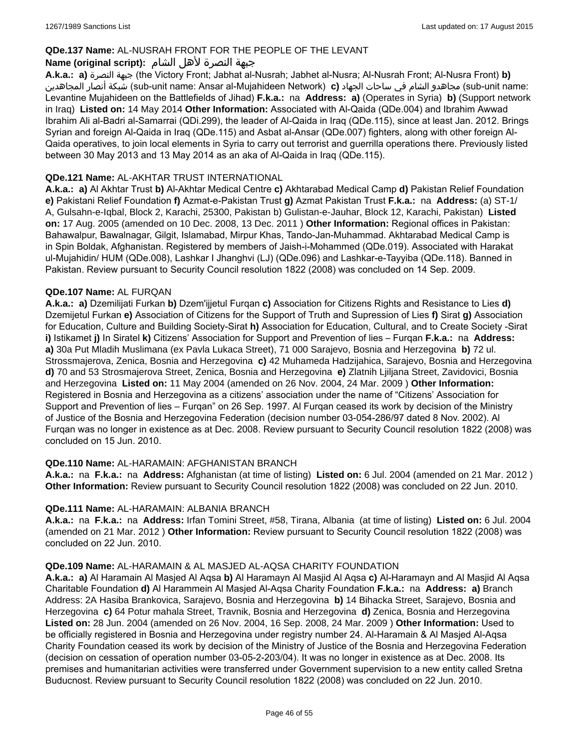## **QDe.137 Name:** AL-NUSRAH FRONT FOR THE PEOPLE OF THE LEVANT

## جبهة النصرة لأهل الشام **:(script original (Name**

**A.k.a.: a)** النصرة جبهة) the Victory Front; Jabhat al-Nusrah; Jabhet al-Nusra; Al-Nusrah Front; Al-Nusra Front) **b)**  المجاهدين أنصار شبكة) sub-unit name: Ansar al-Mujahideen Network) **c)** الجهاد ساحات في الشام مجاهدو) sub-unit name: Levantine Mujahideen on the Battlefields of Jihad) **F.k.a.:** na **Address: a)** (Operates in Syria) **b)** (Support network in Iraq) **Listed on:** 14 May 2014 **Other Information:** Associated with Al-Qaida (QDe.004) and Ibrahim Awwad Ibrahim Ali al-Badri al-Samarrai (QDi.299), the leader of Al-Qaida in Iraq (QDe.115), since at least Jan. 2012. Brings Syrian and foreign Al-Qaida in Iraq (QDe.115) and Asbat al-Ansar (QDe.007) fighters, along with other foreign Al-Qaida operatives, to join local elements in Syria to carry out terrorist and guerrilla operations there. Previously listed between 30 May 2013 and 13 May 2014 as an aka of Al-Qaida in Iraq (QDe.115).

#### **QDe.121 Name:** AL-AKHTAR TRUST INTERNATIONAL

**A.k.a.: a)** Al Akhtar Trust **b)** Al-Akhtar Medical Centre **c)** Akhtarabad Medical Camp **d)** Pakistan Relief Foundation **e)** Pakistani Relief Foundation **f)** Azmat-e-Pakistan Trust **g)** Azmat Pakistan Trust **F.k.a.:** na **Address:** (a) ST-1/ A, Gulsahn-e-Iqbal, Block 2, Karachi, 25300, Pakistan b) Gulistan-e-Jauhar, Block 12, Karachi, Pakistan) **Listed on:** 17 Aug. 2005 (amended on 10 Dec. 2008, 13 Dec. 2011 ) **Other Information:** Regional offices in Pakistan: Bahawalpur, Bawalnagar, Gilgit, Islamabad, Mirpur Khas, Tando-Jan-Muhammad. Akhtarabad Medical Camp is in Spin Boldak, Afghanistan. Registered by members of Jaish-i-Mohammed (QDe.019). Associated with Harakat ul-Mujahidin/ HUM (QDe.008), Lashkar I Jhanghvi (LJ) (QDe.096) and Lashkar-e-Tayyiba (QDe.118). Banned in Pakistan. Review pursuant to Security Council resolution 1822 (2008) was concluded on 14 Sep. 2009.

#### **QDe.107 Name:** AL FURQAN

**A.k.a.: a)** Dzemilijati Furkan **b)** Dzem'ijjetul Furqan **c)** Association for Citizens Rights and Resistance to Lies **d)** Dzemijetul Furkan **e)** Association of Citizens for the Support of Truth and Supression of Lies **f)** Sirat **g)** Association for Education, Culture and Building Society-Sirat **h)** Association for Education, Cultural, and to Create Society -Sirat **i)** Istikamet **j)** In Siratel **k)** Citizens' Association for Support and Prevention of lies – Furqan **F.k.a.:** na **Address: a)** 30a Put Mladih Muslimana (ex Pavla Lukaca Street), 71 000 Sarajevo, Bosnia and Herzegovina **b)** 72 ul. Strossmajerova, Zenica, Bosnia and Herzegovina **c)** 42 Muhameda Hadzijahica, Sarajevo, Bosnia and Herzegovina **d)** 70 and 53 Strosmajerova Street, Zenica, Bosnia and Herzegovina **e)** Zlatnih Ljiljana Street, Zavidovici, Bosnia and Herzegovina **Listed on:** 11 May 2004 (amended on 26 Nov. 2004, 24 Mar. 2009 ) **Other Information:** Registered in Bosnia and Herzegovina as a citizens' association under the name of "Citizens' Association for Support and Prevention of lies – Furqan" on 26 Sep. 1997. Al Furqan ceased its work by decision of the Ministry of Justice of the Bosnia and Herzegovina Federation (decision number 03-054-286/97 dated 8 Nov. 2002). Al Furqan was no longer in existence as at Dec. 2008. Review pursuant to Security Council resolution 1822 (2008) was concluded on 15 Jun. 2010.

#### **QDe.110 Name:** AL-HARAMAIN: AFGHANISTAN BRANCH

**A.k.a.:** na **F.k.a.:** na **Address:** Afghanistan (at time of listing) **Listed on:** 6 Jul. 2004 (amended on 21 Mar. 2012 ) **Other Information:** Review pursuant to Security Council resolution 1822 (2008) was concluded on 22 Jun. 2010.

#### **QDe.111 Name:** AL-HARAMAIN: ALBANIA BRANCH

**A.k.a.:** na **F.k.a.:** na **Address:** Irfan Tomini Street, #58, Tirana, Albania (at time of listing) **Listed on:** 6 Jul. 2004 (amended on 21 Mar. 2012 ) **Other Information:** Review pursuant to Security Council resolution 1822 (2008) was concluded on 22 Jun. 2010.

#### **QDe.109 Name:** AL-HARAMAIN & AL MASJED AL-AQSA CHARITY FOUNDATION

**A.k.a.: a)** Al Haramain Al Masjed Al Aqsa **b)** Al Haramayn Al Masjid Al Aqsa **c)** Al-Haramayn and Al Masjid Al Aqsa Charitable Foundation **d)** Al Harammein Al Masjed Al-Aqsa Charity Foundation **F.k.a.:** na **Address: a)** Branch Address: 2A Hasiba Brankovica, Sarajevo, Bosnia and Herzegovina **b)** 14 Bihacka Street, Sarajevo, Bosnia and Herzegovina **c)** 64 Potur mahala Street, Travnik, Bosnia and Herzegovina **d)** Zenica, Bosnia and Herzegovina **Listed on:** 28 Jun. 2004 (amended on 26 Nov. 2004, 16 Sep. 2008, 24 Mar. 2009 ) **Other Information:** Used to be officially registered in Bosnia and Herzegovina under registry number 24. Al-Haramain & Al Masjed Al-Aqsa Charity Foundation ceased its work by decision of the Ministry of Justice of the Bosnia and Herzegovina Federation (decision on cessation of operation number 03-05-2-203/04). It was no longer in existence as at Dec. 2008. Its premises and humanitarian activities were transferred under Government supervision to a new entity called Sretna Buducnost. Review pursuant to Security Council resolution 1822 (2008) was concluded on 22 Jun. 2010.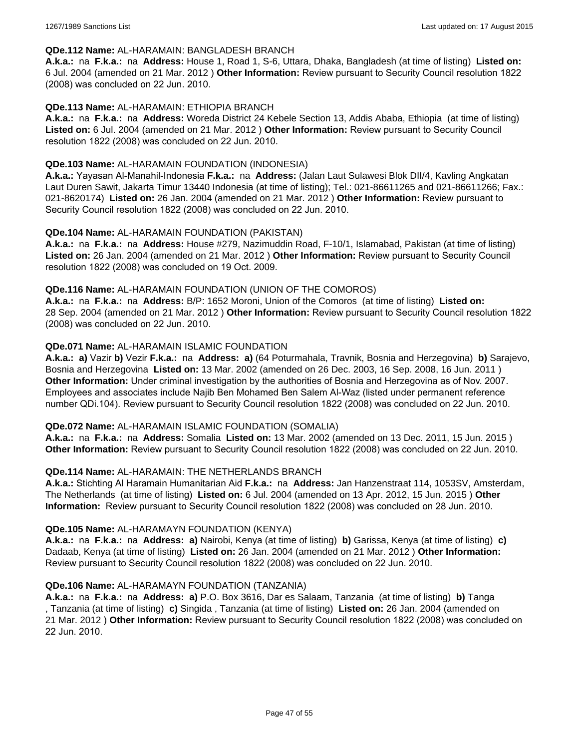#### **QDe.112 Name:** AL-HARAMAIN: BANGLADESH BRANCH

**A.k.a.:** na **F.k.a.:** na **Address:** House 1, Road 1, S-6, Uttara, Dhaka, Bangladesh (at time of listing) **Listed on:** 6 Jul. 2004 (amended on 21 Mar. 2012 ) **Other Information:** Review pursuant to Security Council resolution 1822 (2008) was concluded on 22 Jun. 2010.

### **QDe.113 Name:** AL-HARAMAIN: ETHIOPIA BRANCH

**A.k.a.:** na **F.k.a.:** na **Address:** Woreda District 24 Kebele Section 13, Addis Ababa, Ethiopia (at time of listing) **Listed on:** 6 Jul. 2004 (amended on 21 Mar. 2012 ) **Other Information:** Review pursuant to Security Council resolution 1822 (2008) was concluded on 22 Jun. 2010.

#### **QDe.103 Name:** AL-HARAMAIN FOUNDATION (INDONESIA)

**A.k.a.:** Yayasan Al-Manahil-Indonesia **F.k.a.:** na **Address:** (Jalan Laut Sulawesi Blok DII/4, Kavling Angkatan Laut Duren Sawit, Jakarta Timur 13440 Indonesia (at time of listing); Tel.: 021-86611265 and 021-86611266; Fax.: 021-8620174) **Listed on:** 26 Jan. 2004 (amended on 21 Mar. 2012 ) **Other Information:** Review pursuant to Security Council resolution 1822 (2008) was concluded on 22 Jun. 2010.

#### **QDe.104 Name:** AL-HARAMAIN FOUNDATION (PAKISTAN)

**A.k.a.:** na **F.k.a.:** na **Address:** House #279, Nazimuddin Road, F-10/1, Islamabad, Pakistan (at time of listing) **Listed on:** 26 Jan. 2004 (amended on 21 Mar. 2012 ) **Other Information:** Review pursuant to Security Council resolution 1822 (2008) was concluded on 19 Oct. 2009.

#### **QDe.116 Name:** AL-HARAMAIN FOUNDATION (UNION OF THE COMOROS)

**A.k.a.:** na **F.k.a.:** na **Address:** B/P: 1652 Moroni, Union of the Comoros (at time of listing) **Listed on:** 28 Sep. 2004 (amended on 21 Mar. 2012 ) **Other Information:** Review pursuant to Security Council resolution 1822 (2008) was concluded on 22 Jun. 2010.

#### **QDe.071 Name:** AL-HARAMAIN ISLAMIC FOUNDATION

**A.k.a.: a)** Vazir **b)** Vezir **F.k.a.:** na **Address: a)** (64 Poturmahala, Travnik, Bosnia and Herzegovina) **b)** Sarajevo, Bosnia and Herzegovina **Listed on:** 13 Mar. 2002 (amended on 26 Dec. 2003, 16 Sep. 2008, 16 Jun. 2011 ) **Other Information:** Under criminal investigation by the authorities of Bosnia and Herzegovina as of Nov. 2007. Employees and associates include Najib Ben Mohamed Ben Salem Al-Waz (listed under permanent reference number QDi.104). Review pursuant to Security Council resolution 1822 (2008) was concluded on 22 Jun. 2010.

#### **QDe.072 Name:** AL-HARAMAIN ISLAMIC FOUNDATION (SOMALIA)

**A.k.a.:** na **F.k.a.:** na **Address:** Somalia **Listed on:** 13 Mar. 2002 (amended on 13 Dec. 2011, 15 Jun. 2015 ) **Other Information:** Review pursuant to Security Council resolution 1822 (2008) was concluded on 22 Jun. 2010.

#### **QDe.114 Name:** AL-HARAMAIN: THE NETHERLANDS BRANCH

**A.k.a.:** Stichting Al Haramain Humanitarian Aid **F.k.a.:** na **Address:** Jan Hanzenstraat 114, 1053SV, Amsterdam, The Netherlands (at time of listing) **Listed on:** 6 Jul. 2004 (amended on 13 Apr. 2012, 15 Jun. 2015 ) **Other Information:** Review pursuant to Security Council resolution 1822 (2008) was concluded on 28 Jun. 2010.

#### **QDe.105 Name:** AL-HARAMAYN FOUNDATION (KENYA)

**A.k.a.:** na **F.k.a.:** na **Address: a)** Nairobi, Kenya (at time of listing) **b)** Garissa, Kenya (at time of listing) **c)** Dadaab, Kenya (at time of listing) **Listed on:** 26 Jan. 2004 (amended on 21 Mar. 2012 ) **Other Information:** Review pursuant to Security Council resolution 1822 (2008) was concluded on 22 Jun. 2010.

#### **QDe.106 Name:** AL-HARAMAYN FOUNDATION (TANZANIA)

**A.k.a.:** na **F.k.a.:** na **Address: a)** P.O. Box 3616, Dar es Salaam, Tanzania (at time of listing) **b)** Tanga , Tanzania (at time of listing) **c)** Singida , Tanzania (at time of listing) **Listed on:** 26 Jan. 2004 (amended on 21 Mar. 2012 ) **Other Information:** Review pursuant to Security Council resolution 1822 (2008) was concluded on 22 Jun. 2010.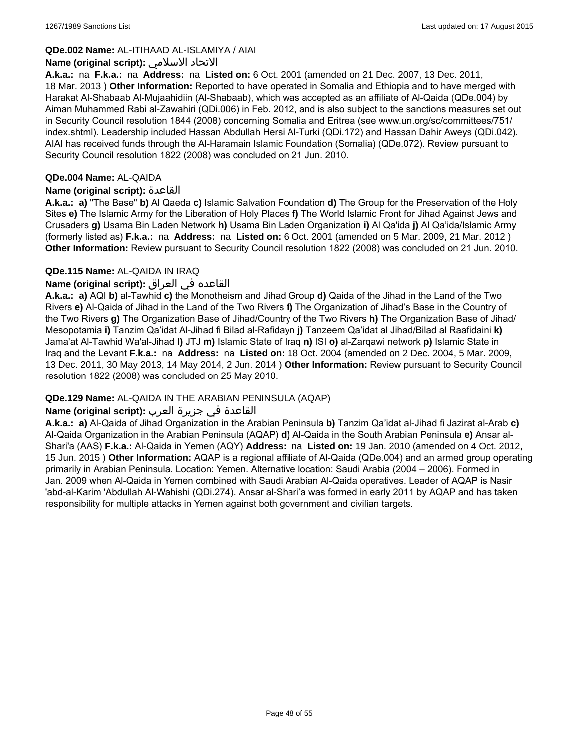## **QDe.002 Name:** AL-ITIHAAD AL-ISLAMIYA / AIAI

#### **Name (original script):** الاسلامي الاتحاد

**A.k.a.:** na **F.k.a.:** na **Address:** na **Listed on:** 6 Oct. 2001 (amended on 21 Dec. 2007, 13 Dec. 2011, 18 Mar. 2013 ) **Other Information:** Reported to have operated in Somalia and Ethiopia and to have merged with Harakat Al-Shabaab Al-Mujaahidiin (Al-Shabaab), which was accepted as an affiliate of Al-Qaida (QDe.004) by Aiman Muhammed Rabi al-Zawahiri (QDi.006) in Feb. 2012, and is also subject to the sanctions measures set out in Security Council resolution 1844 (2008) concerning Somalia and Eritrea (see www.un.org/sc/committees/751/ index.shtml). Leadership included Hassan Abdullah Hersi Al-Turki (QDi.172) and Hassan Dahir Aweys (QDi.042). AIAI has received funds through the Al-Haramain Islamic Foundation (Somalia) (QDe.072). Review pursuant to Security Council resolution 1822 (2008) was concluded on 21 Jun. 2010.

#### **QDe.004 Name:** AL-QAIDA

#### **Name (original script):** القاعدة

**A.k.a.: a)** "The Base" **b)** Al Qaeda **c)** Islamic Salvation Foundation **d)** The Group for the Preservation of the Holy Sites **e)** The Islamic Army for the Liberation of Holy Places **f)** The World Islamic Front for Jihad Against Jews and Crusaders **g)** Usama Bin Laden Network **h)** Usama Bin Laden Organization **i)** Al Qa'ida **j)** Al Qa'ida/Islamic Army (formerly listed as) **F.k.a.:** na **Address:** na **Listed on:** 6 Oct. 2001 (amended on 5 Mar. 2009, 21 Mar. 2012 ) **Other Information:** Review pursuant to Security Council resolution 1822 (2008) was concluded on 21 Jun. 2010.

#### **QDe.115 Name:** AL-QAIDA IN IRAQ

## القاعده في العراق **:(script original (Name**

**A.k.a.: a)** AQI **b)** al-Tawhid **c)** the Monotheism and Jihad Group **d)** Qaida of the Jihad in the Land of the Two Rivers **e)** Al-Qaida of Jihad in the Land of the Two Rivers **f)** The Organization of Jihad's Base in the Country of the Two Rivers **g)** The Organization Base of Jihad/Country of the Two Rivers **h)** The Organization Base of Jihad/ Mesopotamia **i)** Tanzim Qa'idat Al-Jihad fi Bilad al-Rafidayn **j)** Tanzeem Qa'idat al Jihad/Bilad al Raafidaini **k)** Jama'at Al-Tawhid Wa'al-Jihad **l)** JTJ **m)** Islamic State of Iraq **n)** ISI **o)** al-Zarqawi network **p)** Islamic State in Iraq and the Levant **F.k.a.:** na **Address:** na **Listed on:** 18 Oct. 2004 (amended on 2 Dec. 2004, 5 Mar. 2009, 13 Dec. 2011, 30 May 2013, 14 May 2014, 2 Jun. 2014 ) **Other Information:** Review pursuant to Security Council resolution 1822 (2008) was concluded on 25 May 2010.

## **QDe.129 Name:** AL-QAIDA IN THE ARABIAN PENINSULA (AQAP)

## القاعدة في جزيرة العرب **:(script original (Name**

**A.k.a.: a)** Al-Qaida of Jihad Organization in the Arabian Peninsula **b)** Tanzim Qa'idat al-Jihad fi Jazirat al-Arab **c)** Al-Qaida Organization in the Arabian Peninsula (AQAP) **d)** Al-Qaida in the South Arabian Peninsula **e)** Ansar al-Shari'a (AAS) **F.k.a.:** Al-Qaida in Yemen (AQY) **Address:** na **Listed on:** 19 Jan. 2010 (amended on 4 Oct. 2012, 15 Jun. 2015 ) **Other Information:** AQAP is a regional affiliate of Al-Qaida (QDe.004) and an armed group operating primarily in Arabian Peninsula. Location: Yemen. Alternative location: Saudi Arabia (2004 – 2006). Formed in Jan. 2009 when Al-Qaida in Yemen combined with Saudi Arabian Al-Qaida operatives. Leader of AQAP is Nasir 'abd-al-Karim 'Abdullah Al-Wahishi (QDi.274). Ansar al-Shari'a was formed in early 2011 by AQAP and has taken responsibility for multiple attacks in Yemen against both government and civilian targets.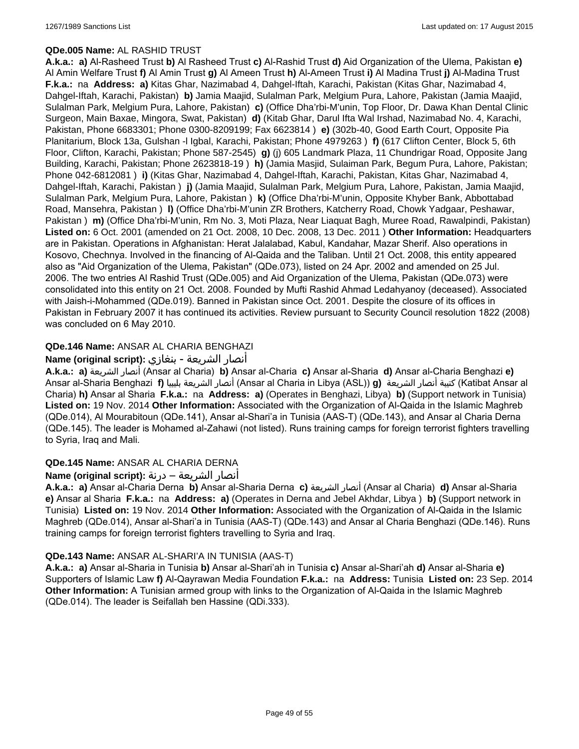## **QDe.005 Name:** AL RASHID TRUST

**A.k.a.: a)** Al-Rasheed Trust **b)** Al Rasheed Trust **c)** Al-Rashid Trust **d)** Aid Organization of the Ulema, Pakistan **e)** Al Amin Welfare Trust **f)** Al Amin Trust **g)** Al Ameen Trust **h)** Al-Ameen Trust **i)** Al Madina Trust **j)** Al-Madina Trust **F.k.a.:** na **Address: a)** Kitas Ghar, Nazimabad 4, Dahgel-Iftah, Karachi, Pakistan (Kitas Ghar, Nazimabad 4, Dahgel-Iftah, Karachi, Pakistan) **b)** Jamia Maajid, Sulalman Park, Melgium Pura, Lahore, Pakistan (Jamia Maajid, Sulalman Park, Melgium Pura, Lahore, Pakistan) **c)** (Office Dha'rbi-M'unin, Top Floor, Dr. Dawa Khan Dental Clinic Surgeon, Main Baxae, Mingora, Swat, Pakistan) **d)** (Kitab Ghar, Darul Ifta Wal Irshad, Nazimabad No. 4, Karachi, Pakistan, Phone 6683301; Phone 0300-8209199; Fax 6623814 ) **e)** (302b-40, Good Earth Court, Opposite Pia Planitarium, Block 13a, Gulshan -l Igbal, Karachi, Pakistan; Phone 4979263 ) **f)** (617 Clifton Center, Block 5, 6th Floor, Clifton, Karachi, Pakistan; Phone 587-2545) **g)** (j) 605 Landmark Plaza, 11 Chundrigar Road, Opposite Jang Building, Karachi, Pakistan; Phone 2623818-19 ) **h)** (Jamia Masjid, Sulaiman Park, Begum Pura, Lahore, Pakistan; Phone 042-6812081 ) **i)** (Kitas Ghar, Nazimabad 4, Dahgel-Iftah, Karachi, Pakistan, Kitas Ghar, Nazimabad 4, Dahgel-Iftah, Karachi, Pakistan ) **j)** (Jamia Maajid, Sulalman Park, Melgium Pura, Lahore, Pakistan, Jamia Maajid, Sulalman Park, Melgium Pura, Lahore, Pakistan ) **k)** (Office Dha'rbi-M'unin, Opposite Khyber Bank, Abbottabad Road, Mansehra, Pakistan ) **l)** (Office Dha'rbi-M'unin ZR Brothers, Katcherry Road, Chowk Yadgaar, Peshawar, Pakistan ) **m)** (Office Dha'rbi-M'unin, Rm No. 3, Moti Plaza, Near Liaquat Bagh, Muree Road, Rawalpindi, Pakistan) **Listed on:** 6 Oct. 2001 (amended on 21 Oct. 2008, 10 Dec. 2008, 13 Dec. 2011 ) **Other Information:** Headquarters are in Pakistan. Operations in Afghanistan: Herat Jalalabad, Kabul, Kandahar, Mazar Sherif. Also operations in Kosovo, Chechnya. Involved in the financing of Al-Qaida and the Taliban. Until 21 Oct. 2008, this entity appeared also as "Aid Organization of the Ulema, Pakistan" (QDe.073), listed on 24 Apr. 2002 and amended on 25 Jul. 2006. The two entries Al Rashid Trust (QDe.005) and Aid Organization of the Ulema, Pakistan (QDe.073) were consolidated into this entity on 21 Oct. 2008. Founded by Mufti Rashid Ahmad Ledahyanoy (deceased). Associated with Jaish-i-Mohammed (QDe.019). Banned in Pakistan since Oct. 2001. Despite the closure of its offices in Pakistan in February 2007 it has continued its activities. Review pursuant to Security Council resolution 1822 (2008) was concluded on 6 May 2010.

## **QDe.146 Name:** ANSAR AL CHARIA BENGHAZI

## أنصار الشريعة - بنغازي **:(script original (Name**

**A.k.a.: a)** الشريعة أنصار) Ansar al Charia) **b)** Ansar al-Charia **c)** Ansar al-Sharia **d)** Ansar al-Charia Benghazi **e)** Ansar al-Sharia Benghazi **f)** بليبيا الشريعة أنصار) Ansar al Charia in Libya (ASL)) **g)** الشريعة أنصار كتيبة) Katibat Ansar al Charia) **h)** Ansar al Sharia **F.k.a.:** na **Address: a)** (Operates in Benghazi, Libya) **b)** (Support network in Tunisia) **Listed on:** 19 Nov. 2014 **Other Information:** Associated with the Organization of Al-Qaida in the Islamic Maghreb (QDe.014), Al Mourabitoun (QDe.141), Ansar al-Shari'a in Tunisia (AAS-T) (QDe.143), and Ansar al Charia Derna (QDe.145). The leader is Mohamed al-Zahawi (not listed). Runs training camps for foreign terrorist fighters travelling to Syria, Iraq and Mali.

## **QDe.145 Name:** ANSAR AL CHARIA DERNA

## أنصار الشريعة – درنة **:(script original (Name**

**A.k.a.: a)** Ansar al-Charia Derna **b)** Ansar al-Sharia Derna **c)** الشريعة أنصار) Ansar al Charia) **d)** Ansar al-Sharia **e)** Ansar al Sharia **F.k.a.:** na **Address: a)** (Operates in Derna and Jebel Akhdar, Libya ) **b)** (Support network in Tunisia) **Listed on:** 19 Nov. 2014 **Other Information:** Associated with the Organization of Al-Qaida in the Islamic Maghreb (QDe.014), Ansar al-Shari'a in Tunisia (AAS-T) (QDe.143) and Ansar al Charia Benghazi (QDe.146). Runs training camps for foreign terrorist fighters travelling to Syria and Iraq.

## **QDe.143 Name:** ANSAR AL-SHARI'A IN TUNISIA (AAS-T)

**A.k.a.: a)** Ansar al-Sharia in Tunisia **b)** Ansar al-Shari'ah in Tunisia **c)** Ansar al-Shari'ah **d)** Ansar al-Sharia **e)** Supporters of Islamic Law **f)** Al-Qayrawan Media Foundation **F.k.a.:** na **Address:** Tunisia **Listed on:** 23 Sep. 2014 **Other Information:** A Tunisian armed group with links to the Organization of Al-Qaida in the Islamic Maghreb (QDe.014). The leader is Seifallah ben Hassine (QDi.333).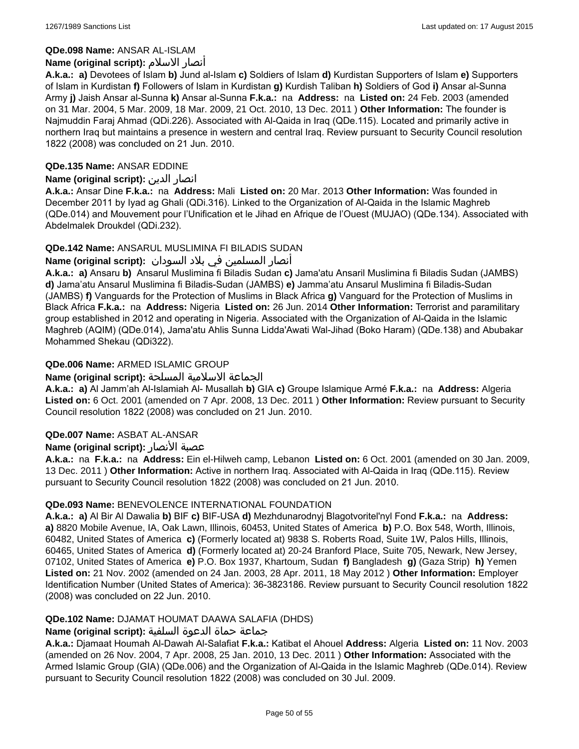## **QDe.098 Name:** ANSAR AL-ISLAM

## **Name (original script):** الاسلام أنصار

**A.k.a.: a)** Devotees of Islam **b)** Jund al-Islam **c)** Soldiers of Islam **d)** Kurdistan Supporters of Islam **e)** Supporters of Islam in Kurdistan **f)** Followers of Islam in Kurdistan **g)** Kurdish Taliban **h)** Soldiers of God **i)** Ansar al-Sunna Army **j)** Jaish Ansar al-Sunna **k)** Ansar al-Sunna **F.k.a.:** na **Address:** na **Listed on:** 24 Feb. 2003 (amended on 31 Mar. 2004, 5 Mar. 2009, 18 Mar. 2009, 21 Oct. 2010, 13 Dec. 2011 ) **Other Information:** The founder is Najmuddin Faraj Ahmad (QDi.226). Associated with Al-Qaida in Iraq (QDe.115). Located and primarily active in northern Iraq but maintains a presence in western and central Iraq. Review pursuant to Security Council resolution 1822 (2008) was concluded on 21 Jun. 2010.

## **QDe.135 Name:** ANSAR EDDINE

## **Name (original script):** الدين انصار

**A.k.a.:** Ansar Dine **F.k.a.:** na **Address:** Mali **Listed on:** 20 Mar. 2013 **Other Information:** Was founded in December 2011 by Iyad ag Ghali (QDi.316). Linked to the Organization of Al-Qaida in the Islamic Maghreb (QDe.014) and Mouvement pour l'Unification et le Jihad en Afrique de l'Ouest (MUJAO) (QDe.134). Associated with Abdelmalek Droukdel (QDi.232).

## **QDe.142 Name:** ANSARUL MUSLIMINA FI BILADIS SUDAN

## انصار المسلمین في بلاد السودان :**(Name (original script**

**A.k.a.: a)** Ansaru **b)** Ansarul Muslimina fi Biladis Sudan **c)** Jama'atu Ansaril Muslimina fi Biladis Sudan (JAMBS) **d)** Jama'atu Ansarul Muslimina fi Biladis-Sudan (JAMBS) **e)** Jamma'atu Ansarul Muslimina fi Biladis-Sudan (JAMBS) **f)** Vanguards for the Protection of Muslims in Black Africa **g)** Vanguard for the Protection of Muslims in Black Africa **F.k.a.:** na **Address:** Nigeria **Listed on:** 26 Jun. 2014 **Other Information:** Terrorist and paramilitary group established in 2012 and operating in Nigeria. Associated with the Organization of Al-Qaida in the Islamic Maghreb (AQIM) (QDe.014), Jama'atu Ahlis Sunna Lidda'Awati Wal-Jihad (Boko Haram) (QDe.138) and Abubakar Mohammed Shekau (QDi322).

## **QDe.006 Name:** ARMED ISLAMIC GROUP

## الجماعة الاسلامية المسلحة **:(script original (Name**

**A.k.a.: a)** Al Jamm'ah Al-Islamiah Al- Musallah **b)** GIA **c)** Groupe Islamique Armé **F.k.a.:** na **Address:** Algeria **Listed on:** 6 Oct. 2001 (amended on 7 Apr. 2008, 13 Dec. 2011 ) **Other Information:** Review pursuant to Security Council resolution 1822 (2008) was concluded on 21 Jun. 2010.

## **QDe.007 Name:** ASBAT AL-ANSAR

## **Name (original script):** الأنصار عصبة

**A.k.a.:** na **F.k.a.:** na **Address:** Ein el-Hilweh camp, Lebanon **Listed on:** 6 Oct. 2001 (amended on 30 Jan. 2009, 13 Dec. 2011 ) **Other Information:** Active in northern Iraq. Associated with Al-Qaida in Iraq (QDe.115). Review pursuant to Security Council resolution 1822 (2008) was concluded on 21 Jun. 2010.

## **QDe.093 Name:** BENEVOLENCE INTERNATIONAL FOUNDATION

**A.k.a.: a)** Al Bir Al Dawalia **b)** BIF **c)** BIF-USA **d)** Mezhdunarodnyj Blagotvoritel'nyl Fond **F.k.a.:** na **Address: a)** 8820 Mobile Avenue, IA, Oak Lawn, Illinois, 60453, United States of America **b)** P.O. Box 548, Worth, Illinois, 60482, United States of America **c)** (Formerly located at) 9838 S. Roberts Road, Suite 1W, Palos Hills, Illinois, 60465, United States of America **d)** (Formerly located at) 20-24 Branford Place, Suite 705, Newark, New Jersey, 07102, United States of America **e)** P.O. Box 1937, Khartoum, Sudan **f)** Bangladesh **g)** (Gaza Strip) **h)** Yemen **Listed on:** 21 Nov. 2002 (amended on 24 Jan. 2003, 28 Apr. 2011, 18 May 2012 ) **Other Information:** Employer Identification Number (United States of America): 36-3823186. Review pursuant to Security Council resolution 1822 (2008) was concluded on 22 Jun. 2010.

## **QDe.102 Name:** DJAMAT HOUMAT DAAWA SALAFIA (DHDS)

## جماعة حماة الدعوة السلفية **:(script original (Name**

**A.k.a.:** Djamaat Houmah Al-Dawah Al-Salafiat **F.k.a.:** Katibat el Ahouel **Address:** Algeria **Listed on:** 11 Nov. 2003 (amended on 26 Nov. 2004, 7 Apr. 2008, 25 Jan. 2010, 13 Dec. 2011 ) **Other Information:** Associated with the Armed Islamic Group (GIA) (QDe.006) and the Organization of Al-Qaida in the Islamic Maghreb (QDe.014). Review pursuant to Security Council resolution 1822 (2008) was concluded on 30 Jul. 2009.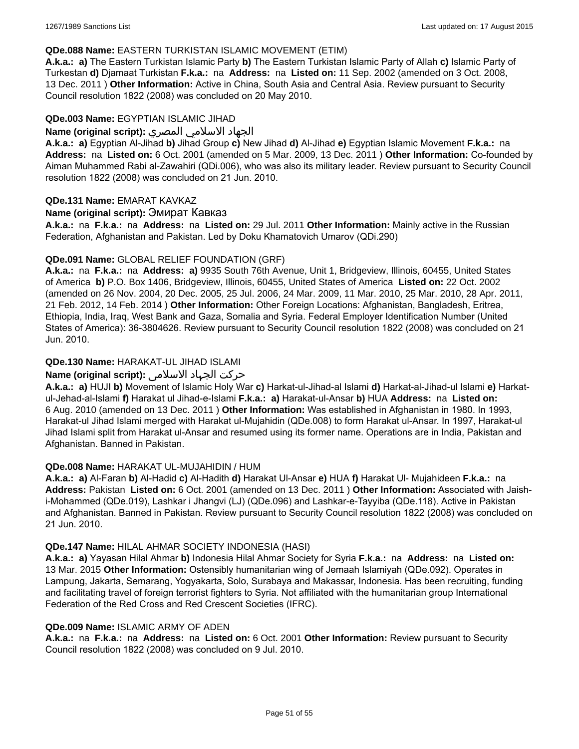#### **QDe.088 Name:** EASTERN TURKISTAN ISLAMIC MOVEMENT (ETIM)

**A.k.a.: a)** The Eastern Turkistan Islamic Party **b)** The Eastern Turkistan Islamic Party of Allah **c)** Islamic Party of Turkestan **d)** Djamaat Turkistan **F.k.a.:** na **Address:** na **Listed on:** 11 Sep. 2002 (amended on 3 Oct. 2008, 13 Dec. 2011 ) **Other Information:** Active in China, South Asia and Central Asia. Review pursuant to Security Council resolution 1822 (2008) was concluded on 20 May 2010.

#### **QDe.003 Name:** EGYPTIAN ISLAMIC JIHAD

#### الجهاد الاسلامي المصري **:(script original (Name**

**A.k.a.: a)** Egyptian Al-Jihad **b)** Jihad Group **c)** New Jihad **d)** Al-Jihad **e)** Egyptian Islamic Movement **F.k.a.:** na **Address:** na **Listed on:** 6 Oct. 2001 (amended on 5 Mar. 2009, 13 Dec. 2011 ) **Other Information:** Co-founded by Aiman Muhammed Rabi al-Zawahiri (QDi.006), who was also its military leader. Review pursuant to Security Council resolution 1822 (2008) was concluded on 21 Jun. 2010.

#### **QDe.131 Name:** EMARAT KAVKAZ

#### **Name (original script):** Эмират Кавказ

**A.k.a.:** na **F.k.a.:** na **Address:** na **Listed on:** 29 Jul. 2011 **Other Information:** Mainly active in the Russian Federation, Afghanistan and Pakistan. Led by Doku Khamatovich Umarov (QDi.290)

#### **QDe.091 Name:** GLOBAL RELIEF FOUNDATION (GRF)

**A.k.a.:** na **F.k.a.:** na **Address: a)** 9935 South 76th Avenue, Unit 1, Bridgeview, Illinois, 60455, United States of America **b)** P.O. Box 1406, Bridgeview, Illinois, 60455, United States of America **Listed on:** 22 Oct. 2002 (amended on 26 Nov. 2004, 20 Dec. 2005, 25 Jul. 2006, 24 Mar. 2009, 11 Mar. 2010, 25 Mar. 2010, 28 Apr. 2011, 21 Feb. 2012, 14 Feb. 2014 ) **Other Information:** Other Foreign Locations: Afghanistan, Bangladesh, Eritrea, Ethiopia, India, Iraq, West Bank and Gaza, Somalia and Syria. Federal Employer Identification Number (United States of America): 36-3804626. Review pursuant to Security Council resolution 1822 (2008) was concluded on 21 Jun. 2010.

## **QDe.130 Name:** HARAKAT-UL JIHAD ISLAMI

## حرکت الجہاد الاسلامی **:(script original (Name**

**A.k.a.: a)** HUJI **b)** Movement of Islamic Holy War **c)** Harkat-ul-Jihad-al Islami **d)** Harkat-al-Jihad-ul Islami **e)** Harkatul-Jehad-al-Islami **f)** Harakat ul Jihad-e-Islami **F.k.a.: a)** Harakat-ul-Ansar **b)** HUA **Address:** na **Listed on:** 6 Aug. 2010 (amended on 13 Dec. 2011 ) **Other Information:** Was established in Afghanistan in 1980. In 1993, Harakat-ul Jihad Islami merged with Harakat ul-Mujahidin (QDe.008) to form Harakat ul-Ansar. In 1997, Harakat-ul Jihad Islami split from Harakat ul-Ansar and resumed using its former name. Operations are in India, Pakistan and Afghanistan. Banned in Pakistan.

#### **QDe.008 Name:** HARAKAT UL-MUJAHIDIN / HUM

**A.k.a.: a)** Al-Faran **b)** Al-Hadid **c)** Al-Hadith **d)** Harakat Ul-Ansar **e)** HUA **f)** Harakat Ul- Mujahideen **F.k.a.:** na **Address:** Pakistan **Listed on:** 6 Oct. 2001 (amended on 13 Dec. 2011 ) **Other Information:** Associated with Jaishi-Mohammed (QDe.019), Lashkar i Jhangvi (LJ) (QDe.096) and Lashkar-e-Tayyiba (QDe.118). Active in Pakistan and Afghanistan. Banned in Pakistan. Review pursuant to Security Council resolution 1822 (2008) was concluded on 21 Jun. 2010.

#### **QDe.147 Name:** HILAL AHMAR SOCIETY INDONESIA (HASI)

**A.k.a.: a)** Yayasan Hilal Ahmar **b)** Indonesia Hilal Ahmar Society for Syria **F.k.a.:** na **Address:** na **Listed on:** 13 Mar. 2015 **Other Information:** Ostensibly humanitarian wing of Jemaah Islamiyah (QDe.092). Operates in Lampung, Jakarta, Semarang, Yogyakarta, Solo, Surabaya and Makassar, Indonesia. Has been recruiting, funding and facilitating travel of foreign terrorist fighters to Syria. Not affiliated with the humanitarian group International Federation of the Red Cross and Red Crescent Societies (IFRC).

#### **QDe.009 Name:** ISLAMIC ARMY OF ADEN

**A.k.a.:** na **F.k.a.:** na **Address:** na **Listed on:** 6 Oct. 2001 **Other Information:** Review pursuant to Security Council resolution 1822 (2008) was concluded on 9 Jul. 2010.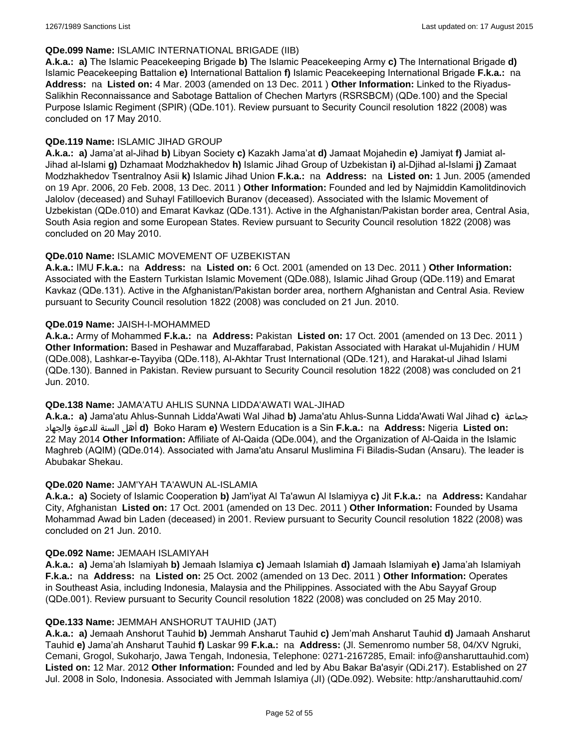## **QDe.099 Name:** ISLAMIC INTERNATIONAL BRIGADE (IIB)

**A.k.a.: a)** The Islamic Peacekeeping Brigade **b)** The Islamic Peacekeeping Army **c)** The International Brigade **d)** Islamic Peacekeeping Battalion **e)** International Battalion **f)** Islamic Peacekeeping International Brigade **F.k.a.:** na **Address:** na **Listed on:** 4 Mar. 2003 (amended on 13 Dec. 2011 ) **Other Information:** Linked to the Riyadus-Salikhin Reconnaissance and Sabotage Battalion of Chechen Martyrs (RSRSBCM) (QDe.100) and the Special Purpose Islamic Regiment (SPIR) (QDe.101). Review pursuant to Security Council resolution 1822 (2008) was concluded on 17 May 2010.

## **QDe.119 Name:** ISLAMIC JIHAD GROUP

**A.k.a.: a)** Jama'at al-Jihad **b)** Libyan Society **c)** Kazakh Jama'at **d)** Jamaat Mojahedin **e)** Jamiyat **f)** Jamiat al-Jihad al-Islami **g)** Dzhamaat Modzhakhedov **h)** Islamic Jihad Group of Uzbekistan **i)** al-Djihad al-Islami **j)** Zamaat Modzhakhedov Tsentralnoy Asii **k)** Islamic Jihad Union **F.k.a.:** na **Address:** na **Listed on:** 1 Jun. 2005 (amended on 19 Apr. 2006, 20 Feb. 2008, 13 Dec. 2011 ) **Other Information:** Founded and led by Najmiddin Kamolitdinovich Jalolov (deceased) and Suhayl Fatilloevich Buranov (deceased). Associated with the Islamic Movement of Uzbekistan (QDe.010) and Emarat Kavkaz (QDe.131). Active in the Afghanistan/Pakistan border area, Central Asia, South Asia region and some European States. Review pursuant to Security Council resolution 1822 (2008) was concluded on 20 May 2010.

#### **QDe.010 Name:** ISLAMIC MOVEMENT OF UZBEKISTAN

**A.k.a.:** IMU **F.k.a.:** na **Address:** na **Listed on:** 6 Oct. 2001 (amended on 13 Dec. 2011 ) **Other Information:** Associated with the Eastern Turkistan Islamic Movement (QDe.088), Islamic Jihad Group (QDe.119) and Emarat Kavkaz (QDe.131). Active in the Afghanistan/Pakistan border area, northern Afghanistan and Central Asia. Review pursuant to Security Council resolution 1822 (2008) was concluded on 21 Jun. 2010.

#### **QDe.019 Name:** JAISH-I-MOHAMMED

**A.k.a.:** Army of Mohammed **F.k.a.:** na **Address:** Pakistan **Listed on:** 17 Oct. 2001 (amended on 13 Dec. 2011 ) **Other Information:** Based in Peshawar and Muzaffarabad, Pakistan Associated with Harakat ul-Mujahidin / HUM (QDe.008), Lashkar-e-Tayyiba (QDe.118), Al-Akhtar Trust International (QDe.121), and Harakat-ul Jihad Islami (QDe.130). Banned in Pakistan. Review pursuant to Security Council resolution 1822 (2008) was concluded on 21 Jun. 2010.

#### **QDe.138 Name:** JAMA'ATU AHLIS SUNNA LIDDA'AWATI WAL-JIHAD

**A.k.a.: a)** Jama'atu Ahlus-Sunnah Lidda'Awati Wal Jihad **b)** Jama'atu Ahlus-Sunna Lidda'Awati Wal Jihad **c)** جماعة والجهاد للدعوة السنة أهل **d)** Boko Haram **e)** Western Education is a Sin **F.k.a.:** na **Address:** Nigeria **Listed on:** 22 May 2014 **Other Information:** Affiliate of Al-Qaida (QDe.004), and the Organization of Al-Qaida in the Islamic Maghreb (AQIM) (QDe.014). Associated with Jama'atu Ansarul Muslimina Fi Biladis-Sudan (Ansaru). The leader is Abubakar Shekau.

## **QDe.020 Name:** JAM'YAH TA'AWUN AL-ISLAMIA

**A.k.a.: a)** Society of Islamic Cooperation **b)** Jam'iyat Al Ta'awun Al Islamiyya **c)** Jit **F.k.a.:** na **Address:** Kandahar City, Afghanistan **Listed on:** 17 Oct. 2001 (amended on 13 Dec. 2011 ) **Other Information:** Founded by Usama Mohammad Awad bin Laden (deceased) in 2001. Review pursuant to Security Council resolution 1822 (2008) was concluded on 21 Jun. 2010.

#### **QDe.092 Name:** JEMAAH ISLAMIYAH

**A.k.a.: a)** Jema'ah Islamiyah **b)** Jemaah Islamiya **c)** Jemaah Islamiah **d)** Jamaah Islamiyah **e)** Jama'ah Islamiyah **F.k.a.:** na **Address:** na **Listed on:** 25 Oct. 2002 (amended on 13 Dec. 2011 ) **Other Information:** Operates in Southeast Asia, including Indonesia, Malaysia and the Philippines. Associated with the Abu Sayyaf Group (QDe.001). Review pursuant to Security Council resolution 1822 (2008) was concluded on 25 May 2010.

#### **QDe.133 Name:** JEMMAH ANSHORUT TAUHID (JAT)

**A.k.a.: a)** Jemaah Anshorut Tauhid **b)** Jemmah Ansharut Tauhid **c)** Jem'mah Ansharut Tauhid **d)** Jamaah Ansharut Tauhid **e)** Jama'ah Ansharut Tauhid **f)** Laskar 99 **F.k.a.:** na **Address:** (Jl. Semenromo number 58, 04/XV Ngruki, Cemani, Grogol, Sukoharjo, Jawa Tengah, Indonesia, Telephone: 0271-2167285, Email: info@ansharuttauhid.com) **Listed on:** 12 Mar. 2012 **Other Information:** Founded and led by Abu Bakar Ba'asyir (QDi.217). Established on 27 Jul. 2008 in Solo, Indonesia. Associated with Jemmah Islamiya (JI) (QDe.092). Website: http:/ansharuttauhid.com/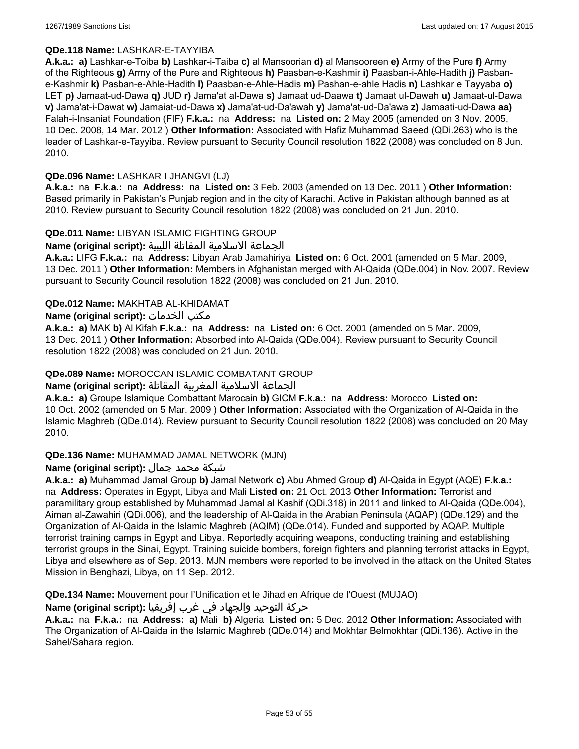#### **QDe.118 Name:** LASHKAR-E-TAYYIBA

**A.k.a.: a)** Lashkar-e-Toiba **b)** Lashkar-i-Taiba **c)** al Mansoorian **d)** al Mansooreen **e)** Army of the Pure **f)** Army of the Righteous **g)** Army of the Pure and Righteous **h)** Paasban-e-Kashmir **i)** Paasban-i-Ahle-Hadith **j)** Pasbane-Kashmir **k)** Pasban-e-Ahle-Hadith **l)** Paasban-e-Ahle-Hadis **m)** Pashan-e-ahle Hadis **n)** Lashkar e Tayyaba **o)** LET **p)** Jamaat-ud-Dawa **q)** JUD **r)** Jama'at al-Dawa **s)** Jamaat ud-Daawa **t)** Jamaat ul-Dawah **u)** Jamaat-ul-Dawa **v)** Jama'at-i-Dawat **w)** Jamaiat-ud-Dawa **x)** Jama'at-ud-Da'awah **y)** Jama'at-ud-Da'awa **z)** Jamaati-ud-Dawa **aa)** Falah-i-Insaniat Foundation (FIF) **F.k.a.:** na **Address:** na **Listed on:** 2 May 2005 (amended on 3 Nov. 2005, 10 Dec. 2008, 14 Mar. 2012 ) **Other Information:** Associated with Hafiz Muhammad Saeed (QDi.263) who is the leader of Lashkar-e-Tayyiba. Review pursuant to Security Council resolution 1822 (2008) was concluded on 8 Jun. 2010.

#### **QDe.096 Name:** LASHKAR I JHANGVI (LJ)

**A.k.a.:** na **F.k.a.:** na **Address:** na **Listed on:** 3 Feb. 2003 (amended on 13 Dec. 2011 ) **Other Information:** Based primarily in Pakistan's Punjab region and in the city of Karachi. Active in Pakistan although banned as at 2010. Review pursuant to Security Council resolution 1822 (2008) was concluded on 21 Jun. 2010.

#### **QDe.011 Name:** LIBYAN ISLAMIC FIGHTING GROUP

الجماعة الاسلامية المقاتلة الليبية **:(script original (Name**

**A.k.a.:** LIFG **F.k.a.:** na **Address:** Libyan Arab Jamahiriya **Listed on:** 6 Oct. 2001 (amended on 5 Mar. 2009, 13 Dec. 2011 ) **Other Information:** Members in Afghanistan merged with Al-Qaida (QDe.004) in Nov. 2007. Review pursuant to Security Council resolution 1822 (2008) was concluded on 21 Jun. 2010.

#### **QDe.012 Name:** MAKHTAB AL-KHIDAMAT

#### **Name (original script):** الخدمات مكتب

**A.k.a.: a)** MAK **b)** Al Kifah **F.k.a.:** na **Address:** na **Listed on:** 6 Oct. 2001 (amended on 5 Mar. 2009, 13 Dec. 2011 ) **Other Information:** Absorbed into Al-Qaida (QDe.004). Review pursuant to Security Council resolution 1822 (2008) was concluded on 21 Jun. 2010.

#### **QDe.089 Name:** MOROCCAN ISLAMIC COMBATANT GROUP

## الجماعة الاسلامية المغربية المقاتلة **:(script original (Name**

**A.k.a.: a)** Groupe Islamique Combattant Marocain **b)** GICM **F.k.a.:** na **Address:** Morocco **Listed on:** 10 Oct. 2002 (amended on 5 Mar. 2009 ) **Other Information:** Associated with the Organization of Al-Qaida in the Islamic Maghreb (QDe.014). Review pursuant to Security Council resolution 1822 (2008) was concluded on 20 May 2010.

#### **QDe.136 Name:** MUHAMMAD JAMAL NETWORK (MJN)

## شبكة محمد جمال **:(script original (Name**

**A.k.a.: a)** Muhammad Jamal Group **b)** Jamal Network **c)** Abu Ahmed Group **d)** Al-Qaida in Egypt (AQE) **F.k.a.:**  na **Address:** Operates in Egypt, Libya and Mali **Listed on:** 21 Oct. 2013 **Other Information:** Terrorist and paramilitary group established by Muhammad Jamal al Kashif (QDi.318) in 2011 and linked to Al-Qaida (QDe.004), Aiman al-Zawahiri (QDi.006), and the leadership of Al-Qaida in the Arabian Peninsula (AQAP) (QDe.129) and the Organization of Al-Qaida in the Islamic Maghreb (AQIM) (QDe.014). Funded and supported by AQAP. Multiple terrorist training camps in Egypt and Libya. Reportedly acquiring weapons, conducting training and establishing terrorist groups in the Sinai, Egypt. Training suicide bombers, foreign fighters and planning terrorist attacks in Egypt, Libya and elsewhere as of Sep. 2013. MJN members were reported to be involved in the attack on the United States Mission in Benghazi, Libya, on 11 Sep. 2012.

**QDe.134 Name:** Mouvement pour l'Unification et le Jihad en Afrique de l'Ouest (MUJAO)

#### حركة التوحيد والجهاد في غرب إفريقيا **:Name (original script)**

**A.k.a.:** na **F.k.a.:** na **Address: a)** Mali **b)** Algeria **Listed on:** 5 Dec. 2012 **Other Information:** Associated with The Organization of Al-Qaida in the Islamic Maghreb (QDe.014) and Mokhtar Belmokhtar (QDi.136). Active in the Sahel/Sahara region.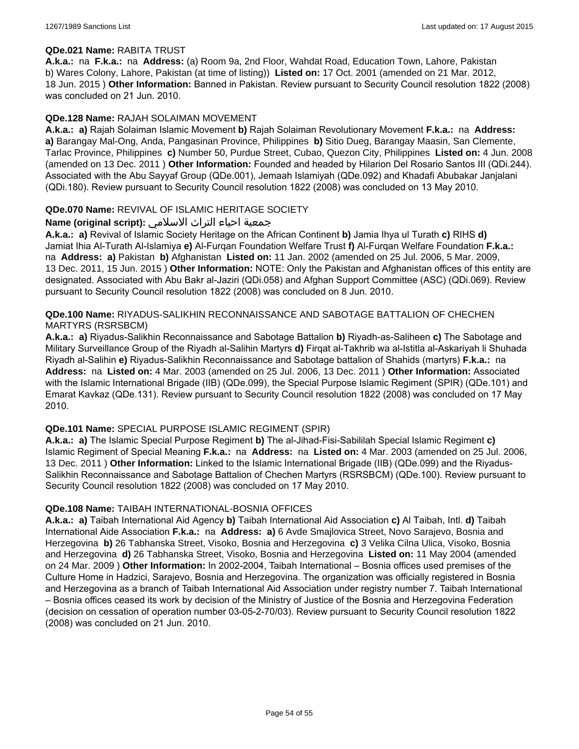#### **QDe.021 Name:** RABITA TRUST

**A.k.a.:** na **F.k.a.:** na **Address:** (a) Room 9a, 2nd Floor, Wahdat Road, Education Town, Lahore, Pakistan b) Wares Colony, Lahore, Pakistan (at time of listing)) **Listed on:** 17 Oct. 2001 (amended on 21 Mar. 2012, 18 Jun. 2015 ) **Other Information:** Banned in Pakistan. Review pursuant to Security Council resolution 1822 (2008) was concluded on 21 Jun. 2010.

#### **QDe.128 Name:** RAJAH SOLAIMAN MOVEMENT

**A.k.a.: a)** Rajah Solaiman Islamic Movement **b)** Rajah Solaiman Revolutionary Movement **F.k.a.:** na **Address: a)** Barangay Mal-Ong, Anda, Pangasinan Province, Philippines **b)** Sitio Dueg, Barangay Maasin, San Clemente, Tarlac Province, Philippines **c)** Number 50, Purdue Street, Cubao, Quezon City, Philippines **Listed on:** 4 Jun. 2008 (amended on 13 Dec. 2011 ) **Other Information:** Founded and headed by Hilarion Del Rosario Santos III (QDi.244). Associated with the Abu Sayyaf Group (QDe.001), Jemaah Islamiyah (QDe.092) and Khadafi Abubakar Janjalani (QDi.180). Review pursuant to Security Council resolution 1822 (2008) was concluded on 13 May 2010.

#### **QDe.070 Name:** REVIVAL OF ISLAMIC HERITAGE SOCIETY

## جمعية احياء التراث الاسلامي **:(script original (Name**

**A.k.a.: a)** Revival of Islamic Society Heritage on the African Continent **b)** Jamia Ihya ul Turath **c)** RIHS **d)** Jamiat Ihia Al-Turath Al-Islamiya **e)** Al-Furqan Foundation Welfare Trust **f)** Al-Furqan Welfare Foundation **F.k.a.:**  na **Address: a)** Pakistan **b)** Afghanistan **Listed on:** 11 Jan. 2002 (amended on 25 Jul. 2006, 5 Mar. 2009, 13 Dec. 2011, 15 Jun. 2015 ) **Other Information:** NOTE: Only the Pakistan and Afghanistan offices of this entity are designated. Associated with Abu Bakr al-Jaziri (QDi.058) and Afghan Support Committee (ASC) (QDi.069). Review pursuant to Security Council resolution 1822 (2008) was concluded on 8 Jun. 2010.

## **QDe.100 Name:** RIYADUS-SALIKHIN RECONNAISSANCE AND SABOTAGE BATTALION OF CHECHEN MARTYRS (RSRSBCM)

**A.k.a.: a)** Riyadus-Salikhin Reconnaissance and Sabotage Battalion **b)** Riyadh-as-Saliheen **c)** The Sabotage and Military Surveillance Group of the Riyadh al-Salihin Martyrs **d)** Firqat al-Takhrib wa al-Istitla al-Askariyah li Shuhada Riyadh al-Salihin **e)** Riyadus-Salikhin Reconnaissance and Sabotage battalion of Shahids (martyrs) **F.k.a.:** na **Address:** na **Listed on:** 4 Mar. 2003 (amended on 25 Jul. 2006, 13 Dec. 2011 ) **Other Information:** Associated with the Islamic International Brigade (IIB) (QDe.099), the Special Purpose Islamic Regiment (SPIR) (QDe.101) and Emarat Kavkaz (QDe.131). Review pursuant to Security Council resolution 1822 (2008) was concluded on 17 May 2010.

#### **QDe.101 Name:** SPECIAL PURPOSE ISLAMIC REGIMENT (SPIR)

**A.k.a.: a)** The Islamic Special Purpose Regiment **b)** The al-Jihad-Fisi-Sabililah Special Islamic Regiment **c)** Islamic Regiment of Special Meaning **F.k.a.:** na **Address:** na **Listed on:** 4 Mar. 2003 (amended on 25 Jul. 2006, 13 Dec. 2011 ) **Other Information:** Linked to the Islamic International Brigade (IIB) (QDe.099) and the Riyadus-Salikhin Reconnaissance and Sabotage Battalion of Chechen Martyrs (RSRSBCM) (QDe.100). Review pursuant to Security Council resolution 1822 (2008) was concluded on 17 May 2010.

#### **QDe.108 Name:** TAIBAH INTERNATIONAL-BOSNIA OFFICES

**A.k.a.: a)** Taibah International Aid Agency **b)** Taibah International Aid Association **c)** Al Taibah, Intl. **d)** Taibah International Aide Association **F.k.a.:** na **Address: a)** 6 Avde Smajlovica Street, Novo Sarajevo, Bosnia and Herzegovina **b)** 26 Tabhanska Street, Visoko, Bosnia and Herzegovina **c)** 3 Velika Cilna Ulica, Visoko, Bosnia and Herzegovina **d)** 26 Tabhanska Street, Visoko, Bosnia and Herzegovina **Listed on:** 11 May 2004 (amended on 24 Mar. 2009 ) **Other Information:** In 2002-2004, Taibah International – Bosnia offices used premises of the Culture Home in Hadzici, Sarajevo, Bosnia and Herzegovina. The organization was officially registered in Bosnia and Herzegovina as a branch of Taibah International Aid Association under registry number 7. Taibah International – Bosnia offices ceased its work by decision of the Ministry of Justice of the Bosnia and Herzegovina Federation (decision on cessation of operation number 03-05-2-70/03). Review pursuant to Security Council resolution 1822 (2008) was concluded on 21 Jun. 2010.